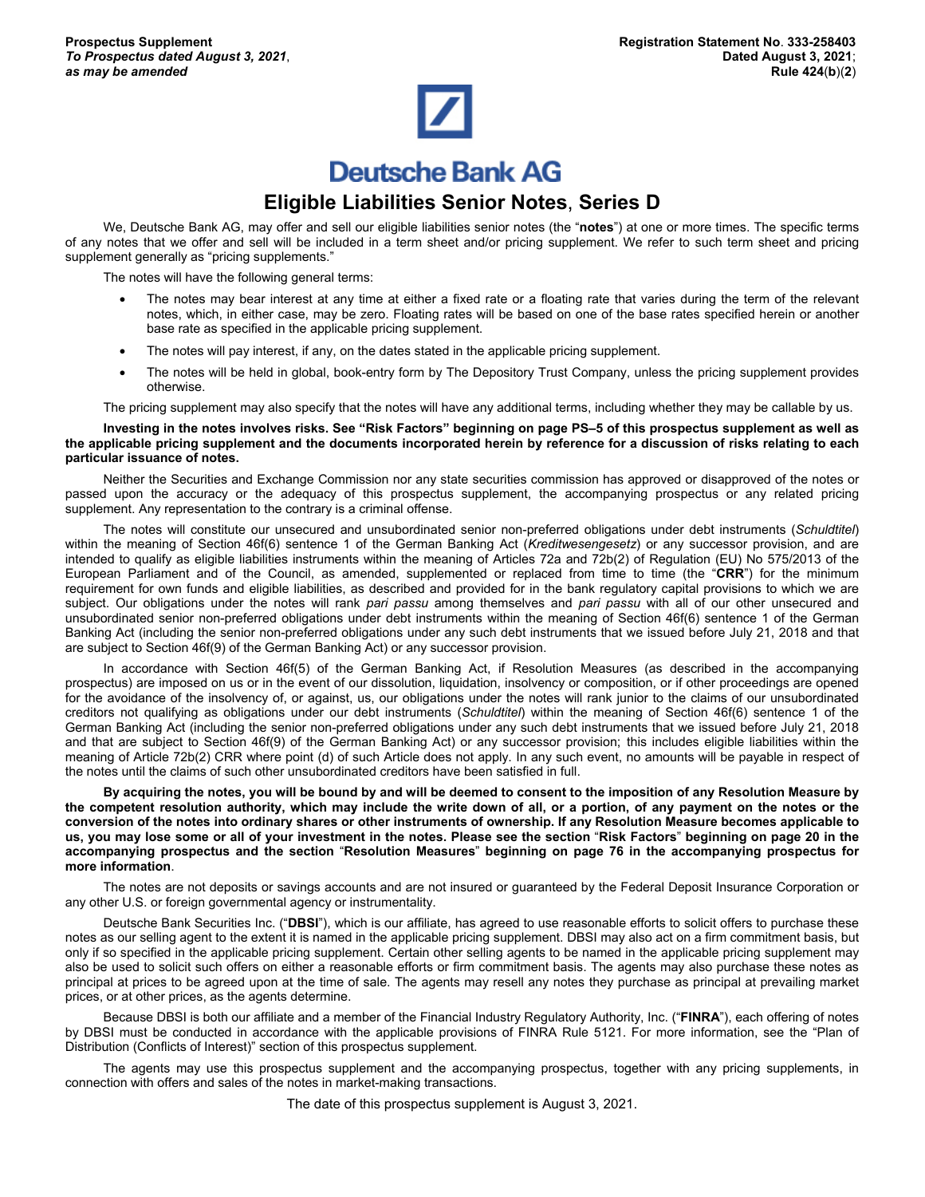

# **Deutsche Bank AG**

## **Eligible Liabilities Senior Notes**, **Series D**

We, Deutsche Bank AG, may offer and sell our eligible liabilities senior notes (the "**notes**") at one or more times. The specific terms of any notes that we offer and sell will be included in a term sheet and/or pricing supplement. We refer to such term sheet and pricing supplement generally as "pricing supplements."

The notes will have the following general terms:

- The notes may bear interest at any time at either a fixed rate or a floating rate that varies during the term of the relevant notes, which, in either case, may be zero. Floating rates will be based on one of the base rates specified herein or another base rate as specified in the applicable pricing supplement.
- The notes will pay interest, if any, on the dates stated in the applicable pricing supplement.
- The notes will be held in global, book-entry form by The Depository Trust Company, unless the pricing supplement provides otherwise.

The pricing supplement may also specify that the notes will have any additional terms, including whether they may be callable by us.

#### **Investing in the notes involves risks. See "Risk Factors" beginning on page PS–5 of this prospectus supplement as well as the applicable pricing supplement and the documents incorporated herein by reference for a discussion of risks relating to each particular issuance of notes.**

Neither the Securities and Exchange Commission nor any state securities commission has approved or disapproved of the notes or passed upon the accuracy or the adequacy of this prospectus supplement, the accompanying prospectus or any related pricing supplement. Any representation to the contrary is a criminal offense.

The notes will constitute our unsecured and unsubordinated senior non-preferred obligations under debt instruments (*Schuldtitel*) within the meaning of Section 46f(6) sentence 1 of the German Banking Act (*Kreditwesengesetz*) or any successor provision, and are intended to qualify as eligible liabilities instruments within the meaning of Articles 72a and 72b(2) of Regulation (EU) No 575/2013 of the European Parliament and of the Council, as amended, supplemented or replaced from time to time (the "**CRR**") for the minimum requirement for own funds and eligible liabilities, as described and provided for in the bank regulatory capital provisions to which we are subject. Our obligations under the notes will rank *pari passu* among themselves and *pari passu* with all of our other unsecured and unsubordinated senior non-preferred obligations under debt instruments within the meaning of Section 46f(6) sentence 1 of the German Banking Act (including the senior non-preferred obligations under any such debt instruments that we issued before July 21, 2018 and that are subject to Section 46f(9) of the German Banking Act) or any successor provision.

In accordance with Section 46f(5) of the German Banking Act, if Resolution Measures (as described in the accompanying prospectus) are imposed on us or in the event of our dissolution, liquidation, insolvency or composition, or if other proceedings are opened for the avoidance of the insolvency of, or against, us, our obligations under the notes will rank junior to the claims of our unsubordinated creditors not qualifying as obligations under our debt instruments (*Schuldtitel*) within the meaning of Section 46f(6) sentence 1 of the German Banking Act (including the senior non-preferred obligations under any such debt instruments that we issued before July 21, 2018 and that are subject to Section 46f(9) of the German Banking Act) or any successor provision; this includes eligible liabilities within the meaning of Article 72b(2) CRR where point (d) of such Article does not apply. In any such event, no amounts will be payable in respect of the notes until the claims of such other unsubordinated creditors have been satisfied in full.

**By acquiring the notes, you will be bound by and will be deemed to consent to the imposition of any Resolution Measure by the competent resolution authority, which may include the write down of all, or a portion, of any payment on the notes or the conversion of the notes into ordinary shares or other instruments of ownership. If any Resolution Measure becomes applicable to us, you may lose some or all of your investment in the notes. Please see the section** "**Risk Factors**" **beginning on page 20 in the accompanying prospectus and the section** "**Resolution Measures**" **beginning on page 76 in the accompanying prospectus for more information**.

The notes are not deposits or savings accounts and are not insured or guaranteed by the Federal Deposit Insurance Corporation or any other U.S. or foreign governmental agency or instrumentality.

Deutsche Bank Securities Inc. ("**DBSI**"), which is our affiliate, has agreed to use reasonable efforts to solicit offers to purchase these notes as our selling agent to the extent it is named in the applicable pricing supplement. DBSI may also act on a firm commitment basis, but only if so specified in the applicable pricing supplement. Certain other selling agents to be named in the applicable pricing supplement may also be used to solicit such offers on either a reasonable efforts or firm commitment basis. The agents may also purchase these notes as principal at prices to be agreed upon at the time of sale. The agents may resell any notes they purchase as principal at prevailing market prices, or at other prices, as the agents determine.

Because DBSI is both our affiliate and a member of the Financial Industry Regulatory Authority, Inc. ("**FINRA**"), each offering of notes by DBSI must be conducted in accordance with the applicable provisions of FINRA Rule 5121. For more information, see the "Plan of Distribution (Conflicts of Interest)" section of this prospectus supplement.

The agents may use this prospectus supplement and the accompanying prospectus, together with any pricing supplements, in connection with offers and sales of the notes in market-making transactions.

The date of this prospectus supplement is August 3, 2021.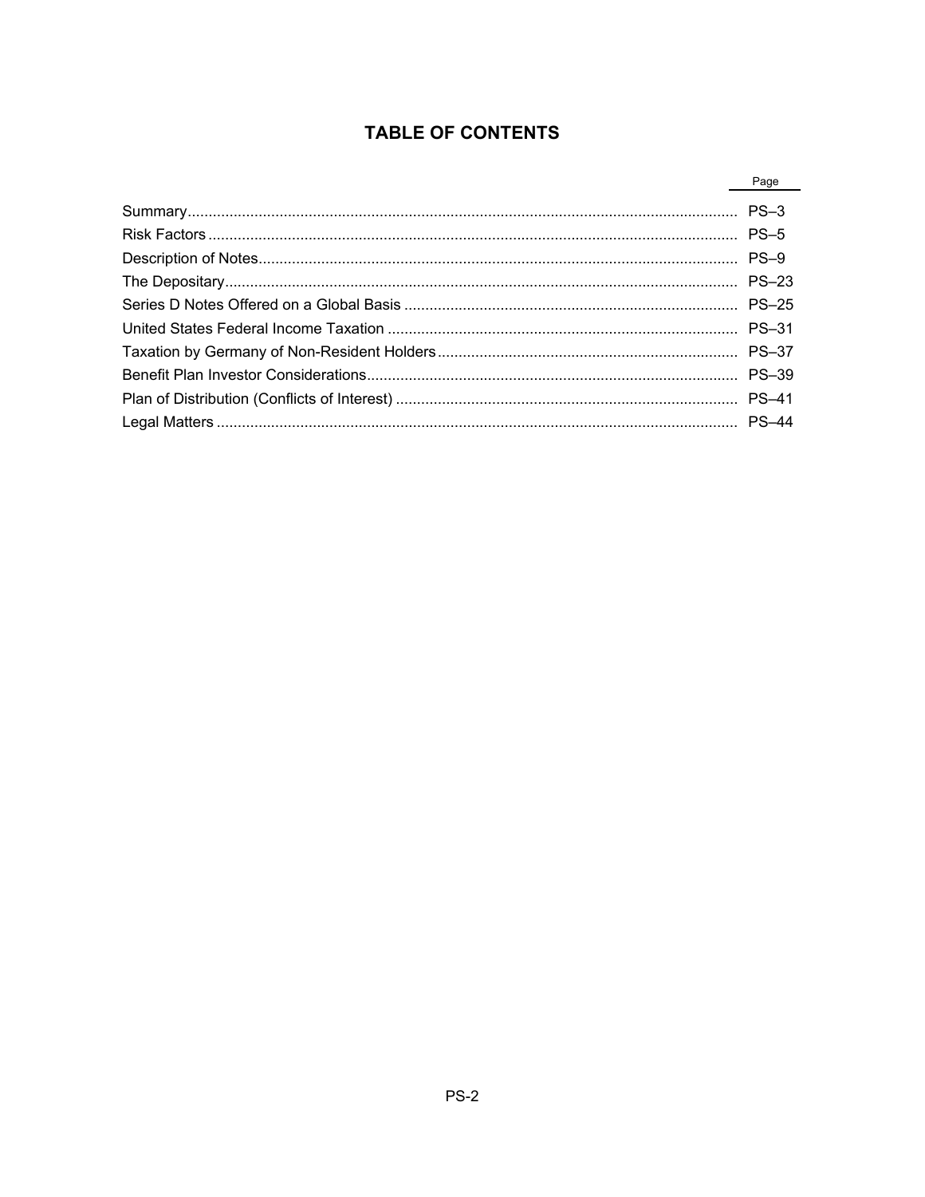## **TABLE OF CONTENTS**

| Page |
|------|
|      |
|      |
|      |
|      |
|      |
|      |
|      |
|      |
|      |
|      |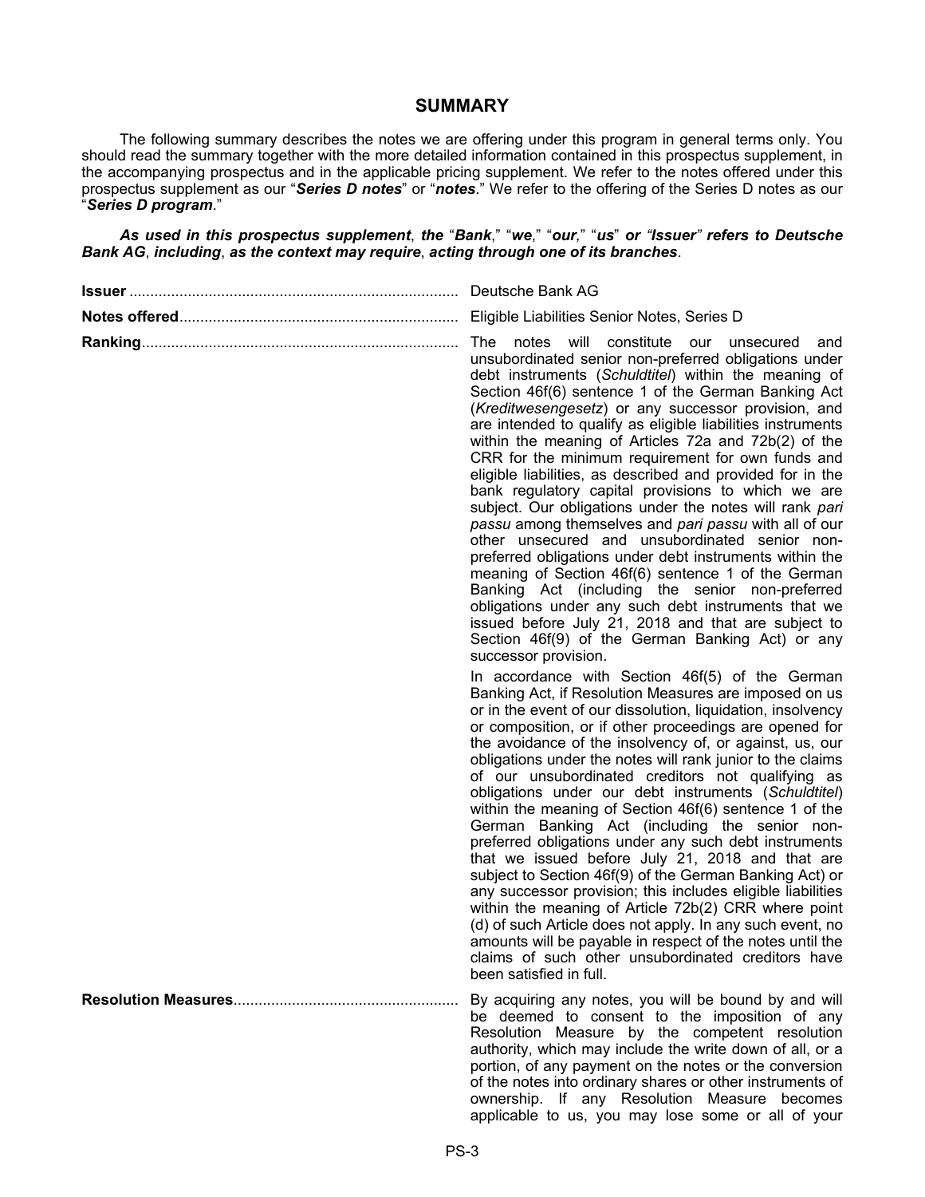## **SUMMARY**

The following summary describes the notes we are offering under this program in general terms only. You should read the summary together with the more detailed information contained in this prospectus supplement, in the accompanying prospectus and in the applicable pricing supplement. We refer to the notes offered under this prospectus supplement as our "*Series D notes*" or "*notes*." We refer to the offering of the Series D notes as our "*Series D program*."

*As used in this prospectus supplement*, *the* "*Bank*," "*we*," "*our,*" "*us*" *or "Issuer" refers to Deutsche Bank AG*, *including*, *as the context may require*, *acting through one of its branches*.

| Deutsche Bank AG                                                                                                                                                                                                                                                                                                                                                                                                                                                                                                                                                                                                                                                                                                                                                                                                                                                                                                                                                                                                                                                                                                  |
|-------------------------------------------------------------------------------------------------------------------------------------------------------------------------------------------------------------------------------------------------------------------------------------------------------------------------------------------------------------------------------------------------------------------------------------------------------------------------------------------------------------------------------------------------------------------------------------------------------------------------------------------------------------------------------------------------------------------------------------------------------------------------------------------------------------------------------------------------------------------------------------------------------------------------------------------------------------------------------------------------------------------------------------------------------------------------------------------------------------------|
| Eligible Liabilities Senior Notes, Series D                                                                                                                                                                                                                                                                                                                                                                                                                                                                                                                                                                                                                                                                                                                                                                                                                                                                                                                                                                                                                                                                       |
| The notes will constitute our unsecured<br>and<br>unsubordinated senior non-preferred obligations under<br>debt instruments (Schuldtitel) within the meaning of<br>Section 46f(6) sentence 1 of the German Banking Act<br>(Kreditwesengesetz) or any successor provision, and<br>are intended to qualify as eligible liabilities instruments<br>within the meaning of Articles 72a and 72b(2) of the<br>CRR for the minimum requirement for own funds and<br>eligible liabilities, as described and provided for in the<br>bank regulatory capital provisions to which we are<br>subject. Our obligations under the notes will rank pari<br>passu among themselves and pari passu with all of our<br>other unsecured and unsubordinated senior non-<br>preferred obligations under debt instruments within the<br>meaning of Section 46f(6) sentence 1 of the German<br>Banking Act (including the senior non-preferred<br>obligations under any such debt instruments that we<br>issued before July 21, 2018 and that are subject to<br>Section 46f(9) of the German Banking Act) or any<br>successor provision. |
| In accordance with Section 46f(5) of the German<br>Banking Act, if Resolution Measures are imposed on us<br>or in the event of our dissolution, liquidation, insolvency<br>or composition, or if other proceedings are opened for<br>the avoidance of the insolvency of, or against, us, our<br>obligations under the notes will rank junior to the claims<br>of our unsubordinated creditors not qualifying as<br>obligations under our debt instruments (Schuldtitel)<br>within the meaning of Section 46f(6) sentence 1 of the<br>German Banking Act (including the senior non-<br>preferred obligations under any such debt instruments<br>that we issued before July 21, 2018 and that are<br>subject to Section 46f(9) of the German Banking Act) or<br>any successor provision; this includes eligible liabilities<br>within the meaning of Article 72b(2) CRR where point<br>(d) of such Article does not apply. In any such event, no<br>amounts will be payable in respect of the notes until the<br>claims of such other unsubordinated creditors have<br>been satisfied in full.                      |
| By acquiring any notes, you will be bound by and will<br>be deemed to consent to the imposition of any<br>Resolution Measure by the competent resolution<br>authority, which may include the write down of all, or a<br>portion, of any payment on the notes or the conversion<br>of the notes into ordinary shares or other instruments of<br>ownership. If any Resolution Measure becomes<br>applicable to us, you may lose some or all of your                                                                                                                                                                                                                                                                                                                                                                                                                                                                                                                                                                                                                                                                 |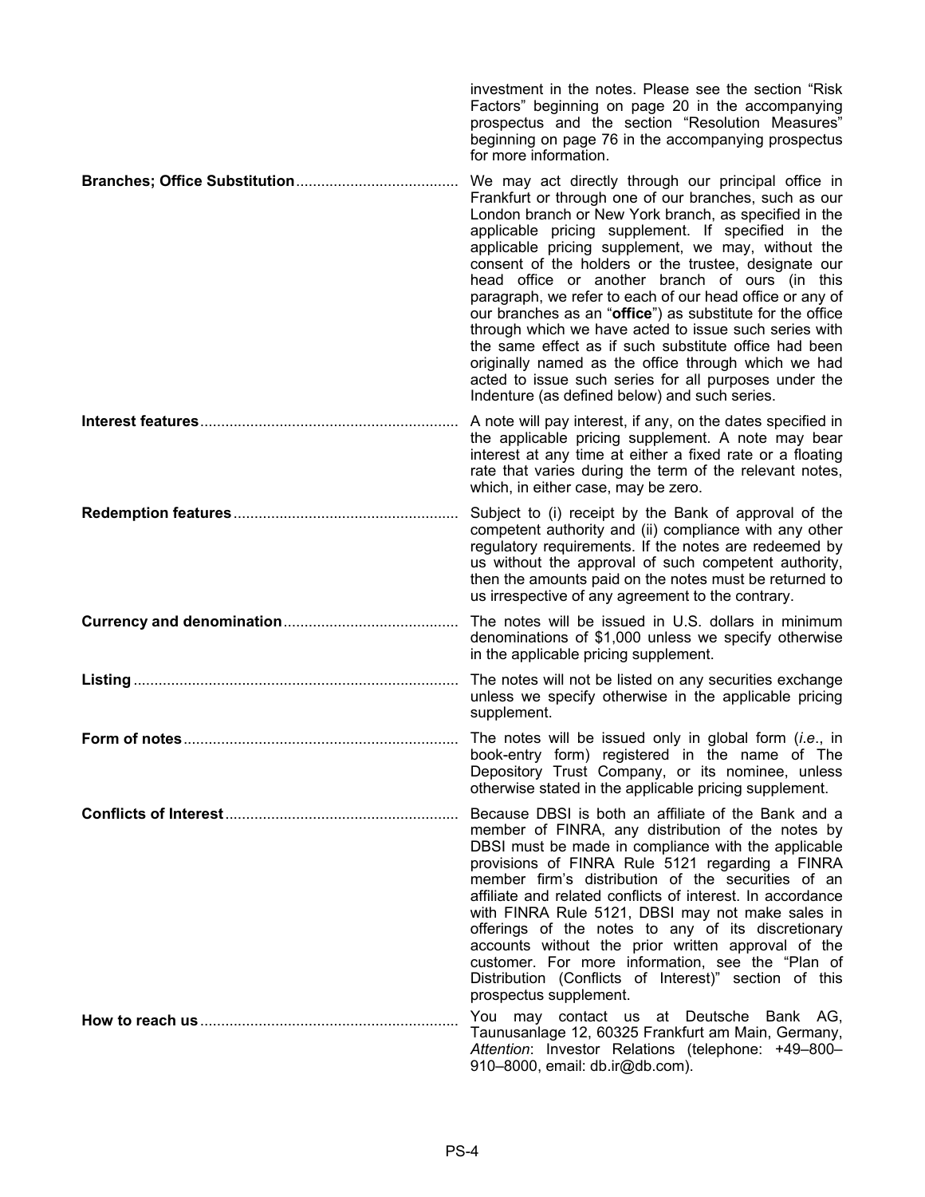| investment in the notes. Please see the section "Risk<br>Factors" beginning on page 20 in the accompanying<br>prospectus and the section "Resolution Measures"<br>beginning on page 76 in the accompanying prospectus<br>for more information.                                                                                                                                                                                                                                                                                                                                                                                                                                                                                                                                                          |
|---------------------------------------------------------------------------------------------------------------------------------------------------------------------------------------------------------------------------------------------------------------------------------------------------------------------------------------------------------------------------------------------------------------------------------------------------------------------------------------------------------------------------------------------------------------------------------------------------------------------------------------------------------------------------------------------------------------------------------------------------------------------------------------------------------|
| We may act directly through our principal office in<br>Frankfurt or through one of our branches, such as our<br>London branch or New York branch, as specified in the<br>applicable pricing supplement. If specified in the<br>applicable pricing supplement, we may, without the<br>consent of the holders or the trustee, designate our<br>head office or another branch of ours (in this<br>paragraph, we refer to each of our head office or any of<br>our branches as an "office") as substitute for the office<br>through which we have acted to issue such series with<br>the same effect as if such substitute office had been<br>originally named as the office through which we had<br>acted to issue such series for all purposes under the<br>Indenture (as defined below) and such series. |
| A note will pay interest, if any, on the dates specified in<br>the applicable pricing supplement. A note may bear<br>interest at any time at either a fixed rate or a floating<br>rate that varies during the term of the relevant notes,<br>which, in either case, may be zero.                                                                                                                                                                                                                                                                                                                                                                                                                                                                                                                        |
| Subject to (i) receipt by the Bank of approval of the<br>competent authority and (ii) compliance with any other<br>regulatory requirements. If the notes are redeemed by<br>us without the approval of such competent authority,<br>then the amounts paid on the notes must be returned to<br>us irrespective of any agreement to the contrary.                                                                                                                                                                                                                                                                                                                                                                                                                                                         |
| The notes will be issued in U.S. dollars in minimum<br>denominations of \$1,000 unless we specify otherwise<br>in the applicable pricing supplement.                                                                                                                                                                                                                                                                                                                                                                                                                                                                                                                                                                                                                                                    |
| The notes will not be listed on any securities exchange<br>unless we specify otherwise in the applicable pricing<br>supplement.                                                                                                                                                                                                                                                                                                                                                                                                                                                                                                                                                                                                                                                                         |
| The notes will be issued only in global form (i.e., in<br>book-entry form) registered in the name of The<br>Depository Trust Company, or its nominee, unless<br>otherwise stated in the applicable pricing supplement.                                                                                                                                                                                                                                                                                                                                                                                                                                                                                                                                                                                  |
| Because DBSI is both an affiliate of the Bank and a<br>member of FINRA, any distribution of the notes by<br>DBSI must be made in compliance with the applicable<br>provisions of FINRA Rule 5121 regarding a FINRA<br>member firm's distribution of the securities of an<br>affiliate and related conflicts of interest. In accordance<br>with FINRA Rule 5121, DBSI may not make sales in<br>offerings of the notes to any of its discretionary<br>accounts without the prior written approval of the<br>customer. For more information, see the "Plan of<br>Distribution (Conflicts of Interest)" section of this<br>prospectus supplement.                                                                                                                                                           |
| You may contact us at Deutsche Bank AG,<br>Taunusanlage 12, 60325 Frankfurt am Main, Germany,<br>Attention: Investor Relations (telephone: +49-800-<br>910-8000, email: db.ir@db.com).                                                                                                                                                                                                                                                                                                                                                                                                                                                                                                                                                                                                                  |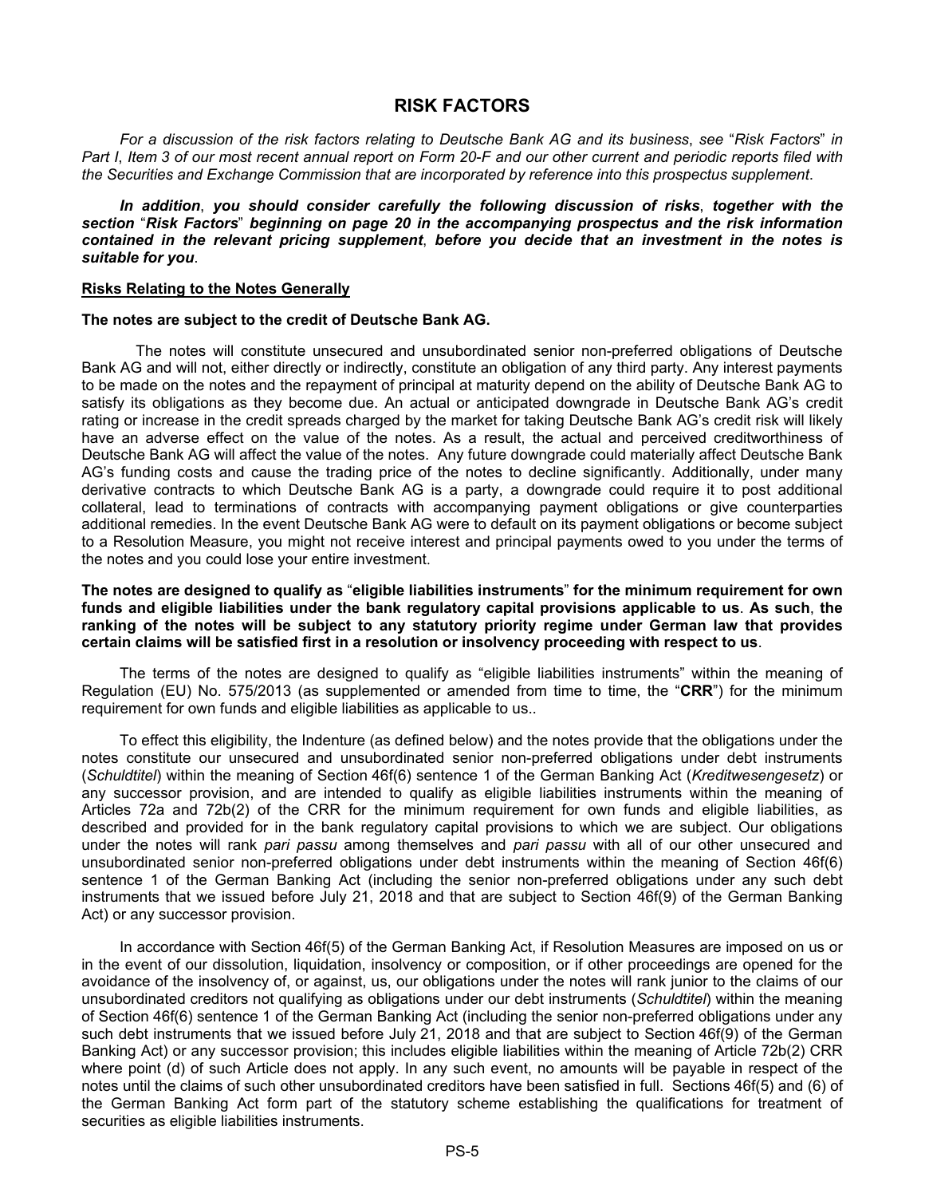### **RISK FACTORS**

*For a discussion of the risk factors relating to Deutsche Bank AG and its business*, *see* "*Risk Factors*" *in Part I*, *Item 3 of our most recent annual report on Form 20*-*F and our other current and periodic reports filed with the Securities and Exchange Commission that are incorporated by reference into this prospectus supplement*.

*In addition*, *you should consider carefully the following discussion of risks*, *together with the section* "*Risk Factors*" *beginning on page 20 in the accompanying prospectus and the risk information contained in the relevant pricing supplement*, *before you decide that an investment in the notes is suitable for you*.

#### **Risks Relating to the Notes Generally**

#### **The notes are subject to the credit of Deutsche Bank AG.**

 The notes will constitute unsecured and unsubordinated senior non-preferred obligations of Deutsche Bank AG and will not, either directly or indirectly, constitute an obligation of any third party. Any interest payments to be made on the notes and the repayment of principal at maturity depend on the ability of Deutsche Bank AG to satisfy its obligations as they become due. An actual or anticipated downgrade in Deutsche Bank AG's credit rating or increase in the credit spreads charged by the market for taking Deutsche Bank AG's credit risk will likely have an adverse effect on the value of the notes. As a result, the actual and perceived creditworthiness of Deutsche Bank AG will affect the value of the notes. Any future downgrade could materially affect Deutsche Bank AG's funding costs and cause the trading price of the notes to decline significantly. Additionally, under many derivative contracts to which Deutsche Bank AG is a party, a downgrade could require it to post additional collateral, lead to terminations of contracts with accompanying payment obligations or give counterparties additional remedies. In the event Deutsche Bank AG were to default on its payment obligations or become subject to a Resolution Measure, you might not receive interest and principal payments owed to you under the terms of the notes and you could lose your entire investment.

#### **The notes are designed to qualify as** "**eligible liabilities instruments**" **for the minimum requirement for own funds and eligible liabilities under the bank regulatory capital provisions applicable to us**. **As such**, **the ranking of the notes will be subject to any statutory priority regime under German law that provides certain claims will be satisfied first in a resolution or insolvency proceeding with respect to us**.

The terms of the notes are designed to qualify as "eligible liabilities instruments" within the meaning of Regulation (EU) No. 575/2013 (as supplemented or amended from time to time, the "**CRR**") for the minimum requirement for own funds and eligible liabilities as applicable to us..

To effect this eligibility, the Indenture (as defined below) and the notes provide that the obligations under the notes constitute our unsecured and unsubordinated senior non-preferred obligations under debt instruments (*Schuldtitel*) within the meaning of Section 46f(6) sentence 1 of the German Banking Act (*Kreditwesengesetz*) or any successor provision, and are intended to qualify as eligible liabilities instruments within the meaning of Articles 72a and 72b(2) of the CRR for the minimum requirement for own funds and eligible liabilities, as described and provided for in the bank regulatory capital provisions to which we are subject. Our obligations under the notes will rank *pari passu* among themselves and *pari passu* with all of our other unsecured and unsubordinated senior non-preferred obligations under debt instruments within the meaning of Section 46f(6) sentence 1 of the German Banking Act (including the senior non-preferred obligations under any such debt instruments that we issued before July 21, 2018 and that are subject to Section 46f(9) of the German Banking Act) or any successor provision.

In accordance with Section 46f(5) of the German Banking Act, if Resolution Measures are imposed on us or in the event of our dissolution, liquidation, insolvency or composition, or if other proceedings are opened for the avoidance of the insolvency of, or against, us, our obligations under the notes will rank junior to the claims of our unsubordinated creditors not qualifying as obligations under our debt instruments (*Schuldtitel*) within the meaning of Section 46f(6) sentence 1 of the German Banking Act (including the senior non-preferred obligations under any such debt instruments that we issued before July 21, 2018 and that are subject to Section 46f(9) of the German Banking Act) or any successor provision; this includes eligible liabilities within the meaning of Article 72b(2) CRR where point (d) of such Article does not apply. In any such event, no amounts will be payable in respect of the notes until the claims of such other unsubordinated creditors have been satisfied in full. Sections 46f(5) and (6) of the German Banking Act form part of the statutory scheme establishing the qualifications for treatment of securities as eligible liabilities instruments.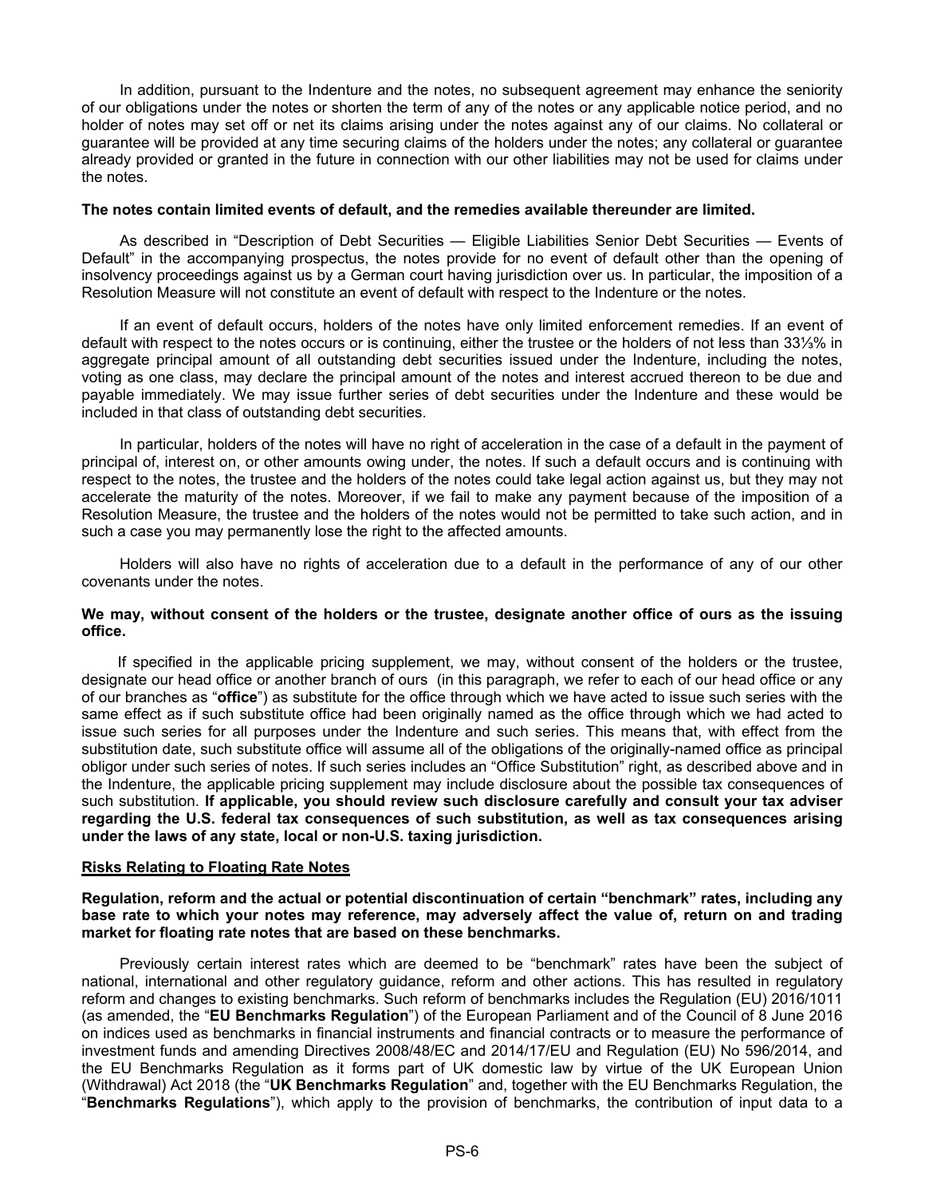In addition, pursuant to the Indenture and the notes, no subsequent agreement may enhance the seniority of our obligations under the notes or shorten the term of any of the notes or any applicable notice period, and no holder of notes may set off or net its claims arising under the notes against any of our claims. No collateral or guarantee will be provided at any time securing claims of the holders under the notes; any collateral or guarantee already provided or granted in the future in connection with our other liabilities may not be used for claims under the notes.

#### **The notes contain limited events of default, and the remedies available thereunder are limited.**

As described in "Description of Debt Securities — Eligible Liabilities Senior Debt Securities — Events of Default" in the accompanying prospectus, the notes provide for no event of default other than the opening of insolvency proceedings against us by a German court having jurisdiction over us. In particular, the imposition of a Resolution Measure will not constitute an event of default with respect to the Indenture or the notes.

If an event of default occurs, holders of the notes have only limited enforcement remedies. If an event of default with respect to the notes occurs or is continuing, either the trustee or the holders of not less than 33⅓% in aggregate principal amount of all outstanding debt securities issued under the Indenture, including the notes, voting as one class, may declare the principal amount of the notes and interest accrued thereon to be due and payable immediately. We may issue further series of debt securities under the Indenture and these would be included in that class of outstanding debt securities.

In particular, holders of the notes will have no right of acceleration in the case of a default in the payment of principal of, interest on, or other amounts owing under, the notes. If such a default occurs and is continuing with respect to the notes, the trustee and the holders of the notes could take legal action against us, but they may not accelerate the maturity of the notes. Moreover, if we fail to make any payment because of the imposition of a Resolution Measure, the trustee and the holders of the notes would not be permitted to take such action, and in such a case you may permanently lose the right to the affected amounts.

Holders will also have no rights of acceleration due to a default in the performance of any of our other covenants under the notes.

#### **We may, without consent of the holders or the trustee, designate another office of ours as the issuing office.**

 If specified in the applicable pricing supplement, we may, without consent of the holders or the trustee, designate our head office or another branch of ours (in this paragraph, we refer to each of our head office or any of our branches as "**office**") as substitute for the office through which we have acted to issue such series with the same effect as if such substitute office had been originally named as the office through which we had acted to issue such series for all purposes under the Indenture and such series. This means that, with effect from the substitution date, such substitute office will assume all of the obligations of the originally-named office as principal obligor under such series of notes. If such series includes an "Office Substitution" right, as described above and in the Indenture, the applicable pricing supplement may include disclosure about the possible tax consequences of such substitution. **If applicable, you should review such disclosure carefully and consult your tax adviser regarding the U.S. federal tax consequences of such substitution, as well as tax consequences arising under the laws of any state, local or non-U.S. taxing jurisdiction.** 

#### **Risks Relating to Floating Rate Notes**

**Regulation, reform and the actual or potential discontinuation of certain "benchmark" rates, including any base rate to which your notes may reference, may adversely affect the value of, return on and trading market for floating rate notes that are based on these benchmarks.** 

Previously certain interest rates which are deemed to be "benchmark" rates have been the subject of national, international and other regulatory guidance, reform and other actions. This has resulted in regulatory reform and changes to existing benchmarks. Such reform of benchmarks includes the Regulation (EU) 2016/1011 (as amended, the "**EU Benchmarks Regulation**") of the European Parliament and of the Council of 8 June 2016 on indices used as benchmarks in financial instruments and financial contracts or to measure the performance of investment funds and amending Directives 2008/48/EC and 2014/17/EU and Regulation (EU) No 596/2014, and the EU Benchmarks Regulation as it forms part of UK domestic law by virtue of the UK European Union (Withdrawal) Act 2018 (the "**UK Benchmarks Regulation**" and, together with the EU Benchmarks Regulation, the "**Benchmarks Regulations**"), which apply to the provision of benchmarks, the contribution of input data to a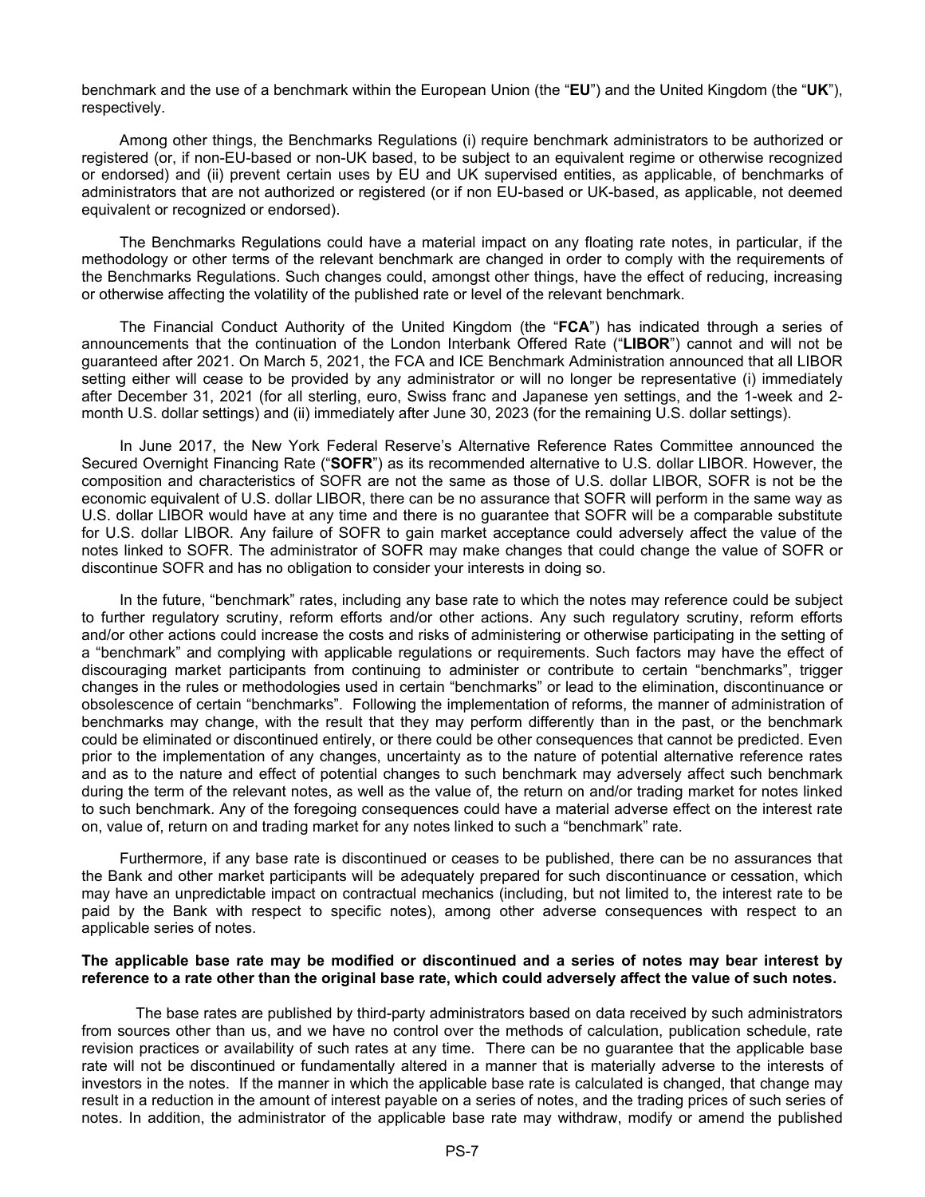benchmark and the use of a benchmark within the European Union (the "**EU**") and the United Kingdom (the "**UK**"), respectively.

Among other things, the Benchmarks Regulations (i) require benchmark administrators to be authorized or registered (or, if non-EU-based or non-UK based, to be subject to an equivalent regime or otherwise recognized or endorsed) and (ii) prevent certain uses by EU and UK supervised entities, as applicable, of benchmarks of administrators that are not authorized or registered (or if non EU-based or UK-based, as applicable, not deemed equivalent or recognized or endorsed).

The Benchmarks Regulations could have a material impact on any floating rate notes, in particular, if the methodology or other terms of the relevant benchmark are changed in order to comply with the requirements of the Benchmarks Regulations. Such changes could, amongst other things, have the effect of reducing, increasing or otherwise affecting the volatility of the published rate or level of the relevant benchmark.

The Financial Conduct Authority of the United Kingdom (the "**FCA**") has indicated through a series of announcements that the continuation of the London Interbank Offered Rate ("**LIBOR**") cannot and will not be guaranteed after 2021. On March 5, 2021, the FCA and ICE Benchmark Administration announced that all LIBOR setting either will cease to be provided by any administrator or will no longer be representative (i) immediately after December 31, 2021 (for all sterling, euro, Swiss franc and Japanese yen settings, and the 1-week and 2 month U.S. dollar settings) and (ii) immediately after June 30, 2023 (for the remaining U.S. dollar settings).

In June 2017, the New York Federal Reserve's Alternative Reference Rates Committee announced the Secured Overnight Financing Rate ("**SOFR**") as its recommended alternative to U.S. dollar LIBOR. However, the composition and characteristics of SOFR are not the same as those of U.S. dollar LIBOR, SOFR is not be the economic equivalent of U.S. dollar LIBOR, there can be no assurance that SOFR will perform in the same way as U.S. dollar LIBOR would have at any time and there is no guarantee that SOFR will be a comparable substitute for U.S. dollar LIBOR. Any failure of SOFR to gain market acceptance could adversely affect the value of the notes linked to SOFR. The administrator of SOFR may make changes that could change the value of SOFR or discontinue SOFR and has no obligation to consider your interests in doing so.

In the future, "benchmark" rates, including any base rate to which the notes may reference could be subject to further regulatory scrutiny, reform efforts and/or other actions. Any such regulatory scrutiny, reform efforts and/or other actions could increase the costs and risks of administering or otherwise participating in the setting of a "benchmark" and complying with applicable regulations or requirements. Such factors may have the effect of discouraging market participants from continuing to administer or contribute to certain "benchmarks", trigger changes in the rules or methodologies used in certain "benchmarks" or lead to the elimination, discontinuance or obsolescence of certain "benchmarks". Following the implementation of reforms, the manner of administration of benchmarks may change, with the result that they may perform differently than in the past, or the benchmark could be eliminated or discontinued entirely, or there could be other consequences that cannot be predicted. Even prior to the implementation of any changes, uncertainty as to the nature of potential alternative reference rates and as to the nature and effect of potential changes to such benchmark may adversely affect such benchmark during the term of the relevant notes, as well as the value of, the return on and/or trading market for notes linked to such benchmark. Any of the foregoing consequences could have a material adverse effect on the interest rate on, value of, return on and trading market for any notes linked to such a "benchmark" rate.

Furthermore, if any base rate is discontinued or ceases to be published, there can be no assurances that the Bank and other market participants will be adequately prepared for such discontinuance or cessation, which may have an unpredictable impact on contractual mechanics (including, but not limited to, the interest rate to be paid by the Bank with respect to specific notes), among other adverse consequences with respect to an applicable series of notes.

#### **The applicable base rate may be modified or discontinued and a series of notes may bear interest by reference to a rate other than the original base rate, which could adversely affect the value of such notes.**

The base rates are published by third-party administrators based on data received by such administrators from sources other than us, and we have no control over the methods of calculation, publication schedule, rate revision practices or availability of such rates at any time. There can be no guarantee that the applicable base rate will not be discontinued or fundamentally altered in a manner that is materially adverse to the interests of investors in the notes. If the manner in which the applicable base rate is calculated is changed, that change may result in a reduction in the amount of interest payable on a series of notes, and the trading prices of such series of notes. In addition, the administrator of the applicable base rate may withdraw, modify or amend the published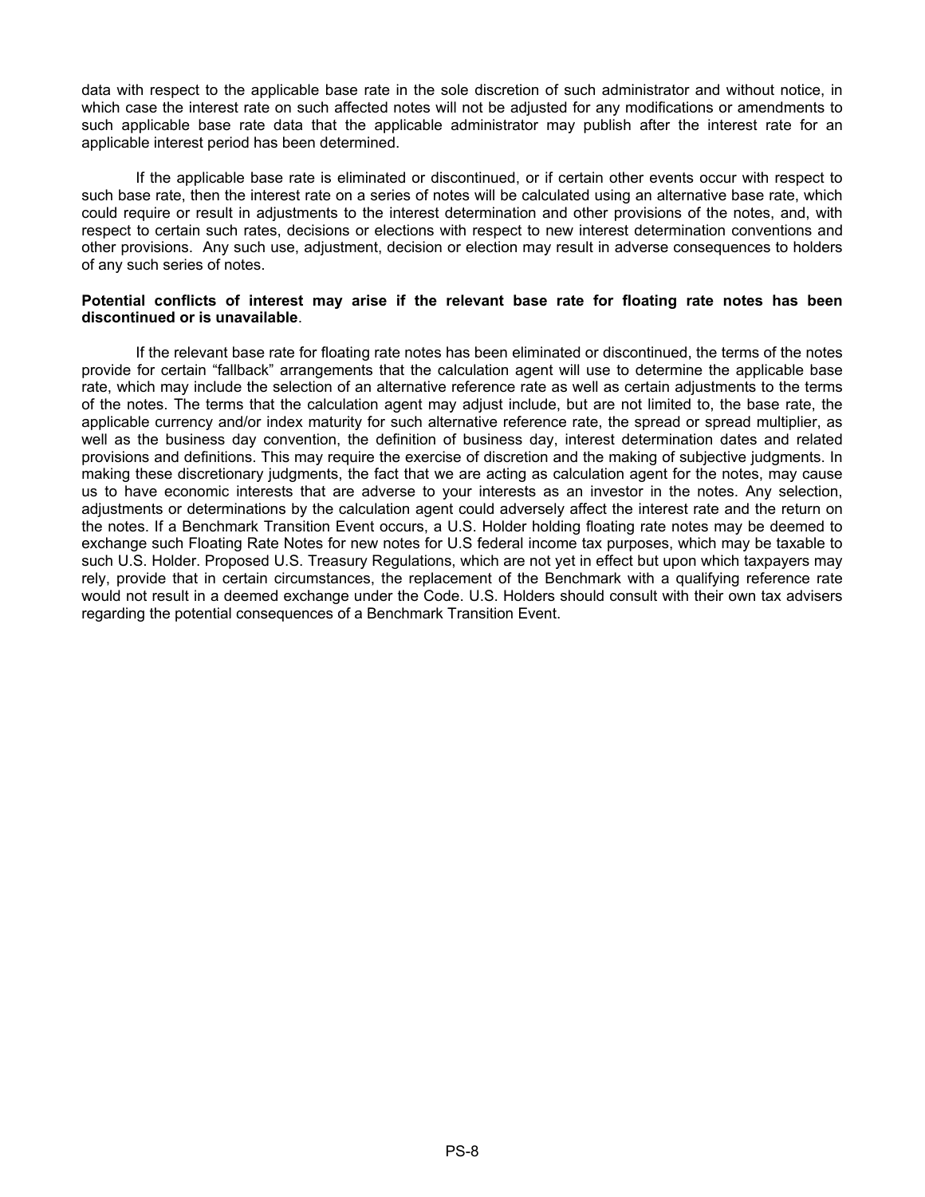data with respect to the applicable base rate in the sole discretion of such administrator and without notice, in which case the interest rate on such affected notes will not be adjusted for any modifications or amendments to such applicable base rate data that the applicable administrator may publish after the interest rate for an applicable interest period has been determined.

If the applicable base rate is eliminated or discontinued, or if certain other events occur with respect to such base rate, then the interest rate on a series of notes will be calculated using an alternative base rate, which could require or result in adjustments to the interest determination and other provisions of the notes, and, with respect to certain such rates, decisions or elections with respect to new interest determination conventions and other provisions. Any such use, adjustment, decision or election may result in adverse consequences to holders of any such series of notes.

#### **Potential conflicts of interest may arise if the relevant base rate for floating rate notes has been discontinued or is unavailable**.

If the relevant base rate for floating rate notes has been eliminated or discontinued, the terms of the notes provide for certain "fallback" arrangements that the calculation agent will use to determine the applicable base rate, which may include the selection of an alternative reference rate as well as certain adjustments to the terms of the notes. The terms that the calculation agent may adjust include, but are not limited to, the base rate, the applicable currency and/or index maturity for such alternative reference rate, the spread or spread multiplier, as well as the business day convention, the definition of business day, interest determination dates and related provisions and definitions. This may require the exercise of discretion and the making of subjective judgments. In making these discretionary judgments, the fact that we are acting as calculation agent for the notes, may cause us to have economic interests that are adverse to your interests as an investor in the notes. Any selection, adjustments or determinations by the calculation agent could adversely affect the interest rate and the return on the notes. If a Benchmark Transition Event occurs, a U.S. Holder holding floating rate notes may be deemed to exchange such Floating Rate Notes for new notes for U.S federal income tax purposes, which may be taxable to such U.S. Holder. Proposed U.S. Treasury Regulations, which are not yet in effect but upon which taxpayers may rely, provide that in certain circumstances, the replacement of the Benchmark with a qualifying reference rate would not result in a deemed exchange under the Code. U.S. Holders should consult with their own tax advisers regarding the potential consequences of a Benchmark Transition Event.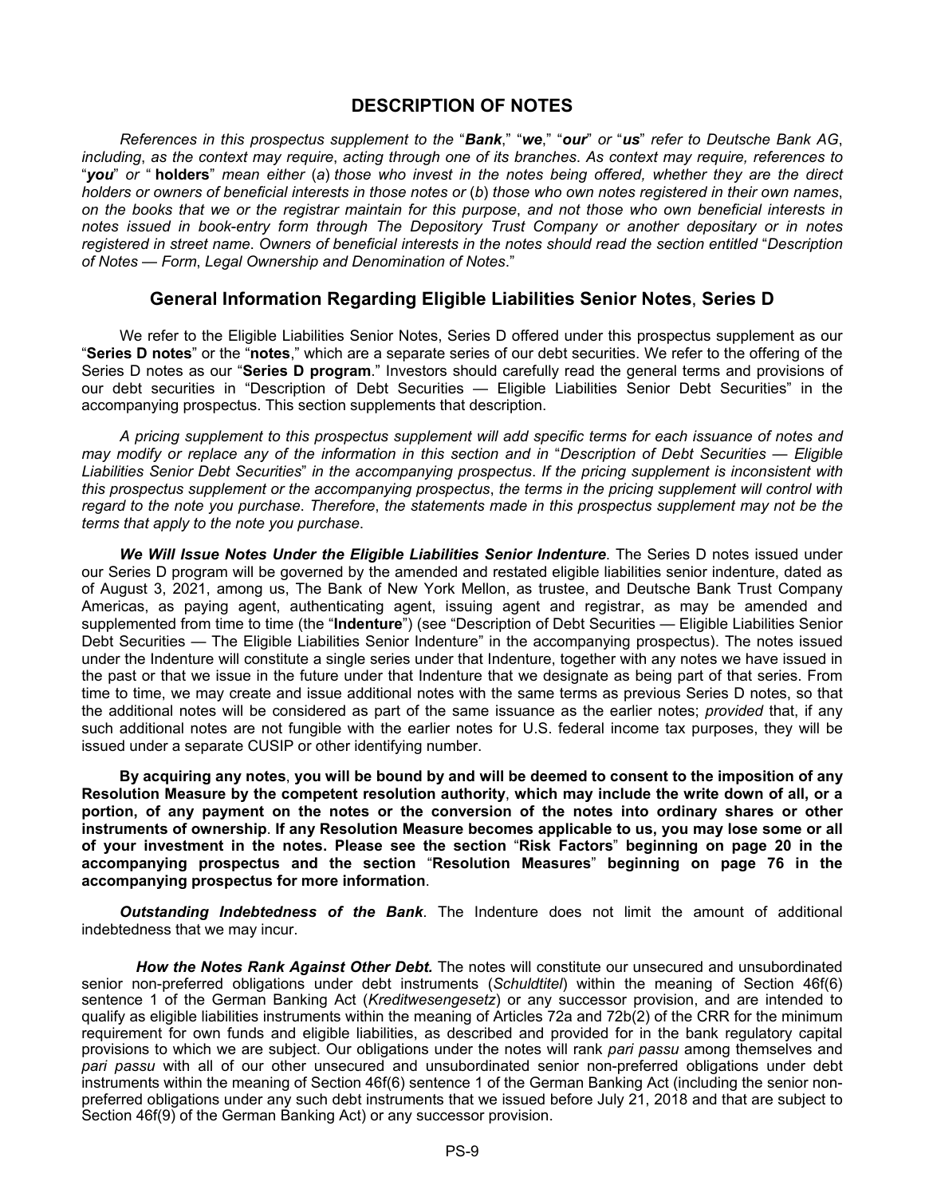## **DESCRIPTION OF NOTES**

*References in this prospectus supplement to the* "*Bank*," "*we*," "*our*" *or* "*us*" *refer to Deutsche Bank AG*, *including*, *as the context may require*, *acting through one of its branches*. *As context may require, references to*  "*you*" *or* " **holders**" *mean either* (*a*) *those who invest in the notes being offered, whether they are the direct holders or owners of beneficial interests in those notes or* (*b*) *those who own notes registered in their own names*, *on the books that we or the registrar maintain for this purpose*, *and not those who own beneficial interests in notes issued in book*-*entry form through The Depository Trust Company or another depositary or in notes registered in street name*. *Owners of beneficial interests in the notes should read the section entitled* "*Description of Notes — Form*, *Legal Ownership and Denomination of Notes*."

## **General Information Regarding Eligible Liabilities Senior Notes**, **Series D**

We refer to the Eligible Liabilities Senior Notes, Series D offered under this prospectus supplement as our "**Series D notes**" or the "**notes**," which are a separate series of our debt securities. We refer to the offering of the Series D notes as our "**Series D program**." Investors should carefully read the general terms and provisions of our debt securities in "Description of Debt Securities — Eligible Liabilities Senior Debt Securities" in the accompanying prospectus. This section supplements that description.

*A pricing supplement to this prospectus supplement will add specific terms for each issuance of notes and may modify or replace any of the information in this section and in* "*Description of Debt Securities — Eligible Liabilities Senior Debt Securities*" *in the accompanying prospectus*. *If the pricing supplement is inconsistent with this prospectus supplement or the accompanying prospectus*, *the terms in the pricing supplement will control with regard to the note you purchase*. *Therefore*, *the statements made in this prospectus supplement may not be the terms that apply to the note you purchase*.

**We Will Issue Notes Under the Eligible Liabilities Senior Indenture**. The Series D notes issued under our Series D program will be governed by the amended and restated eligible liabilities senior indenture, dated as of August 3, 2021, among us, The Bank of New York Mellon, as trustee, and Deutsche Bank Trust Company Americas, as paying agent, authenticating agent, issuing agent and registrar, as may be amended and supplemented from time to time (the "**Indenture**") (see "Description of Debt Securities — Eligible Liabilities Senior Debt Securities — The Eligible Liabilities Senior Indenture" in the accompanying prospectus). The notes issued under the Indenture will constitute a single series under that Indenture, together with any notes we have issued in the past or that we issue in the future under that Indenture that we designate as being part of that series. From time to time, we may create and issue additional notes with the same terms as previous Series D notes, so that the additional notes will be considered as part of the same issuance as the earlier notes; *provided* that, if any such additional notes are not fungible with the earlier notes for U.S. federal income tax purposes, they will be issued under a separate CUSIP or other identifying number.

**By acquiring any notes**, **you will be bound by and will be deemed to consent to the imposition of any Resolution Measure by the competent resolution authority**, **which may include the write down of all, or a portion, of any payment on the notes or the conversion of the notes into ordinary shares or other instruments of ownership**. **If any Resolution Measure becomes applicable to us, you may lose some or all of your investment in the notes. Please see the section** "**Risk Factors**" **beginning on page 20 in the accompanying prospectus and the section** "**Resolution Measures**" **beginning on page 76 in the accompanying prospectus for more information**.

*Outstanding Indebtedness of the Bank*. The Indenture does not limit the amount of additional indebtedness that we may incur.

 *How the Notes Rank Against Other Debt.* The notes will constitute our unsecured and unsubordinated senior non-preferred obligations under debt instruments (*Schuldtitel*) within the meaning of Section 46f(6) sentence 1 of the German Banking Act (*Kreditwesengesetz*) or any successor provision, and are intended to qualify as eligible liabilities instruments within the meaning of Articles 72a and 72b(2) of the CRR for the minimum requirement for own funds and eligible liabilities, as described and provided for in the bank regulatory capital provisions to which we are subject. Our obligations under the notes will rank *pari passu* among themselves and *pari passu* with all of our other unsecured and unsubordinated senior non-preferred obligations under debt instruments within the meaning of Section 46f(6) sentence 1 of the German Banking Act (including the senior nonpreferred obligations under any such debt instruments that we issued before July 21, 2018 and that are subject to Section 46f(9) of the German Banking Act) or any successor provision.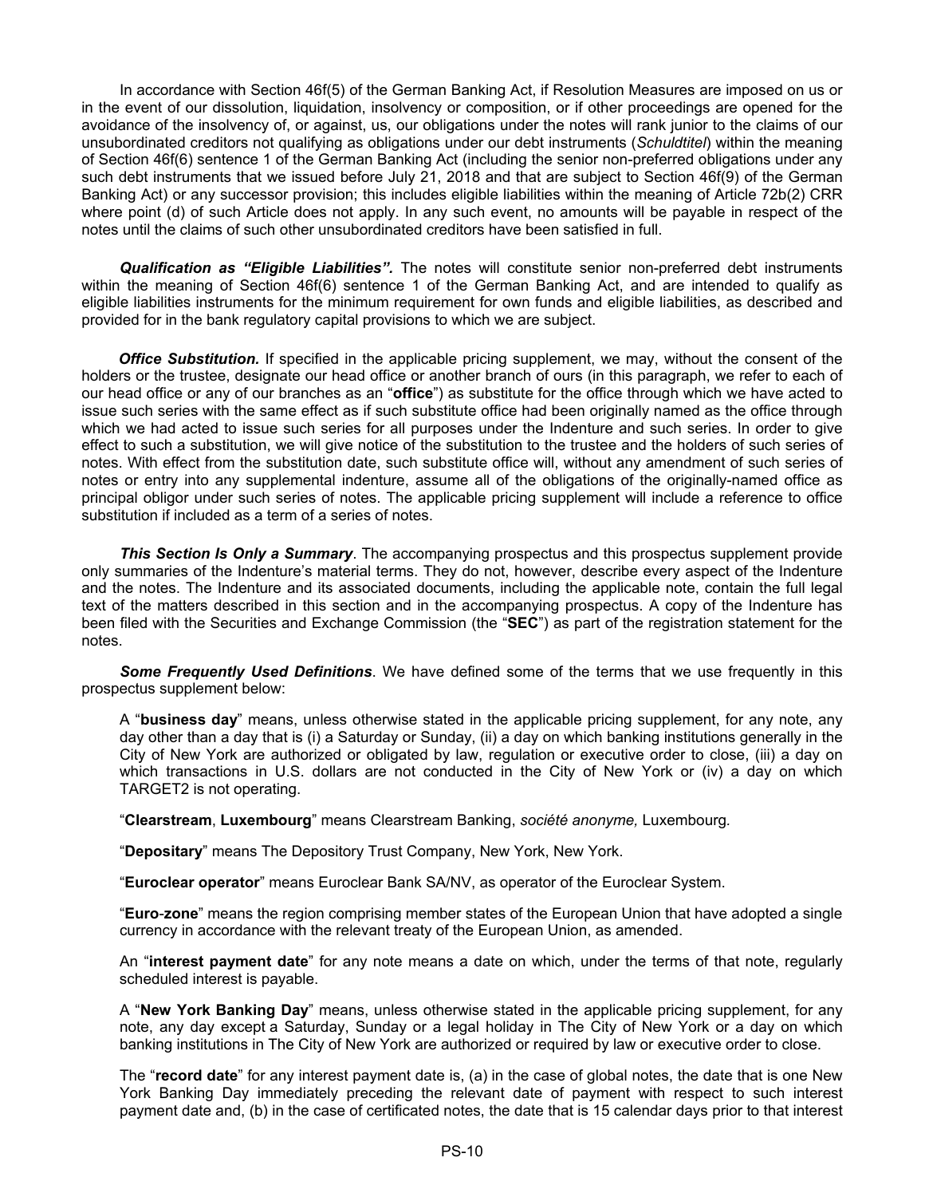In accordance with Section 46f(5) of the German Banking Act, if Resolution Measures are imposed on us or in the event of our dissolution, liquidation, insolvency or composition, or if other proceedings are opened for the avoidance of the insolvency of, or against, us, our obligations under the notes will rank junior to the claims of our unsubordinated creditors not qualifying as obligations under our debt instruments (*Schuldtitel*) within the meaning of Section 46f(6) sentence 1 of the German Banking Act (including the senior non-preferred obligations under any such debt instruments that we issued before July 21, 2018 and that are subject to Section 46f(9) of the German Banking Act) or any successor provision; this includes eligible liabilities within the meaning of Article 72b(2) CRR where point (d) of such Article does not apply. In any such event, no amounts will be payable in respect of the notes until the claims of such other unsubordinated creditors have been satisfied in full.

*Qualification as "Eligible Liabilities".* The notes will constitute senior non-preferred debt instruments within the meaning of Section 46f(6) sentence 1 of the German Banking Act, and are intended to qualify as eligible liabilities instruments for the minimum requirement for own funds and eligible liabilities, as described and provided for in the bank regulatory capital provisions to which we are subject.

*Office Substitution.* If specified in the applicable pricing supplement, we may, without the consent of the holders or the trustee, designate our head office or another branch of ours (in this paragraph, we refer to each of our head office or any of our branches as an "**office**") as substitute for the office through which we have acted to issue such series with the same effect as if such substitute office had been originally named as the office through which we had acted to issue such series for all purposes under the Indenture and such series. In order to give effect to such a substitution, we will give notice of the substitution to the trustee and the holders of such series of notes. With effect from the substitution date, such substitute office will, without any amendment of such series of notes or entry into any supplemental indenture, assume all of the obligations of the originally-named office as principal obligor under such series of notes. The applicable pricing supplement will include a reference to office substitution if included as a term of a series of notes.

**This Section Is Only a Summary**. The accompanying prospectus and this prospectus supplement provide only summaries of the Indenture's material terms. They do not, however, describe every aspect of the Indenture and the notes. The Indenture and its associated documents, including the applicable note, contain the full legal text of the matters described in this section and in the accompanying prospectus. A copy of the Indenture has been filed with the Securities and Exchange Commission (the "**SEC**") as part of the registration statement for the notes.

*Some Frequently Used Definitions*. We have defined some of the terms that we use frequently in this prospectus supplement below:

A "**business day**" means, unless otherwise stated in the applicable pricing supplement, for any note, any day other than a day that is (i) a Saturday or Sunday, (ii) a day on which banking institutions generally in the City of New York are authorized or obligated by law, regulation or executive order to close, (iii) a day on which transactions in U.S. dollars are not conducted in the City of New York or (iv) a day on which TARGET2 is not operating.

"**Clearstream**, **Luxembourg**" means Clearstream Banking, *société anonyme,* Luxembourg*.*

"**Depositary**" means The Depository Trust Company, New York, New York.

"**Euroclear operator**" means Euroclear Bank SA/NV, as operator of the Euroclear System.

"**Euro**-**zone**" means the region comprising member states of the European Union that have adopted a single currency in accordance with the relevant treaty of the European Union, as amended.

An "**interest payment date**" for any note means a date on which, under the terms of that note, regularly scheduled interest is payable.

A "**New York Banking Day**" means, unless otherwise stated in the applicable pricing supplement, for any note, any day except a Saturday, Sunday or a legal holiday in The City of New York or a day on which banking institutions in The City of New York are authorized or required by law or executive order to close.

The "**record date**" for any interest payment date is, (a) in the case of global notes, the date that is one New York Banking Day immediately preceding the relevant date of payment with respect to such interest payment date and, (b) in the case of certificated notes, the date that is 15 calendar days prior to that interest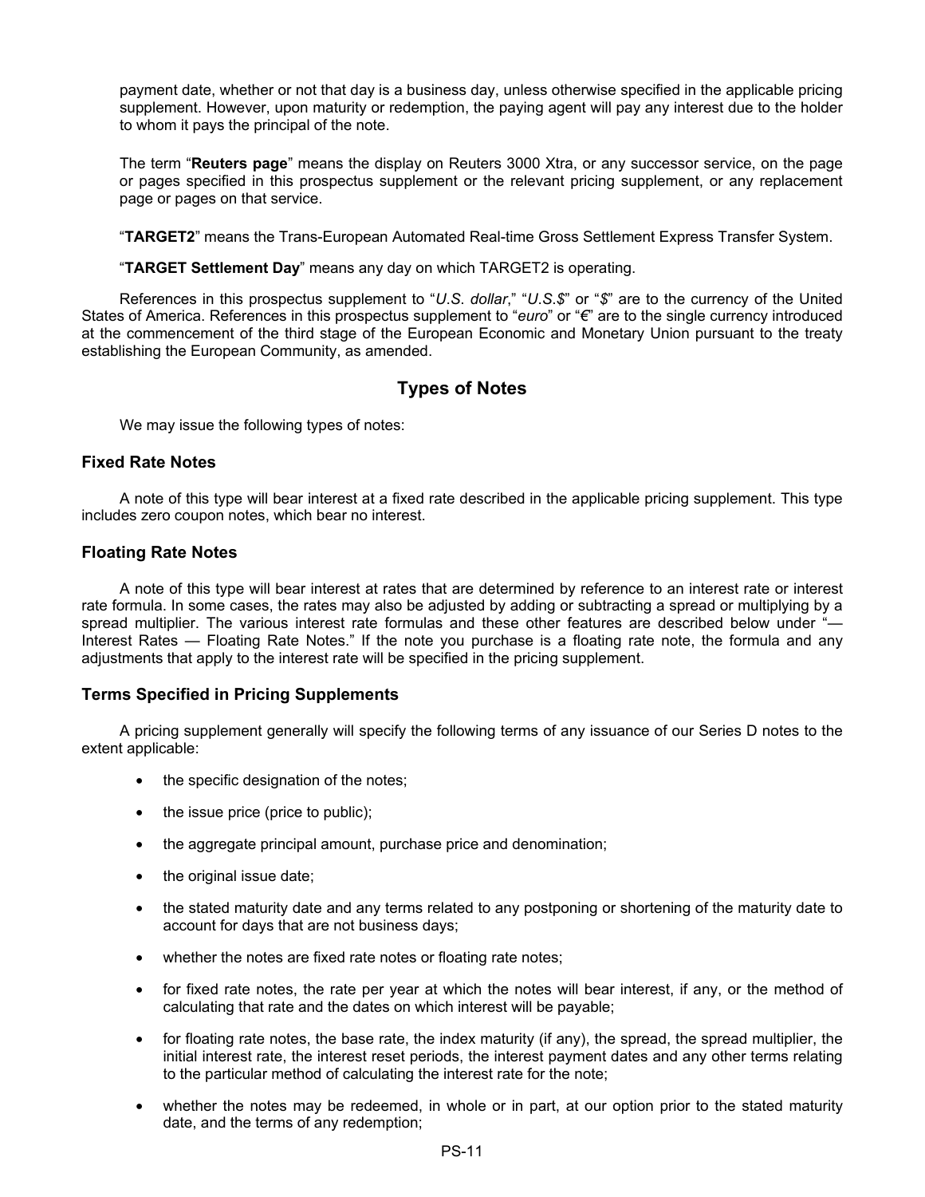payment date, whether or not that day is a business day, unless otherwise specified in the applicable pricing supplement. However, upon maturity or redemption, the paying agent will pay any interest due to the holder to whom it pays the principal of the note.

The term "**Reuters page**" means the display on Reuters 3000 Xtra, or any successor service, on the page or pages specified in this prospectus supplement or the relevant pricing supplement, or any replacement page or pages on that service.

"**TARGET2**" means the Trans-European Automated Real-time Gross Settlement Express Transfer System.

"**TARGET Settlement Day**" means any day on which TARGET2 is operating.

References in this prospectus supplement to "*U*.*S*. *dollar*," "*U*.*S*.*\$*" or "*\$*" are to the currency of the United States of America. References in this prospectus supplement to "*euro*" or "*€*" are to the single currency introduced at the commencement of the third stage of the European Economic and Monetary Union pursuant to the treaty establishing the European Community, as amended.

## **Types of Notes**

We may issue the following types of notes:

#### **Fixed Rate Notes**

A note of this type will bear interest at a fixed rate described in the applicable pricing supplement. This type includes zero coupon notes, which bear no interest.

#### **Floating Rate Notes**

A note of this type will bear interest at rates that are determined by reference to an interest rate or interest rate formula. In some cases, the rates may also be adjusted by adding or subtracting a spread or multiplying by a spread multiplier. The various interest rate formulas and these other features are described below under "-Interest Rates — Floating Rate Notes." If the note you purchase is a floating rate note, the formula and any adjustments that apply to the interest rate will be specified in the pricing supplement.

#### **Terms Specified in Pricing Supplements**

A pricing supplement generally will specify the following terms of any issuance of our Series D notes to the extent applicable:

- the specific designation of the notes;
- the issue price (price to public);
- the aggregate principal amount, purchase price and denomination;
- the original issue date;
- the stated maturity date and any terms related to any postponing or shortening of the maturity date to account for days that are not business days;
- whether the notes are fixed rate notes or floating rate notes;
- for fixed rate notes, the rate per year at which the notes will bear interest, if any, or the method of calculating that rate and the dates on which interest will be payable;
- for floating rate notes, the base rate, the index maturity (if any), the spread, the spread multiplier, the initial interest rate, the interest reset periods, the interest payment dates and any other terms relating to the particular method of calculating the interest rate for the note;
- whether the notes may be redeemed, in whole or in part, at our option prior to the stated maturity date, and the terms of any redemption;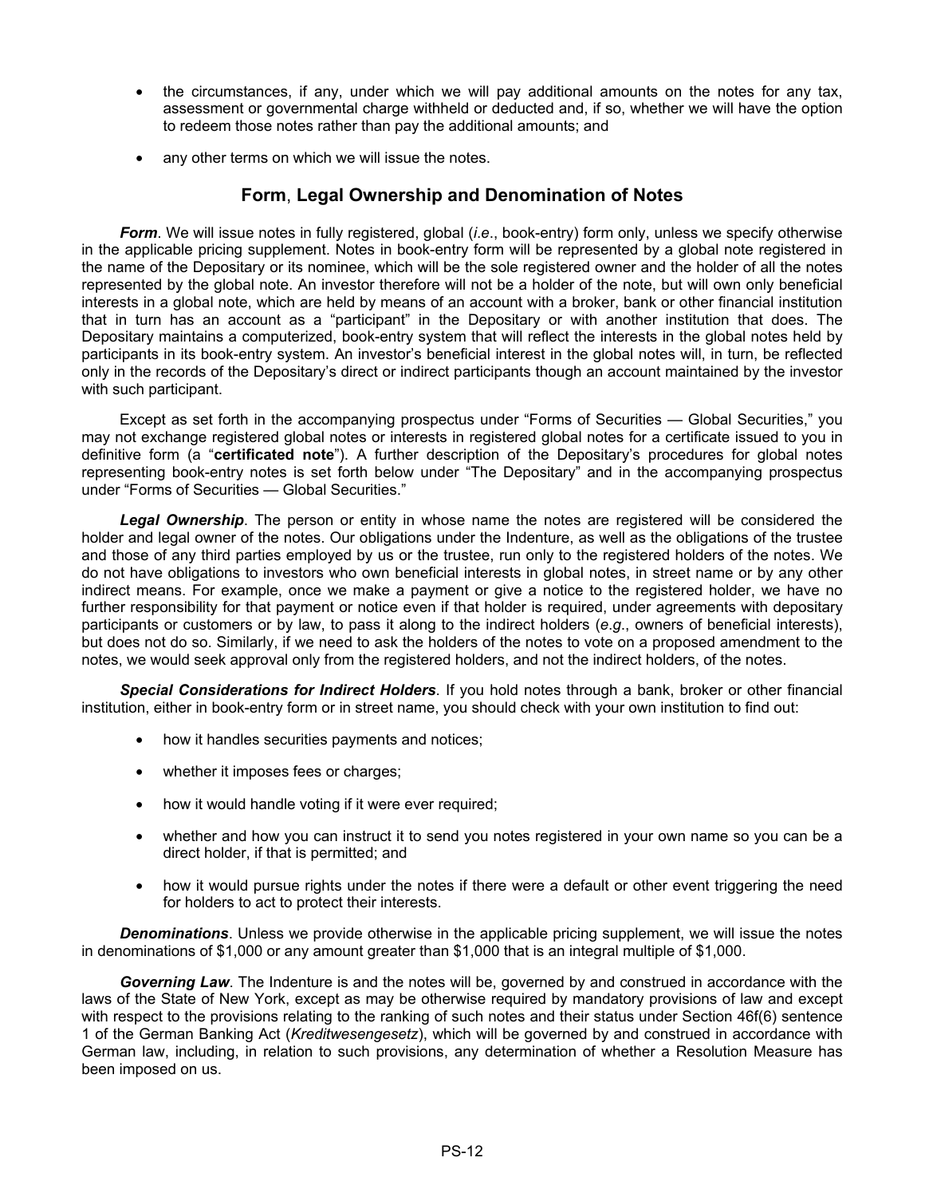- the circumstances, if any, under which we will pay additional amounts on the notes for any tax, assessment or governmental charge withheld or deducted and, if so, whether we will have the option to redeem those notes rather than pay the additional amounts; and
- any other terms on which we will issue the notes.

## **Form**, **Legal Ownership and Denomination of Notes**

*Form*. We will issue notes in fully registered, global (*i*.*e*., book-entry) form only, unless we specify otherwise in the applicable pricing supplement. Notes in book-entry form will be represented by a global note registered in the name of the Depositary or its nominee, which will be the sole registered owner and the holder of all the notes represented by the global note. An investor therefore will not be a holder of the note, but will own only beneficial interests in a global note, which are held by means of an account with a broker, bank or other financial institution that in turn has an account as a "participant" in the Depositary or with another institution that does. The Depositary maintains a computerized, book-entry system that will reflect the interests in the global notes held by participants in its book-entry system. An investor's beneficial interest in the global notes will, in turn, be reflected only in the records of the Depositary's direct or indirect participants though an account maintained by the investor with such participant.

Except as set forth in the accompanying prospectus under "Forms of Securities — Global Securities," you may not exchange registered global notes or interests in registered global notes for a certificate issued to you in definitive form (a "**certificated note**"). A further description of the Depositary's procedures for global notes representing book-entry notes is set forth below under "The Depositary" and in the accompanying prospectus under "Forms of Securities — Global Securities."

*Legal Ownership*. The person or entity in whose name the notes are registered will be considered the holder and legal owner of the notes. Our obligations under the Indenture, as well as the obligations of the trustee and those of any third parties employed by us or the trustee, run only to the registered holders of the notes. We do not have obligations to investors who own beneficial interests in global notes, in street name or by any other indirect means. For example, once we make a payment or give a notice to the registered holder, we have no further responsibility for that payment or notice even if that holder is required, under agreements with depositary participants or customers or by law, to pass it along to the indirect holders (*e*.*g*., owners of beneficial interests), but does not do so. Similarly, if we need to ask the holders of the notes to vote on a proposed amendment to the notes, we would seek approval only from the registered holders, and not the indirect holders, of the notes.

*Special Considerations for Indirect Holders*. If you hold notes through a bank, broker or other financial institution, either in book-entry form or in street name, you should check with your own institution to find out:

- how it handles securities payments and notices;
- whether it imposes fees or charges;
- how it would handle voting if it were ever required;
- whether and how you can instruct it to send you notes registered in your own name so you can be a direct holder, if that is permitted; and
- how it would pursue rights under the notes if there were a default or other event triggering the need for holders to act to protect their interests.

*Denominations*. Unless we provide otherwise in the applicable pricing supplement, we will issue the notes in denominations of \$1,000 or any amount greater than \$1,000 that is an integral multiple of \$1,000.

*Governing Law*. The Indenture is and the notes will be, governed by and construed in accordance with the laws of the State of New York, except as may be otherwise required by mandatory provisions of law and except with respect to the provisions relating to the ranking of such notes and their status under Section 46f(6) sentence 1 of the German Banking Act (*Kreditwesengesetz*), which will be governed by and construed in accordance with German law, including, in relation to such provisions, any determination of whether a Resolution Measure has been imposed on us.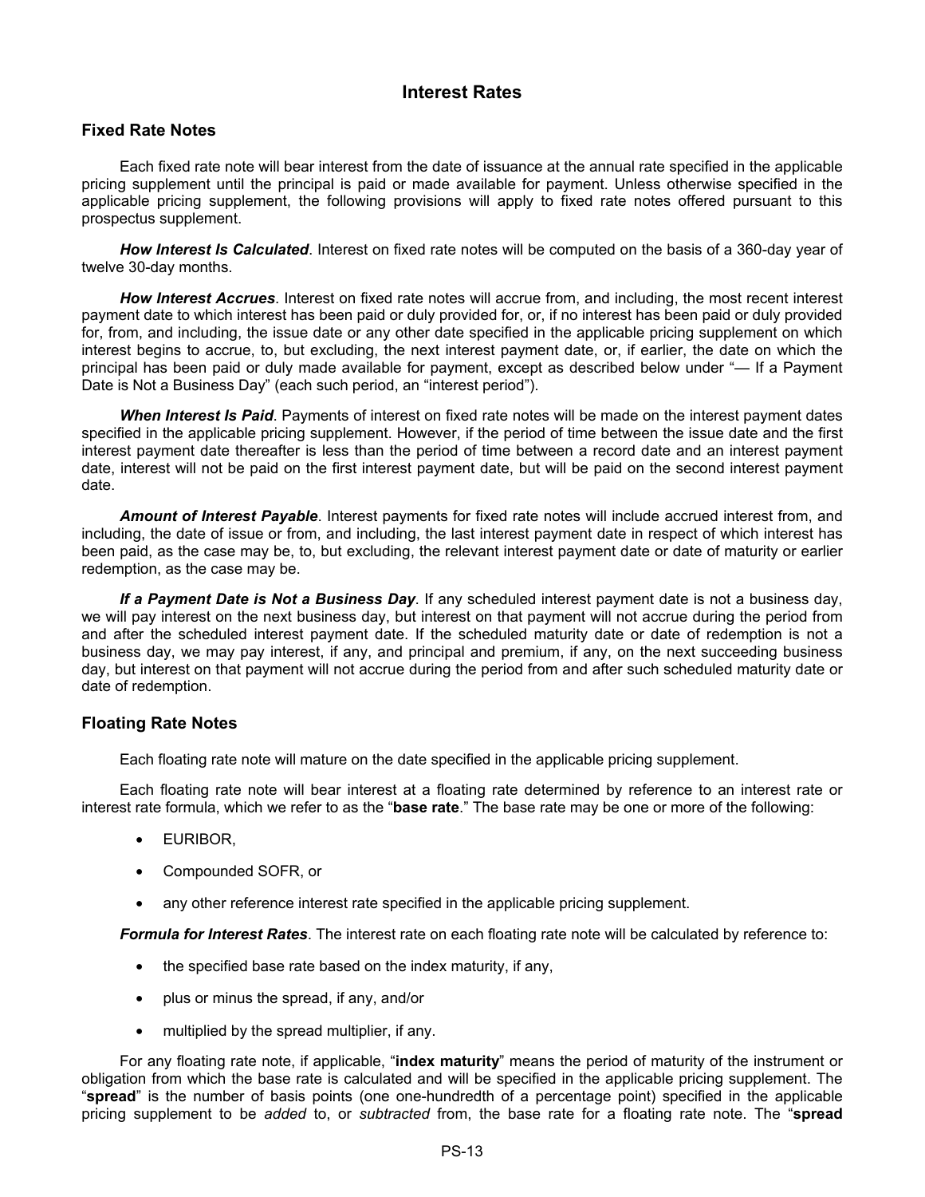## **Interest Rates**

#### **Fixed Rate Notes**

Each fixed rate note will bear interest from the date of issuance at the annual rate specified in the applicable pricing supplement until the principal is paid or made available for payment. Unless otherwise specified in the applicable pricing supplement, the following provisions will apply to fixed rate notes offered pursuant to this prospectus supplement.

*How Interest Is Calculated*. Interest on fixed rate notes will be computed on the basis of a 360-day year of twelve 30-day months.

*How Interest Accrues*. Interest on fixed rate notes will accrue from, and including, the most recent interest payment date to which interest has been paid or duly provided for, or, if no interest has been paid or duly provided for, from, and including, the issue date or any other date specified in the applicable pricing supplement on which interest begins to accrue, to, but excluding, the next interest payment date, or, if earlier, the date on which the principal has been paid or duly made available for payment, except as described below under "— If a Payment Date is Not a Business Day" (each such period, an "interest period").

*When Interest Is Paid*. Payments of interest on fixed rate notes will be made on the interest payment dates specified in the applicable pricing supplement. However, if the period of time between the issue date and the first interest payment date thereafter is less than the period of time between a record date and an interest payment date, interest will not be paid on the first interest payment date, but will be paid on the second interest payment date.

*Amount of Interest Payable*. Interest payments for fixed rate notes will include accrued interest from, and including, the date of issue or from, and including, the last interest payment date in respect of which interest has been paid, as the case may be, to, but excluding, the relevant interest payment date or date of maturity or earlier redemption, as the case may be.

*If a Payment Date is Not a Business Day*. If any scheduled interest payment date is not a business day, we will pay interest on the next business day, but interest on that payment will not accrue during the period from and after the scheduled interest payment date. If the scheduled maturity date or date of redemption is not a business day, we may pay interest, if any, and principal and premium, if any, on the next succeeding business day, but interest on that payment will not accrue during the period from and after such scheduled maturity date or date of redemption.

#### **Floating Rate Notes**

Each floating rate note will mature on the date specified in the applicable pricing supplement.

Each floating rate note will bear interest at a floating rate determined by reference to an interest rate or interest rate formula, which we refer to as the "**base rate**." The base rate may be one or more of the following:

- EURIBOR,
- Compounded SOFR, or
- any other reference interest rate specified in the applicable pricing supplement.

*Formula for Interest Rates*. The interest rate on each floating rate note will be calculated by reference to:

- the specified base rate based on the index maturity, if any,
- plus or minus the spread, if any, and/or
- multiplied by the spread multiplier, if any.

For any floating rate note, if applicable, "**index maturity**" means the period of maturity of the instrument or obligation from which the base rate is calculated and will be specified in the applicable pricing supplement. The "**spread**" is the number of basis points (one one-hundredth of a percentage point) specified in the applicable pricing supplement to be *added* to, or *subtracted* from, the base rate for a floating rate note. The "**spread**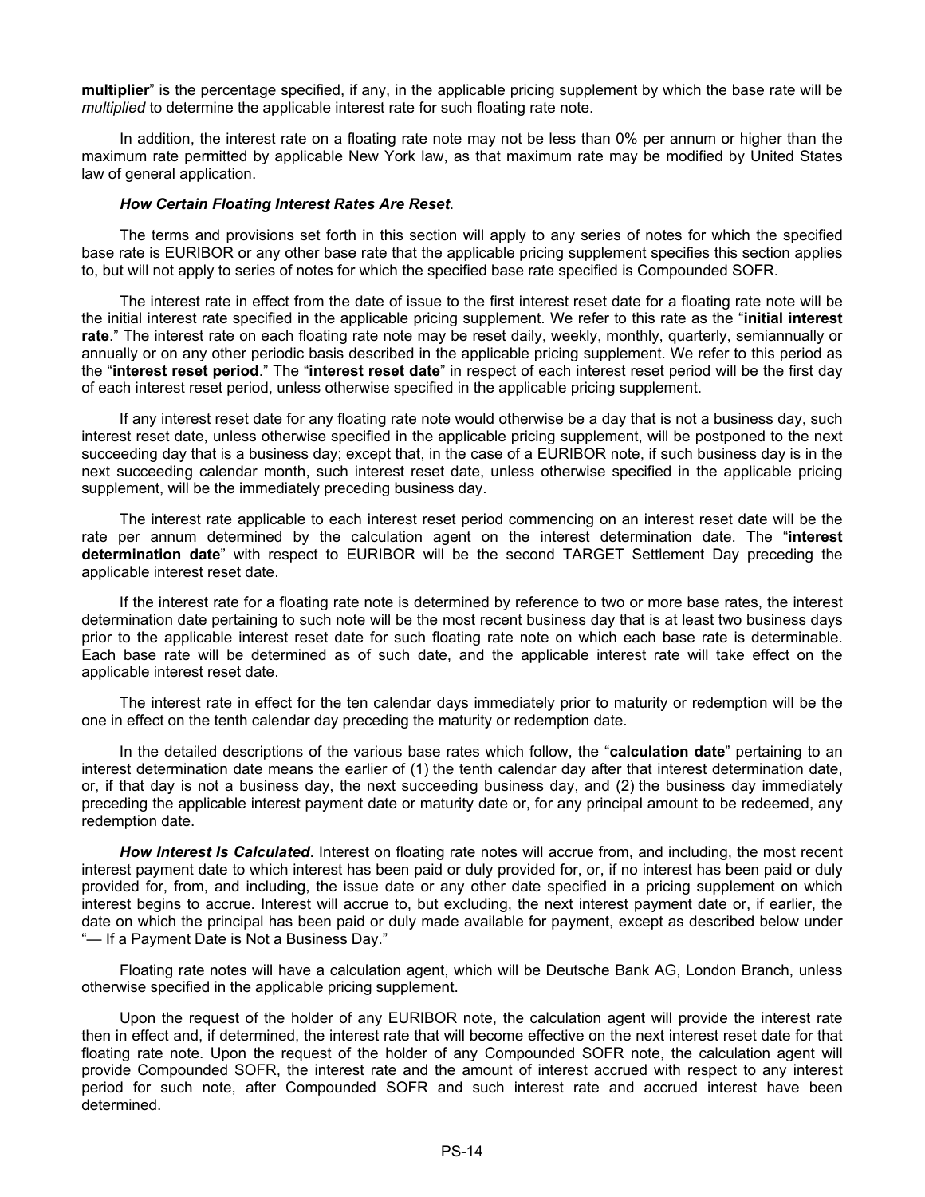**multiplier**" is the percentage specified, if any, in the applicable pricing supplement by which the base rate will be *multiplied* to determine the applicable interest rate for such floating rate note.

In addition, the interest rate on a floating rate note may not be less than 0% per annum or higher than the maximum rate permitted by applicable New York law, as that maximum rate may be modified by United States law of general application.

#### *How Certain Floating Interest Rates Are Reset*.

The terms and provisions set forth in this section will apply to any series of notes for which the specified base rate is EURIBOR or any other base rate that the applicable pricing supplement specifies this section applies to, but will not apply to series of notes for which the specified base rate specified is Compounded SOFR.

The interest rate in effect from the date of issue to the first interest reset date for a floating rate note will be the initial interest rate specified in the applicable pricing supplement. We refer to this rate as the "**initial interest rate**." The interest rate on each floating rate note may be reset daily, weekly, monthly, quarterly, semiannually or annually or on any other periodic basis described in the applicable pricing supplement. We refer to this period as the "**interest reset period**." The "**interest reset date**" in respect of each interest reset period will be the first day of each interest reset period, unless otherwise specified in the applicable pricing supplement.

If any interest reset date for any floating rate note would otherwise be a day that is not a business day, such interest reset date, unless otherwise specified in the applicable pricing supplement, will be postponed to the next succeeding day that is a business day; except that, in the case of a EURIBOR note, if such business day is in the next succeeding calendar month, such interest reset date, unless otherwise specified in the applicable pricing supplement, will be the immediately preceding business day.

The interest rate applicable to each interest reset period commencing on an interest reset date will be the rate per annum determined by the calculation agent on the interest determination date. The "**interest determination date**" with respect to EURIBOR will be the second TARGET Settlement Day preceding the applicable interest reset date.

If the interest rate for a floating rate note is determined by reference to two or more base rates, the interest determination date pertaining to such note will be the most recent business day that is at least two business days prior to the applicable interest reset date for such floating rate note on which each base rate is determinable. Each base rate will be determined as of such date, and the applicable interest rate will take effect on the applicable interest reset date.

The interest rate in effect for the ten calendar days immediately prior to maturity or redemption will be the one in effect on the tenth calendar day preceding the maturity or redemption date.

In the detailed descriptions of the various base rates which follow, the "**calculation date**" pertaining to an interest determination date means the earlier of (1) the tenth calendar day after that interest determination date, or, if that day is not a business day, the next succeeding business day, and (2) the business day immediately preceding the applicable interest payment date or maturity date or, for any principal amount to be redeemed, any redemption date.

*How Interest Is Calculated*. Interest on floating rate notes will accrue from, and including, the most recent interest payment date to which interest has been paid or duly provided for, or, if no interest has been paid or duly provided for, from, and including, the issue date or any other date specified in a pricing supplement on which interest begins to accrue. Interest will accrue to, but excluding, the next interest payment date or, if earlier, the date on which the principal has been paid or duly made available for payment, except as described below under "— If a Payment Date is Not a Business Day."

Floating rate notes will have a calculation agent, which will be Deutsche Bank AG, London Branch, unless otherwise specified in the applicable pricing supplement.

Upon the request of the holder of any EURIBOR note, the calculation agent will provide the interest rate then in effect and, if determined, the interest rate that will become effective on the next interest reset date for that floating rate note. Upon the request of the holder of any Compounded SOFR note, the calculation agent will provide Compounded SOFR, the interest rate and the amount of interest accrued with respect to any interest period for such note, after Compounded SOFR and such interest rate and accrued interest have been determined.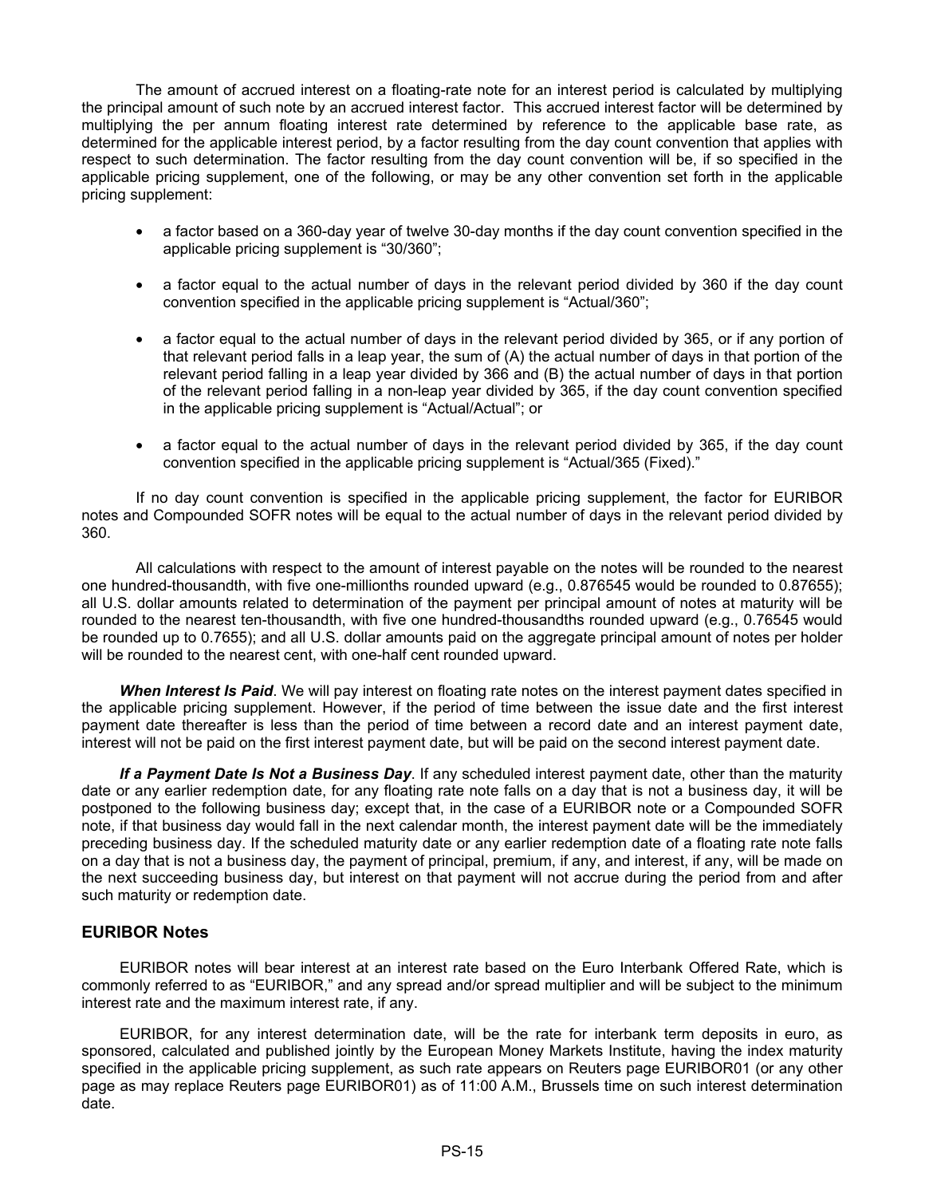The amount of accrued interest on a floating-rate note for an interest period is calculated by multiplying the principal amount of such note by an accrued interest factor. This accrued interest factor will be determined by multiplying the per annum floating interest rate determined by reference to the applicable base rate, as determined for the applicable interest period, by a factor resulting from the day count convention that applies with respect to such determination. The factor resulting from the day count convention will be, if so specified in the applicable pricing supplement, one of the following, or may be any other convention set forth in the applicable pricing supplement:

- a factor based on a 360-day year of twelve 30-day months if the day count convention specified in the applicable pricing supplement is "30/360";
- a factor equal to the actual number of days in the relevant period divided by 360 if the day count convention specified in the applicable pricing supplement is "Actual/360";
- a factor equal to the actual number of days in the relevant period divided by 365, or if any portion of that relevant period falls in a leap year, the sum of (A) the actual number of days in that portion of the relevant period falling in a leap year divided by 366 and (B) the actual number of days in that portion of the relevant period falling in a non-leap year divided by 365, if the day count convention specified in the applicable pricing supplement is "Actual/Actual"; or
- a factor equal to the actual number of days in the relevant period divided by 365, if the day count convention specified in the applicable pricing supplement is "Actual/365 (Fixed)."

If no day count convention is specified in the applicable pricing supplement, the factor for EURIBOR notes and Compounded SOFR notes will be equal to the actual number of days in the relevant period divided by 360.

All calculations with respect to the amount of interest payable on the notes will be rounded to the nearest one hundred-thousandth, with five one-millionths rounded upward (e.g., 0.876545 would be rounded to 0.87655); all U.S. dollar amounts related to determination of the payment per principal amount of notes at maturity will be rounded to the nearest ten-thousandth, with five one hundred-thousandths rounded upward (e.g., 0.76545 would be rounded up to 0.7655); and all U.S. dollar amounts paid on the aggregate principal amount of notes per holder will be rounded to the nearest cent, with one-half cent rounded upward.

*When Interest Is Paid*. We will pay interest on floating rate notes on the interest payment dates specified in the applicable pricing supplement. However, if the period of time between the issue date and the first interest payment date thereafter is less than the period of time between a record date and an interest payment date, interest will not be paid on the first interest payment date, but will be paid on the second interest payment date.

*If a Payment Date Is Not a Business Day*. If any scheduled interest payment date, other than the maturity date or any earlier redemption date, for any floating rate note falls on a day that is not a business day, it will be postponed to the following business day; except that, in the case of a EURIBOR note or a Compounded SOFR note, if that business day would fall in the next calendar month, the interest payment date will be the immediately preceding business day. If the scheduled maturity date or any earlier redemption date of a floating rate note falls on a day that is not a business day, the payment of principal, premium, if any, and interest, if any, will be made on the next succeeding business day, but interest on that payment will not accrue during the period from and after such maturity or redemption date.

#### **EURIBOR Notes**

EURIBOR notes will bear interest at an interest rate based on the Euro Interbank Offered Rate, which is commonly referred to as "EURIBOR," and any spread and/or spread multiplier and will be subject to the minimum interest rate and the maximum interest rate, if any.

EURIBOR, for any interest determination date, will be the rate for interbank term deposits in euro, as sponsored, calculated and published jointly by the European Money Markets Institute, having the index maturity specified in the applicable pricing supplement, as such rate appears on Reuters page EURIBOR01 (or any other page as may replace Reuters page EURIBOR01) as of 11:00 A.M., Brussels time on such interest determination date.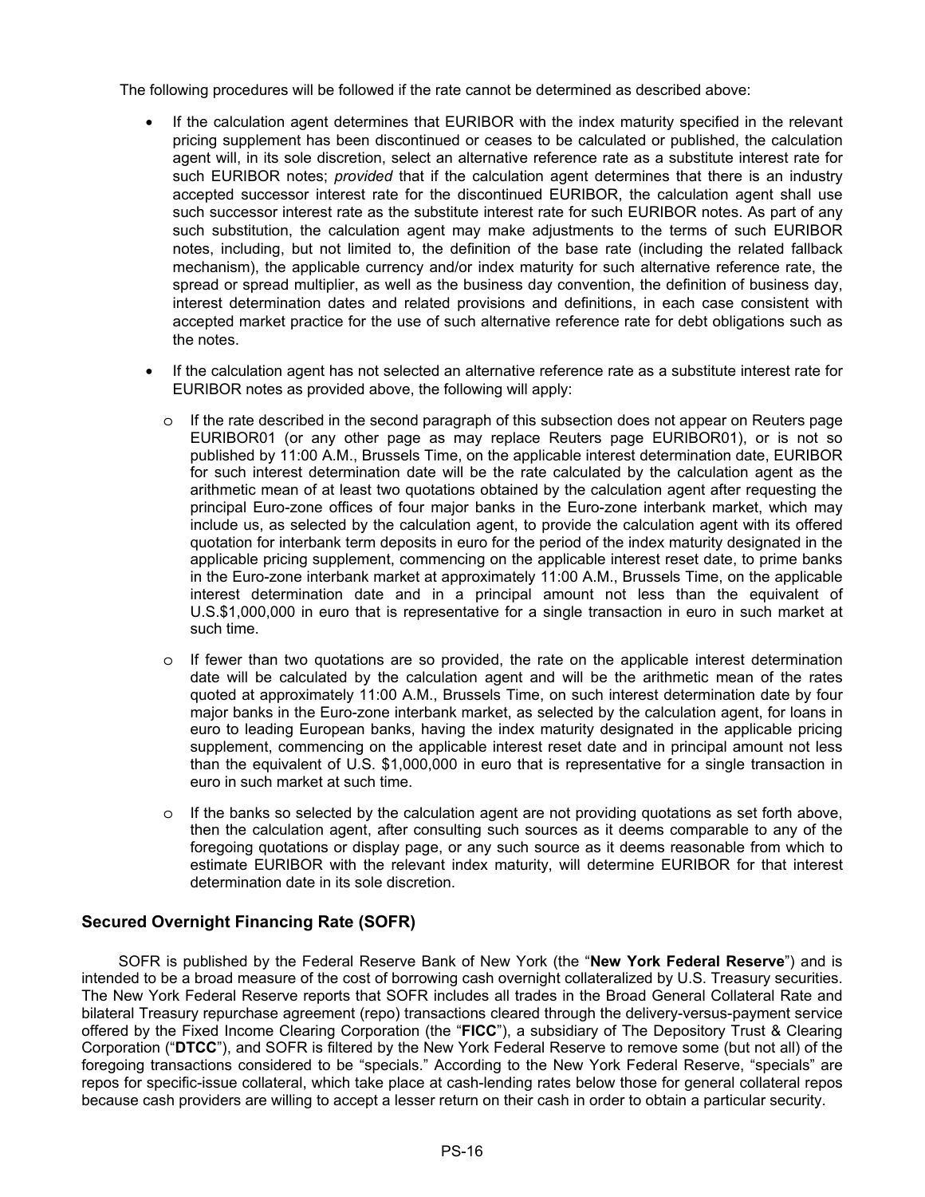The following procedures will be followed if the rate cannot be determined as described above:

- If the calculation agent determines that EURIBOR with the index maturity specified in the relevant pricing supplement has been discontinued or ceases to be calculated or published, the calculation agent will, in its sole discretion, select an alternative reference rate as a substitute interest rate for such EURIBOR notes; *provided* that if the calculation agent determines that there is an industry accepted successor interest rate for the discontinued EURIBOR, the calculation agent shall use such successor interest rate as the substitute interest rate for such EURIBOR notes. As part of any such substitution, the calculation agent may make adjustments to the terms of such EURIBOR notes, including, but not limited to, the definition of the base rate (including the related fallback mechanism), the applicable currency and/or index maturity for such alternative reference rate, the spread or spread multiplier, as well as the business day convention, the definition of business day, interest determination dates and related provisions and definitions, in each case consistent with accepted market practice for the use of such alternative reference rate for debt obligations such as the notes.
- If the calculation agent has not selected an alternative reference rate as a substitute interest rate for EURIBOR notes as provided above, the following will apply:
	- o If the rate described in the second paragraph of this subsection does not appear on Reuters page EURIBOR01 (or any other page as may replace Reuters page EURIBOR01), or is not so published by 11:00 A.M., Brussels Time, on the applicable interest determination date, EURIBOR for such interest determination date will be the rate calculated by the calculation agent as the arithmetic mean of at least two quotations obtained by the calculation agent after requesting the principal Euro-zone offices of four major banks in the Euro-zone interbank market, which may include us, as selected by the calculation agent, to provide the calculation agent with its offered quotation for interbank term deposits in euro for the period of the index maturity designated in the applicable pricing supplement, commencing on the applicable interest reset date, to prime banks in the Euro-zone interbank market at approximately 11:00 A.M., Brussels Time, on the applicable interest determination date and in a principal amount not less than the equivalent of U.S.\$1,000,000 in euro that is representative for a single transaction in euro in such market at such time.
	- $\circ$  If fewer than two quotations are so provided, the rate on the applicable interest determination date will be calculated by the calculation agent and will be the arithmetic mean of the rates quoted at approximately 11:00 A.M., Brussels Time, on such interest determination date by four major banks in the Euro-zone interbank market, as selected by the calculation agent, for loans in euro to leading European banks, having the index maturity designated in the applicable pricing supplement, commencing on the applicable interest reset date and in principal amount not less than the equivalent of U.S. \$1,000,000 in euro that is representative for a single transaction in euro in such market at such time.
	- $\circ$  If the banks so selected by the calculation agent are not providing quotations as set forth above, then the calculation agent, after consulting such sources as it deems comparable to any of the foregoing quotations or display page, or any such source as it deems reasonable from which to estimate EURIBOR with the relevant index maturity, will determine EURIBOR for that interest determination date in its sole discretion.

## **Secured Overnight Financing Rate (SOFR)**

SOFR is published by the Federal Reserve Bank of New York (the "**New York Federal Reserve**") and is intended to be a broad measure of the cost of borrowing cash overnight collateralized by U.S. Treasury securities. The New York Federal Reserve reports that SOFR includes all trades in the Broad General Collateral Rate and bilateral Treasury repurchase agreement (repo) transactions cleared through the delivery-versus-payment service offered by the Fixed Income Clearing Corporation (the "**FICC**"), a subsidiary of The Depository Trust & Clearing Corporation ("**DTCC**"), and SOFR is filtered by the New York Federal Reserve to remove some (but not all) of the foregoing transactions considered to be "specials." According to the New York Federal Reserve, "specials" are repos for specific-issue collateral, which take place at cash-lending rates below those for general collateral repos because cash providers are willing to accept a lesser return on their cash in order to obtain a particular security.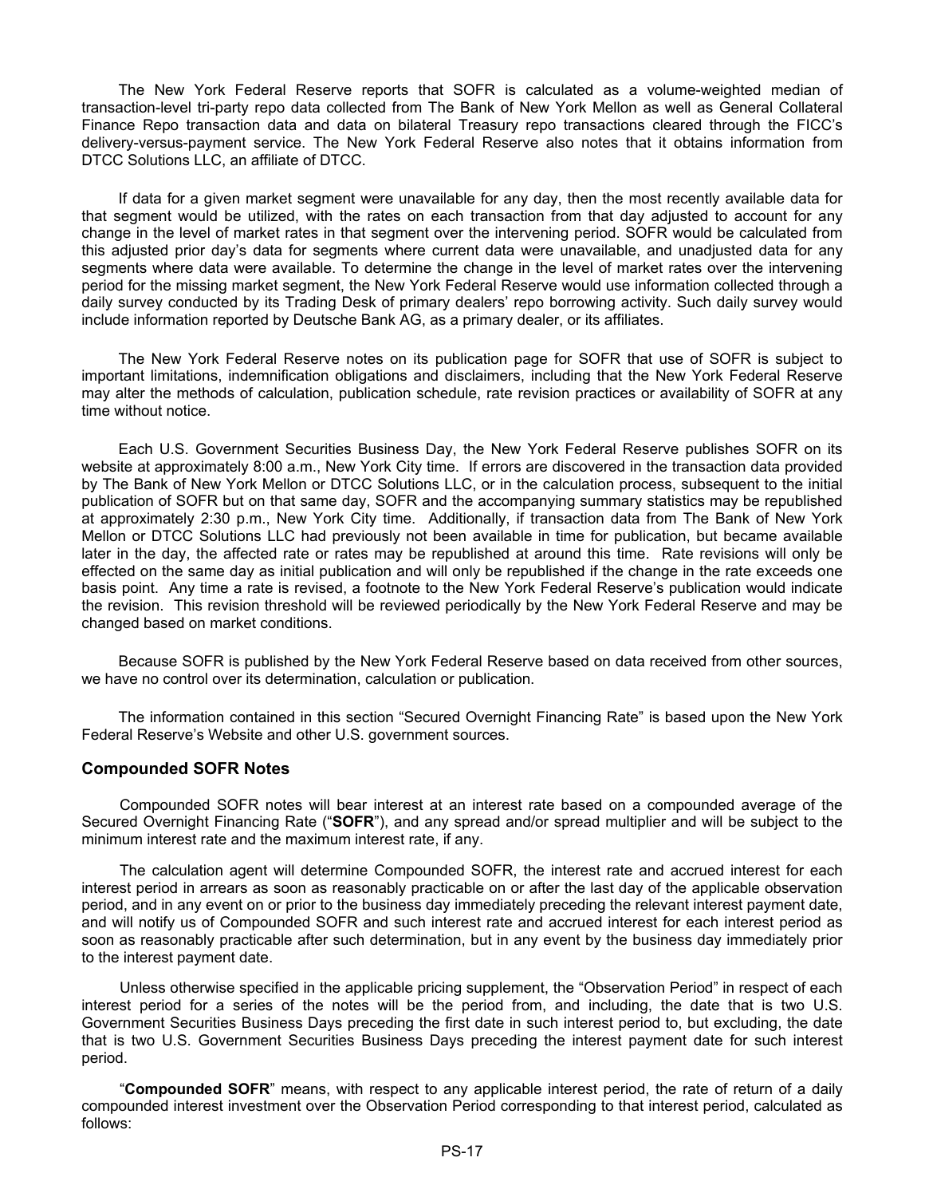The New York Federal Reserve reports that SOFR is calculated as a volume-weighted median of transaction-level tri-party repo data collected from The Bank of New York Mellon as well as General Collateral Finance Repo transaction data and data on bilateral Treasury repo transactions cleared through the FICC's delivery-versus-payment service. The New York Federal Reserve also notes that it obtains information from DTCC Solutions LLC, an affiliate of DTCC.

If data for a given market segment were unavailable for any day, then the most recently available data for that segment would be utilized, with the rates on each transaction from that day adjusted to account for any change in the level of market rates in that segment over the intervening period. SOFR would be calculated from this adjusted prior day's data for segments where current data were unavailable, and unadjusted data for any segments where data were available. To determine the change in the level of market rates over the intervening period for the missing market segment, the New York Federal Reserve would use information collected through a daily survey conducted by its Trading Desk of primary dealers' repo borrowing activity. Such daily survey would include information reported by Deutsche Bank AG, as a primary dealer, or its affiliates.

The New York Federal Reserve notes on its publication page for SOFR that use of SOFR is subject to important limitations, indemnification obligations and disclaimers, including that the New York Federal Reserve may alter the methods of calculation, publication schedule, rate revision practices or availability of SOFR at any time without notice.

Each U.S. Government Securities Business Day, the New York Federal Reserve publishes SOFR on its website at approximately 8:00 a.m., New York City time. If errors are discovered in the transaction data provided by The Bank of New York Mellon or DTCC Solutions LLC, or in the calculation process, subsequent to the initial publication of SOFR but on that same day, SOFR and the accompanying summary statistics may be republished at approximately 2:30 p.m., New York City time. Additionally, if transaction data from The Bank of New York Mellon or DTCC Solutions LLC had previously not been available in time for publication, but became available later in the day, the affected rate or rates may be republished at around this time. Rate revisions will only be effected on the same day as initial publication and will only be republished if the change in the rate exceeds one basis point. Any time a rate is revised, a footnote to the New York Federal Reserve's publication would indicate the revision. This revision threshold will be reviewed periodically by the New York Federal Reserve and may be changed based on market conditions.

Because SOFR is published by the New York Federal Reserve based on data received from other sources, we have no control over its determination, calculation or publication.

The information contained in this section "Secured Overnight Financing Rate" is based upon the New York Federal Reserve's Website and other U.S. government sources.

#### **Compounded SOFR Notes**

Compounded SOFR notes will bear interest at an interest rate based on a compounded average of the Secured Overnight Financing Rate ("**SOFR**"), and any spread and/or spread multiplier and will be subject to the minimum interest rate and the maximum interest rate, if any.

The calculation agent will determine Compounded SOFR, the interest rate and accrued interest for each interest period in arrears as soon as reasonably practicable on or after the last day of the applicable observation period, and in any event on or prior to the business day immediately preceding the relevant interest payment date, and will notify us of Compounded SOFR and such interest rate and accrued interest for each interest period as soon as reasonably practicable after such determination, but in any event by the business day immediately prior to the interest payment date.

Unless otherwise specified in the applicable pricing supplement, the "Observation Period" in respect of each interest period for a series of the notes will be the period from, and including, the date that is two U.S. Government Securities Business Days preceding the first date in such interest period to, but excluding, the date that is two U.S. Government Securities Business Days preceding the interest payment date for such interest period.

"**Compounded SOFR**" means, with respect to any applicable interest period, the rate of return of a daily compounded interest investment over the Observation Period corresponding to that interest period, calculated as follows: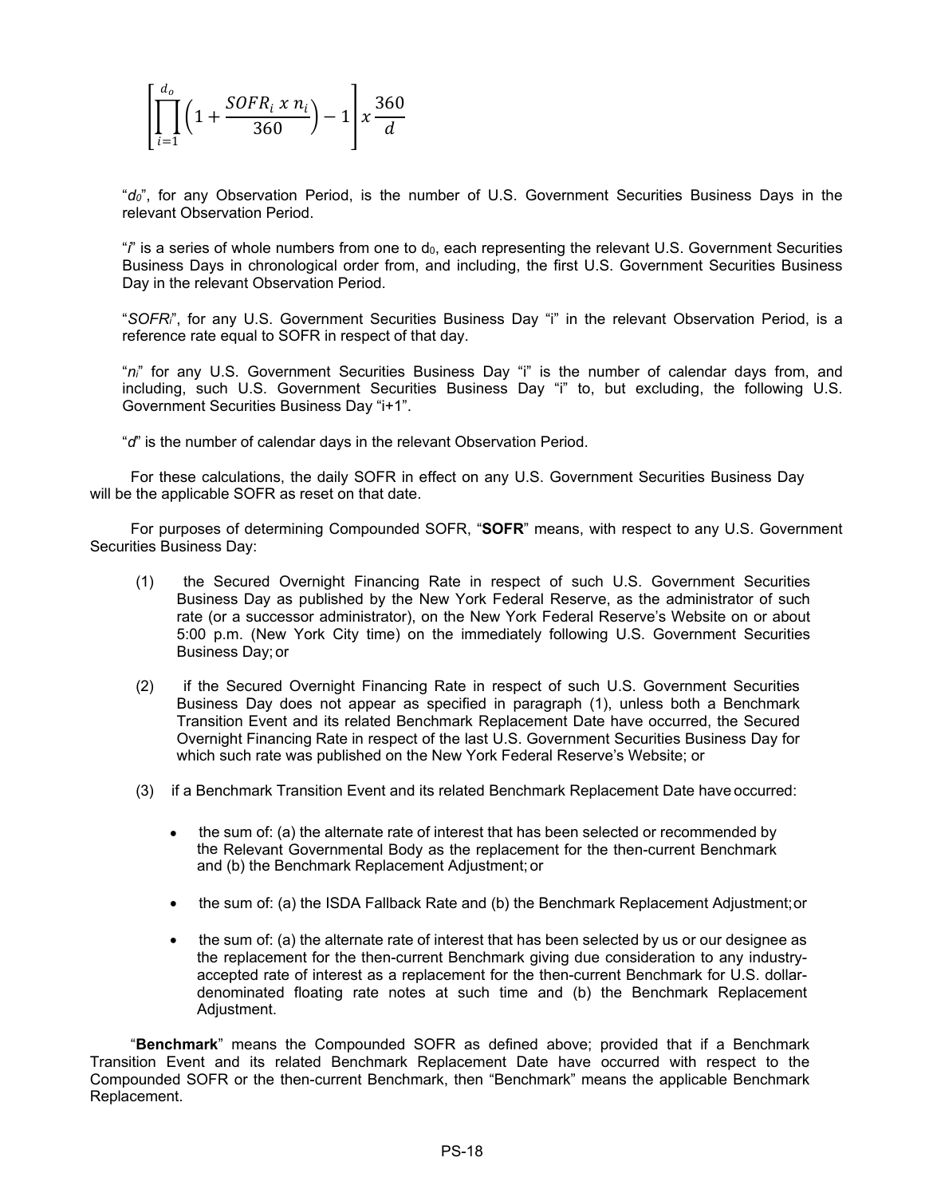$$
\left[\prod_{i=1}^{d_o} \left(1 + \frac{SOFR_i \times n_i}{360}\right) - 1\right] x \frac{360}{d}
$$

"*d0*", for any Observation Period, is the number of U.S. Government Securities Business Days in the relevant Observation Period.

"*i*" is a series of whole numbers from one to d<sub>0</sub>, each representing the relevant U.S. Government Securities Business Days in chronological order from, and including, the first U.S. Government Securities Business Day in the relevant Observation Period.

"*SOFRi*", for any U.S. Government Securities Business Day "i" in the relevant Observation Period, is a reference rate equal to SOFR in respect of that day.

"*ni*" for any U.S. Government Securities Business Day "i" is the number of calendar days from, and including, such U.S. Government Securities Business Day "i" to, but excluding, the following U.S. Government Securities Business Day "i+1".

"*d*" is the number of calendar days in the relevant Observation Period.

For these calculations, the daily SOFR in effect on any U.S. Government Securities Business Day will be the applicable SOFR as reset on that date.

For purposes of determining Compounded SOFR, "**SOFR**" means, with respect to any U.S. Government Securities Business Day:

- (1) the Secured Overnight Financing Rate in respect of such U.S. Government Securities Business Day as published by the New York Federal Reserve, as the administrator of such rate (or a successor administrator), on the New York Federal Reserve's Website on or about 5:00 p.m. (New York City time) on the immediately following U.S. Government Securities Business Day; or
- (2) if the Secured Overnight Financing Rate in respect of such U.S. Government Securities Business Day does not appear as specified in paragraph (1), unless both a Benchmark Transition Event and its related Benchmark Replacement Date have occurred, the Secured Overnight Financing Rate in respect of the last U.S. Government Securities Business Day for which such rate was published on the New York Federal Reserve's Website; or
- (3) if a Benchmark Transition Event and its related Benchmark Replacement Date have occurred:
	- the sum of: (a) the alternate rate of interest that has been selected or recommended by the Relevant Governmental Body as the replacement for the then-current Benchmark and (b) the Benchmark Replacement Adjustment; or
	- the sum of: (a) the ISDA Fallback Rate and (b) the Benchmark Replacement Adjustment; or
	- the sum of: (a) the alternate rate of interest that has been selected by us or our designee as the replacement for the then-current Benchmark giving due consideration to any industryaccepted rate of interest as a replacement for the then-current Benchmark for U.S. dollardenominated floating rate notes at such time and (b) the Benchmark Replacement Adjustment.

"**Benchmark**" means the Compounded SOFR as defined above; provided that if a Benchmark Transition Event and its related Benchmark Replacement Date have occurred with respect to the Compounded SOFR or the then-current Benchmark, then "Benchmark" means the applicable Benchmark Replacement.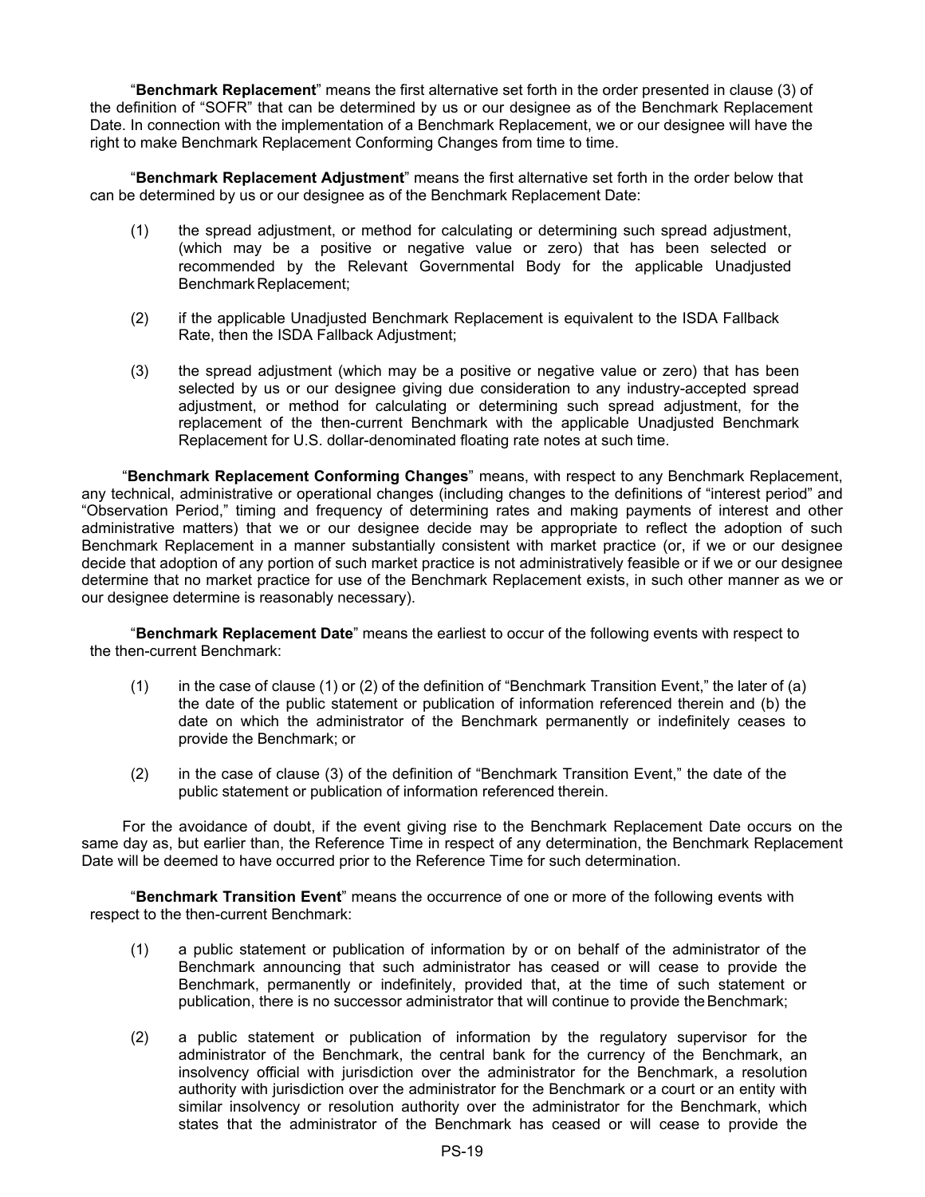"**Benchmark Replacement**" means the first alternative set forth in the order presented in clause (3) of the definition of "SOFR" that can be determined by us or our designee as of the Benchmark Replacement Date. In connection with the implementation of a Benchmark Replacement, we or our designee will have the right to make Benchmark Replacement Conforming Changes from time to time.

"**Benchmark Replacement Adjustment**" means the first alternative set forth in the order below that can be determined by us or our designee as of the Benchmark Replacement Date:

- (1) the spread adjustment, or method for calculating or determining such spread adjustment, (which may be a positive or negative value or zero) that has been selected or recommended by the Relevant Governmental Body for the applicable Unadjusted Benchmark Replacement;
- (2) if the applicable Unadjusted Benchmark Replacement is equivalent to the ISDA Fallback Rate, then the ISDA Fallback Adjustment;
- (3) the spread adjustment (which may be a positive or negative value or zero) that has been selected by us or our designee giving due consideration to any industry-accepted spread adjustment, or method for calculating or determining such spread adjustment, for the replacement of the then-current Benchmark with the applicable Unadjusted Benchmark Replacement for U.S. dollar-denominated floating rate notes at such time.

"**Benchmark Replacement Conforming Changes**" means, with respect to any Benchmark Replacement, any technical, administrative or operational changes (including changes to the definitions of "interest period" and "Observation Period," timing and frequency of determining rates and making payments of interest and other administrative matters) that we or our designee decide may be appropriate to reflect the adoption of such Benchmark Replacement in a manner substantially consistent with market practice (or, if we or our designee decide that adoption of any portion of such market practice is not administratively feasible or if we or our designee determine that no market practice for use of the Benchmark Replacement exists, in such other manner as we or our designee determine is reasonably necessary).

"**Benchmark Replacement Date**" means the earliest to occur of the following events with respect to the then-current Benchmark:

- (1) in the case of clause (1) or (2) of the definition of "Benchmark Transition Event," the later of (a) the date of the public statement or publication of information referenced therein and (b) the date on which the administrator of the Benchmark permanently or indefinitely ceases to provide the Benchmark; or
- (2) in the case of clause (3) of the definition of "Benchmark Transition Event," the date of the public statement or publication of information referenced therein.

For the avoidance of doubt, if the event giving rise to the Benchmark Replacement Date occurs on the same day as, but earlier than, the Reference Time in respect of any determination, the Benchmark Replacement Date will be deemed to have occurred prior to the Reference Time for such determination.

"**Benchmark Transition Event**" means the occurrence of one or more of the following events with respect to the then-current Benchmark:

- (1) a public statement or publication of information by or on behalf of the administrator of the Benchmark announcing that such administrator has ceased or will cease to provide the Benchmark, permanently or indefinitely, provided that, at the time of such statement or publication, there is no successor administrator that will continue to provide the Benchmark;
- (2) a public statement or publication of information by the regulatory supervisor for the administrator of the Benchmark, the central bank for the currency of the Benchmark, an insolvency official with jurisdiction over the administrator for the Benchmark, a resolution authority with jurisdiction over the administrator for the Benchmark or a court or an entity with similar insolvency or resolution authority over the administrator for the Benchmark, which states that the administrator of the Benchmark has ceased or will cease to provide the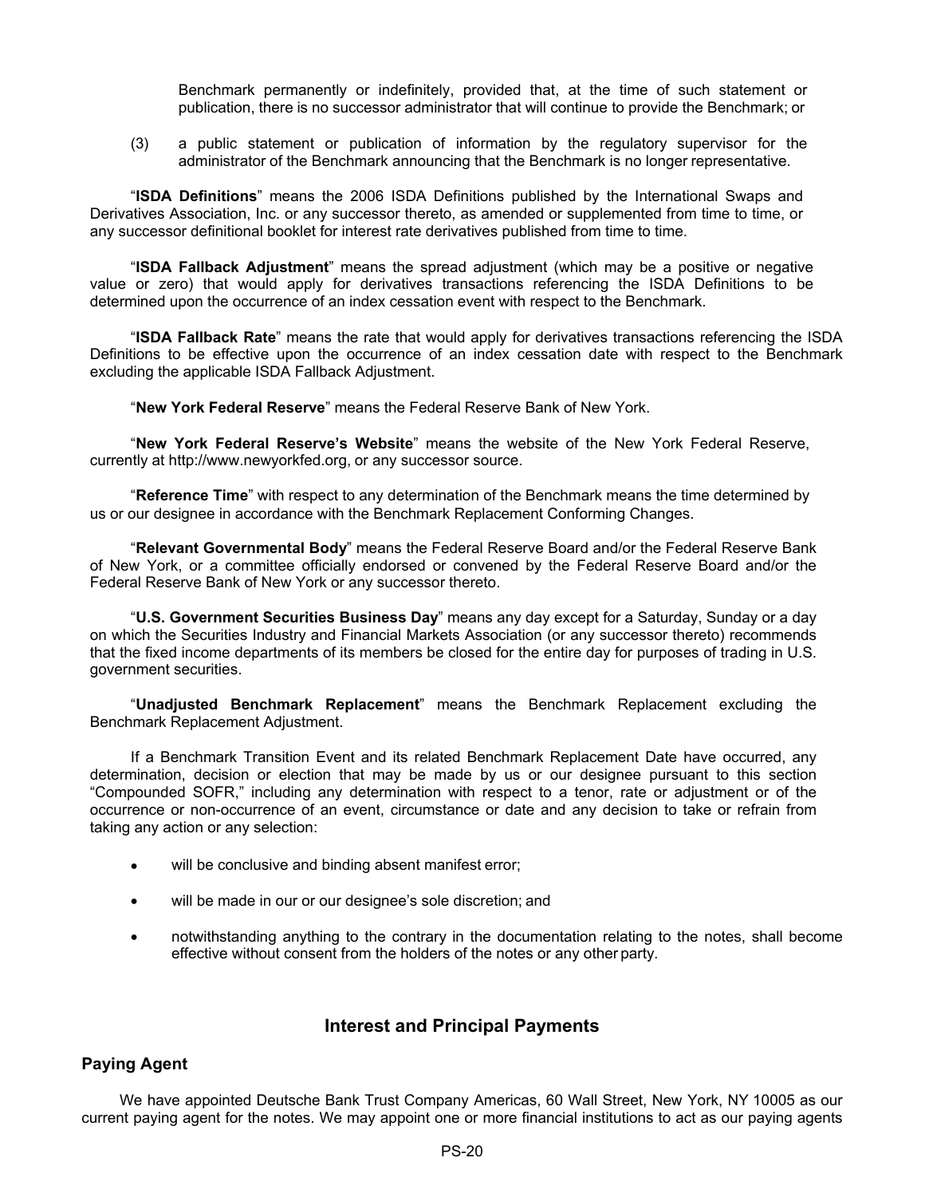Benchmark permanently or indefinitely, provided that, at the time of such statement or publication, there is no successor administrator that will continue to provide the Benchmark; or

(3) a public statement or publication of information by the regulatory supervisor for the administrator of the Benchmark announcing that the Benchmark is no longer representative.

"**ISDA Definitions**" means the 2006 ISDA Definitions published by the International Swaps and Derivatives Association, Inc. or any successor thereto, as amended or supplemented from time to time, or any successor definitional booklet for interest rate derivatives published from time to time.

"**ISDA Fallback Adjustment**" means the spread adjustment (which may be a positive or negative value or zero) that would apply for derivatives transactions referencing the ISDA Definitions to be determined upon the occurrence of an index cessation event with respect to the Benchmark.

"**ISDA Fallback Rate**" means the rate that would apply for derivatives transactions referencing the ISDA Definitions to be effective upon the occurrence of an index cessation date with respect to the Benchmark excluding the applicable ISDA Fallback Adjustment.

"**New York Federal Reserve**" means the Federal Reserve Bank of New York.

"**New York Federal Reserve's Website**" means the website of the New York Federal Reserve, currently at http://www.newyorkfed.org, or any successor source.

"**Reference Time**" with respect to any determination of the Benchmark means the time determined by us or our designee in accordance with the Benchmark Replacement Conforming Changes.

"**Relevant Governmental Body**" means the Federal Reserve Board and/or the Federal Reserve Bank of New York, or a committee officially endorsed or convened by the Federal Reserve Board and/or the Federal Reserve Bank of New York or any successor thereto.

"**U.S. Government Securities Business Day**" means any day except for a Saturday, Sunday or a day on which the Securities Industry and Financial Markets Association (or any successor thereto) recommends that the fixed income departments of its members be closed for the entire day for purposes of trading in U.S. government securities.

"**Unadjusted Benchmark Replacement**" means the Benchmark Replacement excluding the Benchmark Replacement Adjustment.

If a Benchmark Transition Event and its related Benchmark Replacement Date have occurred, any determination, decision or election that may be made by us or our designee pursuant to this section "Compounded SOFR," including any determination with respect to a tenor, rate or adjustment or of the occurrence or non-occurrence of an event, circumstance or date and any decision to take or refrain from taking any action or any selection:

- will be conclusive and binding absent manifest error;
- will be made in our or our designee's sole discretion; and
- notwithstanding anything to the contrary in the documentation relating to the notes, shall become effective without consent from the holders of the notes or any other party*.*

#### **Interest and Principal Payments**

#### **Paying Agent**

We have appointed Deutsche Bank Trust Company Americas, 60 Wall Street, New York, NY 10005 as our current paying agent for the notes. We may appoint one or more financial institutions to act as our paying agents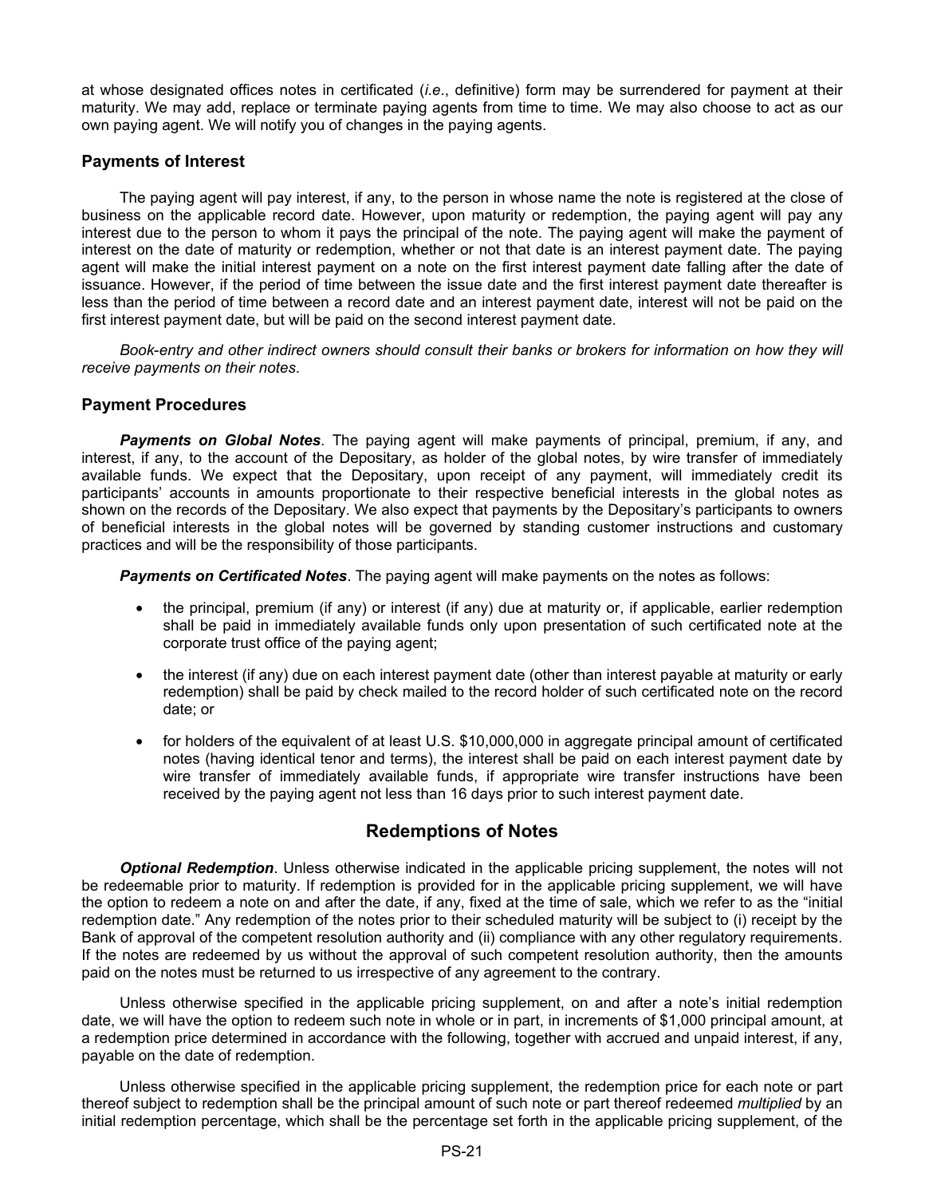at whose designated offices notes in certificated (*i*.*e*., definitive) form may be surrendered for payment at their maturity. We may add, replace or terminate paying agents from time to time. We may also choose to act as our own paying agent. We will notify you of changes in the paying agents.

#### **Payments of Interest**

The paying agent will pay interest, if any, to the person in whose name the note is registered at the close of business on the applicable record date. However, upon maturity or redemption, the paying agent will pay any interest due to the person to whom it pays the principal of the note. The paying agent will make the payment of interest on the date of maturity or redemption, whether or not that date is an interest payment date. The paying agent will make the initial interest payment on a note on the first interest payment date falling after the date of issuance. However, if the period of time between the issue date and the first interest payment date thereafter is less than the period of time between a record date and an interest payment date, interest will not be paid on the first interest payment date, but will be paid on the second interest payment date.

*Book*-*entry and other indirect owners should consult their banks or brokers for information on how they will receive payments on their notes*.

#### **Payment Procedures**

*Payments on Global Notes*. The paying agent will make payments of principal, premium, if any, and interest, if any, to the account of the Depositary, as holder of the global notes, by wire transfer of immediately available funds. We expect that the Depositary, upon receipt of any payment, will immediately credit its participants' accounts in amounts proportionate to their respective beneficial interests in the global notes as shown on the records of the Depositary. We also expect that payments by the Depositary's participants to owners of beneficial interests in the global notes will be governed by standing customer instructions and customary practices and will be the responsibility of those participants.

*Payments on Certificated Notes*. The paying agent will make payments on the notes as follows:

- the principal, premium (if any) or interest (if any) due at maturity or, if applicable, earlier redemption shall be paid in immediately available funds only upon presentation of such certificated note at the corporate trust office of the paying agent;
- the interest (if any) due on each interest payment date (other than interest payable at maturity or early redemption) shall be paid by check mailed to the record holder of such certificated note on the record date; or
- for holders of the equivalent of at least U.S. \$10,000,000 in aggregate principal amount of certificated notes (having identical tenor and terms), the interest shall be paid on each interest payment date by wire transfer of immediately available funds, if appropriate wire transfer instructions have been received by the paying agent not less than 16 days prior to such interest payment date.

## **Redemptions of Notes**

*Optional Redemption*. Unless otherwise indicated in the applicable pricing supplement, the notes will not be redeemable prior to maturity. If redemption is provided for in the applicable pricing supplement, we will have the option to redeem a note on and after the date, if any, fixed at the time of sale, which we refer to as the "initial redemption date." Any redemption of the notes prior to their scheduled maturity will be subject to (i) receipt by the Bank of approval of the competent resolution authority and (ii) compliance with any other regulatory requirements. If the notes are redeemed by us without the approval of such competent resolution authority, then the amounts paid on the notes must be returned to us irrespective of any agreement to the contrary.

Unless otherwise specified in the applicable pricing supplement, on and after a note's initial redemption date, we will have the option to redeem such note in whole or in part, in increments of \$1,000 principal amount, at a redemption price determined in accordance with the following, together with accrued and unpaid interest, if any, payable on the date of redemption.

Unless otherwise specified in the applicable pricing supplement, the redemption price for each note or part thereof subject to redemption shall be the principal amount of such note or part thereof redeemed *multiplied* by an initial redemption percentage, which shall be the percentage set forth in the applicable pricing supplement, of the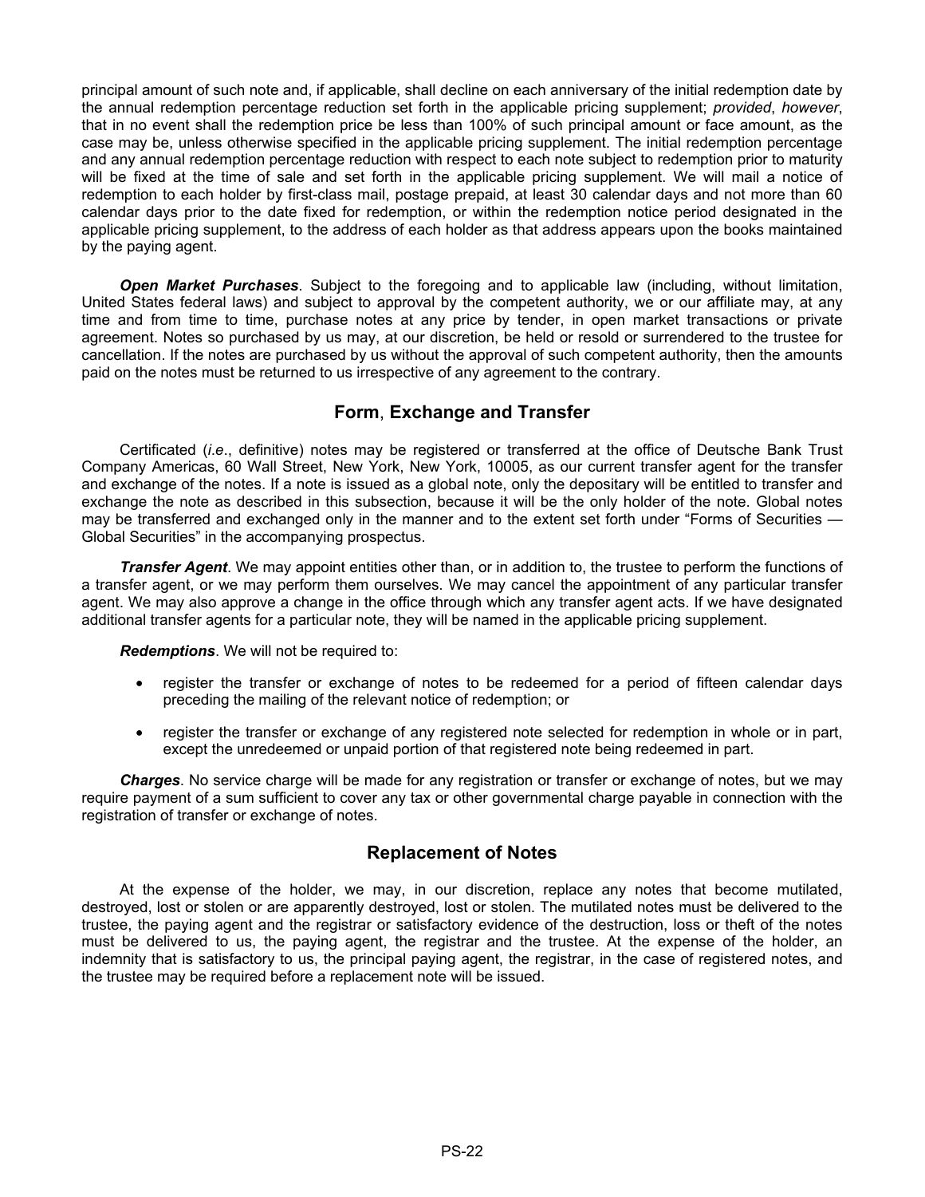principal amount of such note and, if applicable, shall decline on each anniversary of the initial redemption date by the annual redemption percentage reduction set forth in the applicable pricing supplement; *provided*, *however*, that in no event shall the redemption price be less than 100% of such principal amount or face amount, as the case may be, unless otherwise specified in the applicable pricing supplement. The initial redemption percentage and any annual redemption percentage reduction with respect to each note subject to redemption prior to maturity will be fixed at the time of sale and set forth in the applicable pricing supplement. We will mail a notice of redemption to each holder by first-class mail, postage prepaid, at least 30 calendar days and not more than 60 calendar days prior to the date fixed for redemption, or within the redemption notice period designated in the applicable pricing supplement, to the address of each holder as that address appears upon the books maintained by the paying agent.

*Open Market Purchases*. Subject to the foregoing and to applicable law (including, without limitation, United States federal laws) and subject to approval by the competent authority, we or our affiliate may, at any time and from time to time, purchase notes at any price by tender, in open market transactions or private agreement. Notes so purchased by us may, at our discretion, be held or resold or surrendered to the trustee for cancellation. If the notes are purchased by us without the approval of such competent authority, then the amounts paid on the notes must be returned to us irrespective of any agreement to the contrary.

## **Form**, **Exchange and Transfer**

Certificated (*i*.*e*., definitive) notes may be registered or transferred at the office of Deutsche Bank Trust Company Americas, 60 Wall Street, New York, New York, 10005, as our current transfer agent for the transfer and exchange of the notes. If a note is issued as a global note, only the depositary will be entitled to transfer and exchange the note as described in this subsection, because it will be the only holder of the note. Global notes may be transferred and exchanged only in the manner and to the extent set forth under "Forms of Securities — Global Securities" in the accompanying prospectus.

*Transfer Agent*. We may appoint entities other than, or in addition to, the trustee to perform the functions of a transfer agent, or we may perform them ourselves. We may cancel the appointment of any particular transfer agent. We may also approve a change in the office through which any transfer agent acts. If we have designated additional transfer agents for a particular note, they will be named in the applicable pricing supplement.

*Redemptions*. We will not be required to:

- register the transfer or exchange of notes to be redeemed for a period of fifteen calendar days preceding the mailing of the relevant notice of redemption; or
- register the transfer or exchange of any registered note selected for redemption in whole or in part, except the unredeemed or unpaid portion of that registered note being redeemed in part.

*Charges*. No service charge will be made for any registration or transfer or exchange of notes, but we may require payment of a sum sufficient to cover any tax or other governmental charge payable in connection with the registration of transfer or exchange of notes.

## **Replacement of Notes**

At the expense of the holder, we may, in our discretion, replace any notes that become mutilated, destroyed, lost or stolen or are apparently destroyed, lost or stolen. The mutilated notes must be delivered to the trustee, the paying agent and the registrar or satisfactory evidence of the destruction, loss or theft of the notes must be delivered to us, the paying agent, the registrar and the trustee. At the expense of the holder, an indemnity that is satisfactory to us, the principal paying agent, the registrar, in the case of registered notes, and the trustee may be required before a replacement note will be issued.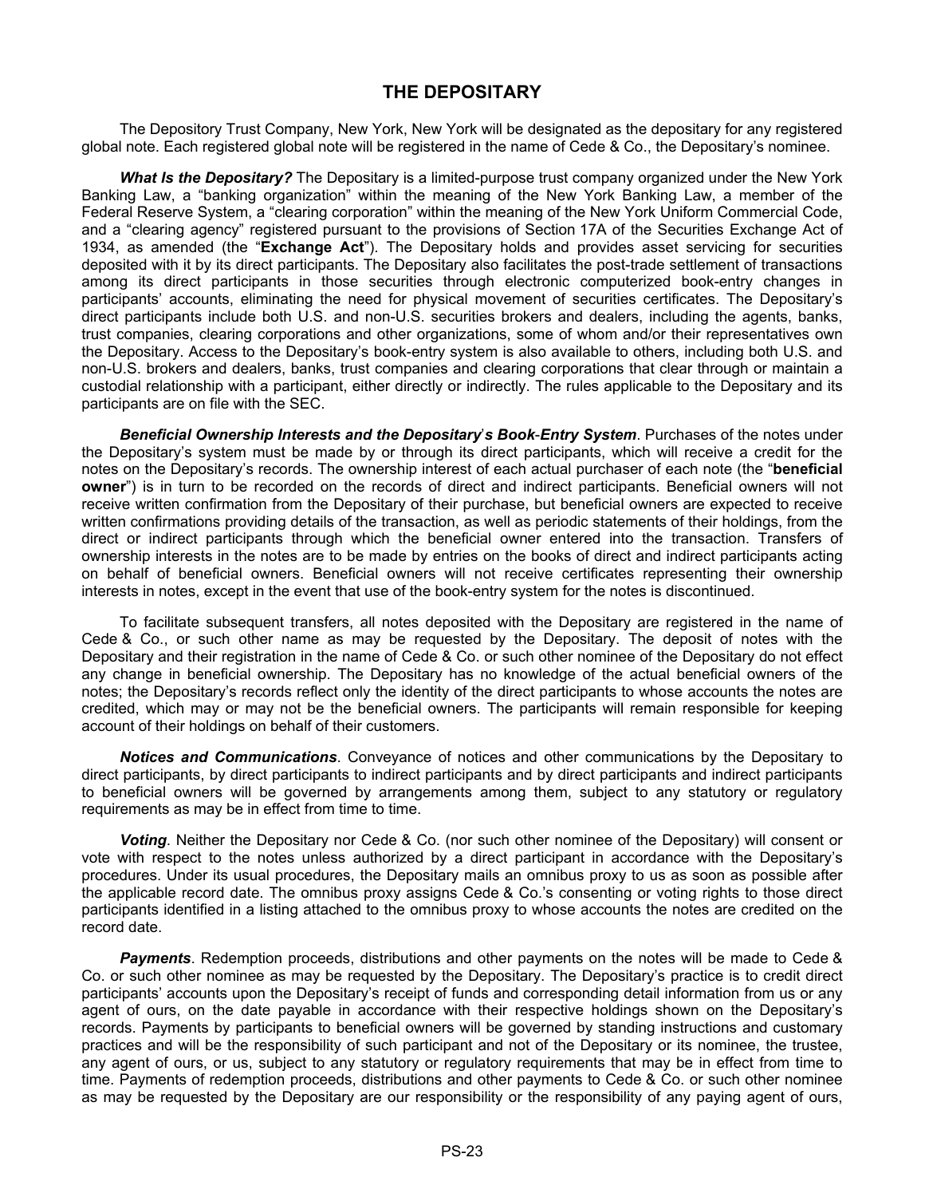## **THE DEPOSITARY**

The Depository Trust Company, New York, New York will be designated as the depositary for any registered global note. Each registered global note will be registered in the name of Cede & Co., the Depositary's nominee.

*What Is the Depositary?* The Depositary is a limited-purpose trust company organized under the New York Banking Law, a "banking organization" within the meaning of the New York Banking Law, a member of the Federal Reserve System, a "clearing corporation" within the meaning of the New York Uniform Commercial Code, and a "clearing agency" registered pursuant to the provisions of Section 17A of the Securities Exchange Act of 1934, as amended (the "**Exchange Act**"). The Depositary holds and provides asset servicing for securities deposited with it by its direct participants. The Depositary also facilitates the post-trade settlement of transactions among its direct participants in those securities through electronic computerized book-entry changes in participants' accounts, eliminating the need for physical movement of securities certificates. The Depositary's direct participants include both U.S. and non-U.S. securities brokers and dealers, including the agents, banks, trust companies, clearing corporations and other organizations, some of whom and/or their representatives own the Depositary. Access to the Depositary's book-entry system is also available to others, including both U.S. and non-U.S. brokers and dealers, banks, trust companies and clearing corporations that clear through or maintain a custodial relationship with a participant, either directly or indirectly. The rules applicable to the Depositary and its participants are on file with the SEC.

*Beneficial Ownership Interests and the Depositary*'*s Book*-*Entry System*. Purchases of the notes under the Depositary's system must be made by or through its direct participants, which will receive a credit for the notes on the Depositary's records. The ownership interest of each actual purchaser of each note (the "**beneficial owner**") is in turn to be recorded on the records of direct and indirect participants. Beneficial owners will not receive written confirmation from the Depositary of their purchase, but beneficial owners are expected to receive written confirmations providing details of the transaction, as well as periodic statements of their holdings, from the direct or indirect participants through which the beneficial owner entered into the transaction. Transfers of ownership interests in the notes are to be made by entries on the books of direct and indirect participants acting on behalf of beneficial owners. Beneficial owners will not receive certificates representing their ownership interests in notes, except in the event that use of the book-entry system for the notes is discontinued.

To facilitate subsequent transfers, all notes deposited with the Depositary are registered in the name of Cede & Co., or such other name as may be requested by the Depositary. The deposit of notes with the Depositary and their registration in the name of Cede & Co. or such other nominee of the Depositary do not effect any change in beneficial ownership. The Depositary has no knowledge of the actual beneficial owners of the notes; the Depositary's records reflect only the identity of the direct participants to whose accounts the notes are credited, which may or may not be the beneficial owners. The participants will remain responsible for keeping account of their holdings on behalf of their customers.

*Notices and Communications*. Conveyance of notices and other communications by the Depositary to direct participants, by direct participants to indirect participants and by direct participants and indirect participants to beneficial owners will be governed by arrangements among them, subject to any statutory or regulatory requirements as may be in effect from time to time.

*Voting*. Neither the Depositary nor Cede & Co. (nor such other nominee of the Depositary) will consent or vote with respect to the notes unless authorized by a direct participant in accordance with the Depositary's procedures. Under its usual procedures, the Depositary mails an omnibus proxy to us as soon as possible after the applicable record date. The omnibus proxy assigns Cede & Co.'s consenting or voting rights to those direct participants identified in a listing attached to the omnibus proxy to whose accounts the notes are credited on the record date.

*Payments*. Redemption proceeds, distributions and other payments on the notes will be made to Cede & Co. or such other nominee as may be requested by the Depositary. The Depositary's practice is to credit direct participants' accounts upon the Depositary's receipt of funds and corresponding detail information from us or any agent of ours, on the date payable in accordance with their respective holdings shown on the Depositary's records. Payments by participants to beneficial owners will be governed by standing instructions and customary practices and will be the responsibility of such participant and not of the Depositary or its nominee, the trustee, any agent of ours, or us, subject to any statutory or regulatory requirements that may be in effect from time to time. Payments of redemption proceeds, distributions and other payments to Cede & Co. or such other nominee as may be requested by the Depositary are our responsibility or the responsibility of any paying agent of ours,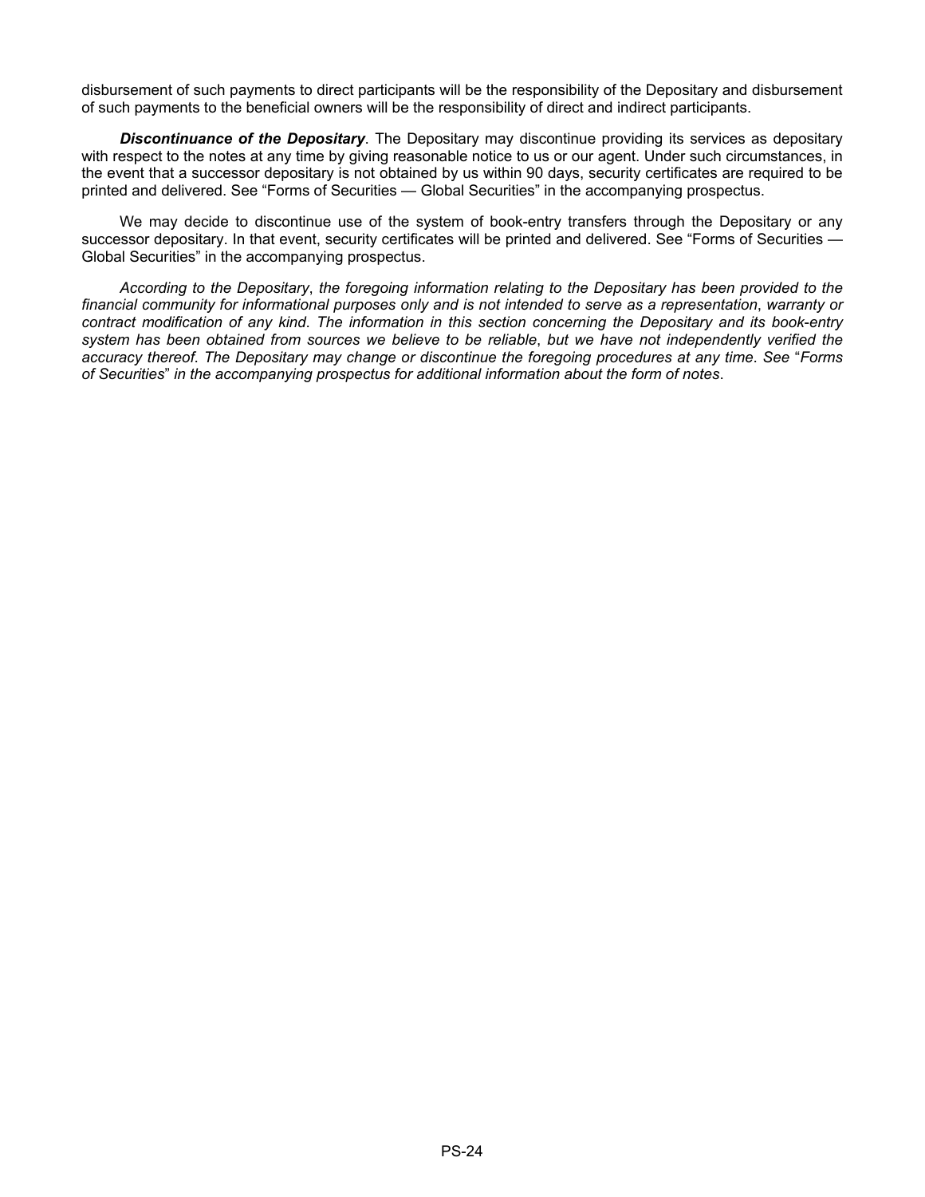disbursement of such payments to direct participants will be the responsibility of the Depositary and disbursement of such payments to the beneficial owners will be the responsibility of direct and indirect participants.

*Discontinuance of the Depositary*. The Depositary may discontinue providing its services as depositary with respect to the notes at any time by giving reasonable notice to us or our agent. Under such circumstances, in the event that a successor depositary is not obtained by us within 90 days, security certificates are required to be printed and delivered. See "Forms of Securities — Global Securities" in the accompanying prospectus.

We may decide to discontinue use of the system of book-entry transfers through the Depositary or any successor depositary. In that event, security certificates will be printed and delivered. See "Forms of Securities — Global Securities" in the accompanying prospectus.

*According to the Depositary*, *the foregoing information relating to the Depositary has been provided to the financial community for informational purposes only and is not intended to serve as a representation*, *warranty or contract modification of any kind*. *The information in this section concerning the Depositary and its book*-*entry system has been obtained from sources we believe to be reliable*, *but we have not independently verified the accuracy thereof*. *The Depositary may change or discontinue the foregoing procedures at any time*. *See* "*Forms of Securities*" *in the accompanying prospectus for additional information about the form of notes*.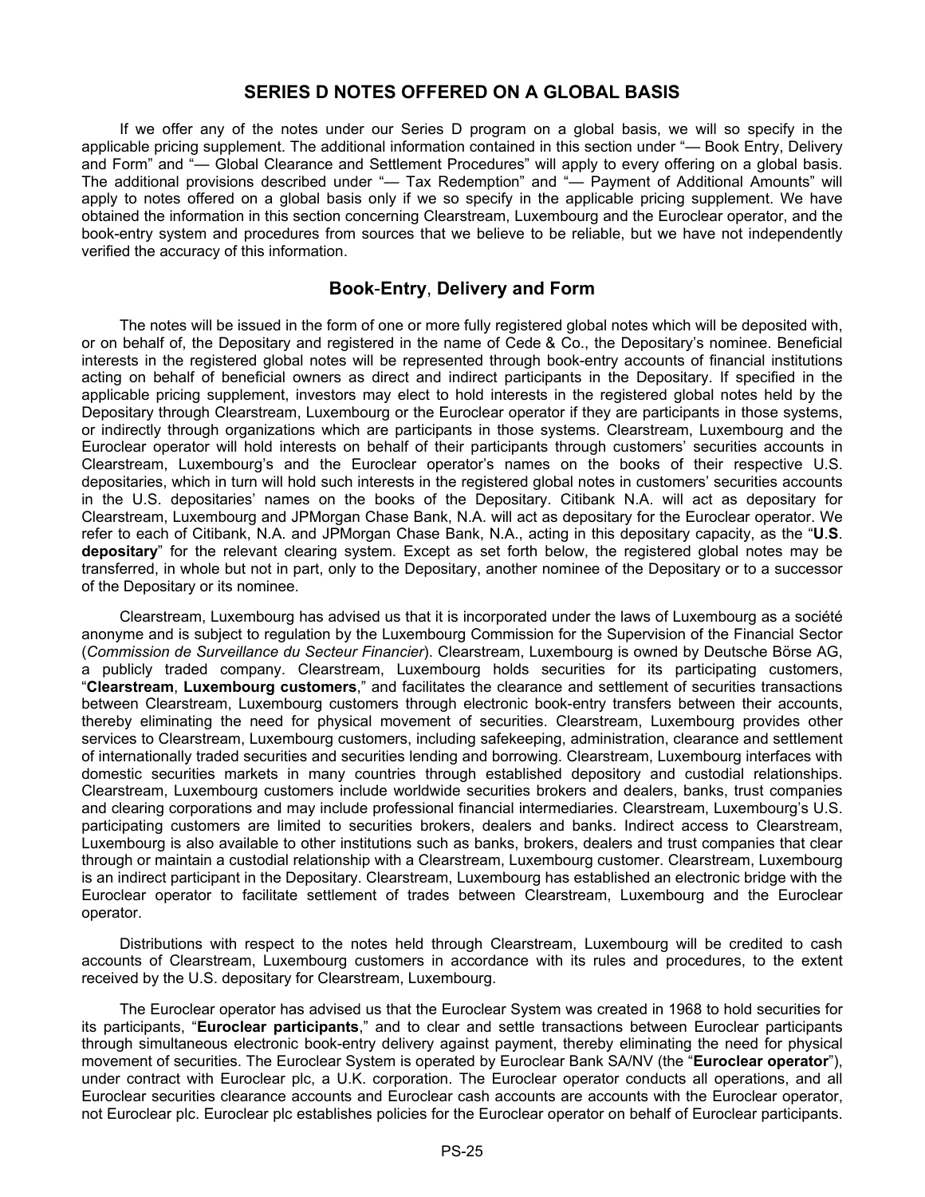#### **SERIES D NOTES OFFERED ON A GLOBAL BASIS**

If we offer any of the notes under our Series D program on a global basis, we will so specify in the applicable pricing supplement. The additional information contained in this section under "— Book Entry, Delivery and Form" and "— Global Clearance and Settlement Procedures" will apply to every offering on a global basis. The additional provisions described under "- Tax Redemption" and "- Payment of Additional Amounts" will apply to notes offered on a global basis only if we so specify in the applicable pricing supplement. We have obtained the information in this section concerning Clearstream, Luxembourg and the Euroclear operator, and the book-entry system and procedures from sources that we believe to be reliable, but we have not independently verified the accuracy of this information.

#### **Book**-**Entry**, **Delivery and Form**

The notes will be issued in the form of one or more fully registered global notes which will be deposited with, or on behalf of, the Depositary and registered in the name of Cede & Co., the Depositary's nominee. Beneficial interests in the registered global notes will be represented through book-entry accounts of financial institutions acting on behalf of beneficial owners as direct and indirect participants in the Depositary. If specified in the applicable pricing supplement, investors may elect to hold interests in the registered global notes held by the Depositary through Clearstream, Luxembourg or the Euroclear operator if they are participants in those systems, or indirectly through organizations which are participants in those systems. Clearstream, Luxembourg and the Euroclear operator will hold interests on behalf of their participants through customers' securities accounts in Clearstream, Luxembourg's and the Euroclear operator's names on the books of their respective U.S. depositaries, which in turn will hold such interests in the registered global notes in customers' securities accounts in the U.S. depositaries' names on the books of the Depositary. Citibank N.A. will act as depositary for Clearstream, Luxembourg and JPMorgan Chase Bank, N.A. will act as depositary for the Euroclear operator. We refer to each of Citibank, N.A. and JPMorgan Chase Bank, N.A., acting in this depositary capacity, as the "**U**.**S**. **depositary**" for the relevant clearing system. Except as set forth below, the registered global notes may be transferred, in whole but not in part, only to the Depositary, another nominee of the Depositary or to a successor of the Depositary or its nominee.

Clearstream, Luxembourg has advised us that it is incorporated under the laws of Luxembourg as a société anonyme and is subject to regulation by the Luxembourg Commission for the Supervision of the Financial Sector (*Commission de Surveillance du Secteur Financier*). Clearstream, Luxembourg is owned by Deutsche Börse AG, a publicly traded company. Clearstream, Luxembourg holds securities for its participating customers, "**Clearstream**, **Luxembourg customers**," and facilitates the clearance and settlement of securities transactions between Clearstream, Luxembourg customers through electronic book-entry transfers between their accounts, thereby eliminating the need for physical movement of securities. Clearstream, Luxembourg provides other services to Clearstream, Luxembourg customers, including safekeeping, administration, clearance and settlement of internationally traded securities and securities lending and borrowing. Clearstream, Luxembourg interfaces with domestic securities markets in many countries through established depository and custodial relationships. Clearstream, Luxembourg customers include worldwide securities brokers and dealers, banks, trust companies and clearing corporations and may include professional financial intermediaries. Clearstream, Luxembourg's U.S. participating customers are limited to securities brokers, dealers and banks. Indirect access to Clearstream, Luxembourg is also available to other institutions such as banks, brokers, dealers and trust companies that clear through or maintain a custodial relationship with a Clearstream, Luxembourg customer. Clearstream, Luxembourg is an indirect participant in the Depositary. Clearstream, Luxembourg has established an electronic bridge with the Euroclear operator to facilitate settlement of trades between Clearstream, Luxembourg and the Euroclear operator.

Distributions with respect to the notes held through Clearstream, Luxembourg will be credited to cash accounts of Clearstream, Luxembourg customers in accordance with its rules and procedures, to the extent received by the U.S. depositary for Clearstream, Luxembourg.

The Euroclear operator has advised us that the Euroclear System was created in 1968 to hold securities for its participants, "**Euroclear participants**," and to clear and settle transactions between Euroclear participants through simultaneous electronic book-entry delivery against payment, thereby eliminating the need for physical movement of securities. The Euroclear System is operated by Euroclear Bank SA/NV (the "**Euroclear operator**"), under contract with Euroclear plc, a U.K. corporation. The Euroclear operator conducts all operations, and all Euroclear securities clearance accounts and Euroclear cash accounts are accounts with the Euroclear operator, not Euroclear plc. Euroclear plc establishes policies for the Euroclear operator on behalf of Euroclear participants.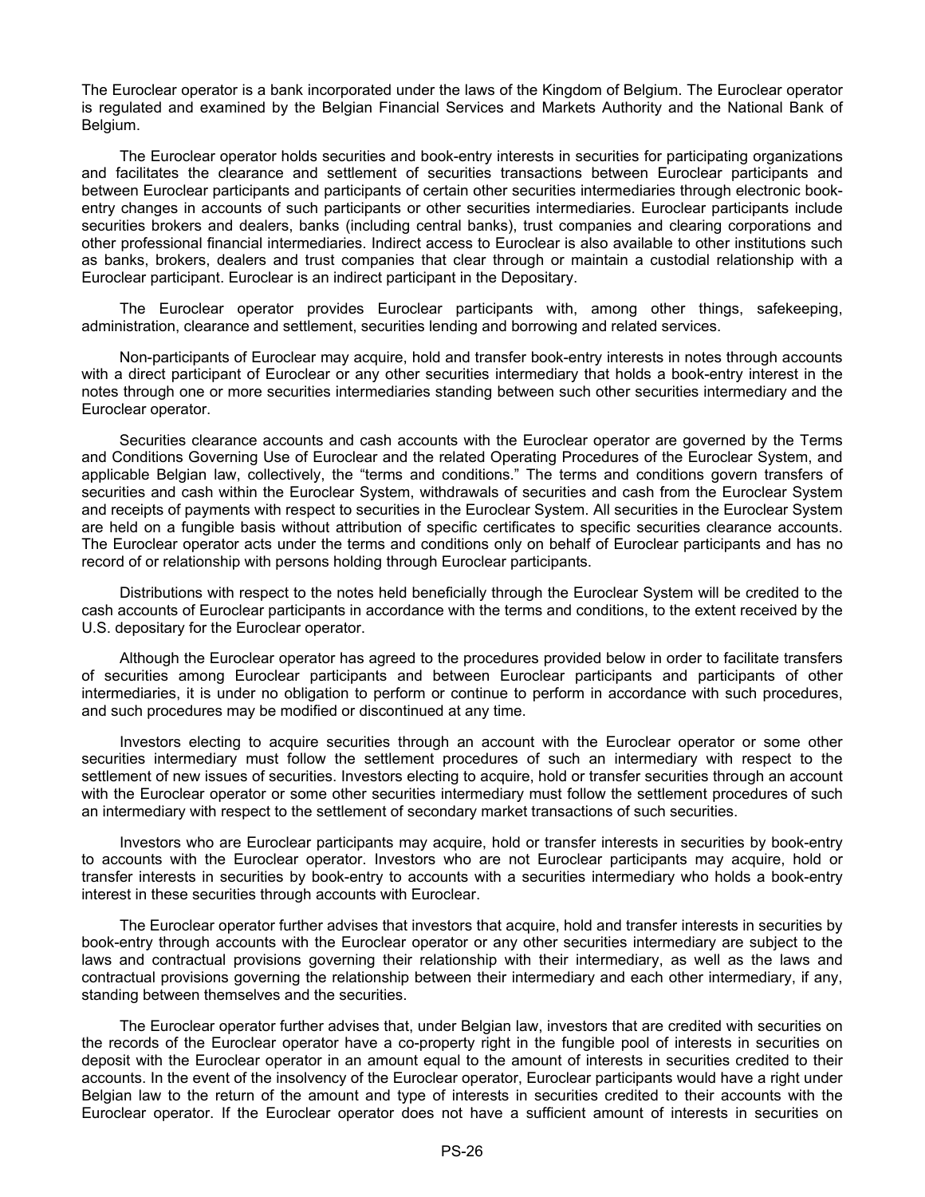The Euroclear operator is a bank incorporated under the laws of the Kingdom of Belgium. The Euroclear operator is regulated and examined by the Belgian Financial Services and Markets Authority and the National Bank of Belgium.

The Euroclear operator holds securities and book-entry interests in securities for participating organizations and facilitates the clearance and settlement of securities transactions between Euroclear participants and between Euroclear participants and participants of certain other securities intermediaries through electronic bookentry changes in accounts of such participants or other securities intermediaries. Euroclear participants include securities brokers and dealers, banks (including central banks), trust companies and clearing corporations and other professional financial intermediaries. Indirect access to Euroclear is also available to other institutions such as banks, brokers, dealers and trust companies that clear through or maintain a custodial relationship with a Euroclear participant. Euroclear is an indirect participant in the Depositary.

The Euroclear operator provides Euroclear participants with, among other things, safekeeping, administration, clearance and settlement, securities lending and borrowing and related services.

Non-participants of Euroclear may acquire, hold and transfer book-entry interests in notes through accounts with a direct participant of Euroclear or any other securities intermediary that holds a book-entry interest in the notes through one or more securities intermediaries standing between such other securities intermediary and the Euroclear operator.

Securities clearance accounts and cash accounts with the Euroclear operator are governed by the Terms and Conditions Governing Use of Euroclear and the related Operating Procedures of the Euroclear System, and applicable Belgian law, collectively, the "terms and conditions." The terms and conditions govern transfers of securities and cash within the Euroclear System, withdrawals of securities and cash from the Euroclear System and receipts of payments with respect to securities in the Euroclear System. All securities in the Euroclear System are held on a fungible basis without attribution of specific certificates to specific securities clearance accounts. The Euroclear operator acts under the terms and conditions only on behalf of Euroclear participants and has no record of or relationship with persons holding through Euroclear participants.

Distributions with respect to the notes held beneficially through the Euroclear System will be credited to the cash accounts of Euroclear participants in accordance with the terms and conditions, to the extent received by the U.S. depositary for the Euroclear operator.

Although the Euroclear operator has agreed to the procedures provided below in order to facilitate transfers of securities among Euroclear participants and between Euroclear participants and participants of other intermediaries, it is under no obligation to perform or continue to perform in accordance with such procedures, and such procedures may be modified or discontinued at any time.

Investors electing to acquire securities through an account with the Euroclear operator or some other securities intermediary must follow the settlement procedures of such an intermediary with respect to the settlement of new issues of securities. Investors electing to acquire, hold or transfer securities through an account with the Euroclear operator or some other securities intermediary must follow the settlement procedures of such an intermediary with respect to the settlement of secondary market transactions of such securities.

Investors who are Euroclear participants may acquire, hold or transfer interests in securities by book-entry to accounts with the Euroclear operator. Investors who are not Euroclear participants may acquire, hold or transfer interests in securities by book-entry to accounts with a securities intermediary who holds a book-entry interest in these securities through accounts with Euroclear.

The Euroclear operator further advises that investors that acquire, hold and transfer interests in securities by book-entry through accounts with the Euroclear operator or any other securities intermediary are subject to the laws and contractual provisions governing their relationship with their intermediary, as well as the laws and contractual provisions governing the relationship between their intermediary and each other intermediary, if any, standing between themselves and the securities.

The Euroclear operator further advises that, under Belgian law, investors that are credited with securities on the records of the Euroclear operator have a co-property right in the fungible pool of interests in securities on deposit with the Euroclear operator in an amount equal to the amount of interests in securities credited to their accounts. In the event of the insolvency of the Euroclear operator, Euroclear participants would have a right under Belgian law to the return of the amount and type of interests in securities credited to their accounts with the Euroclear operator. If the Euroclear operator does not have a sufficient amount of interests in securities on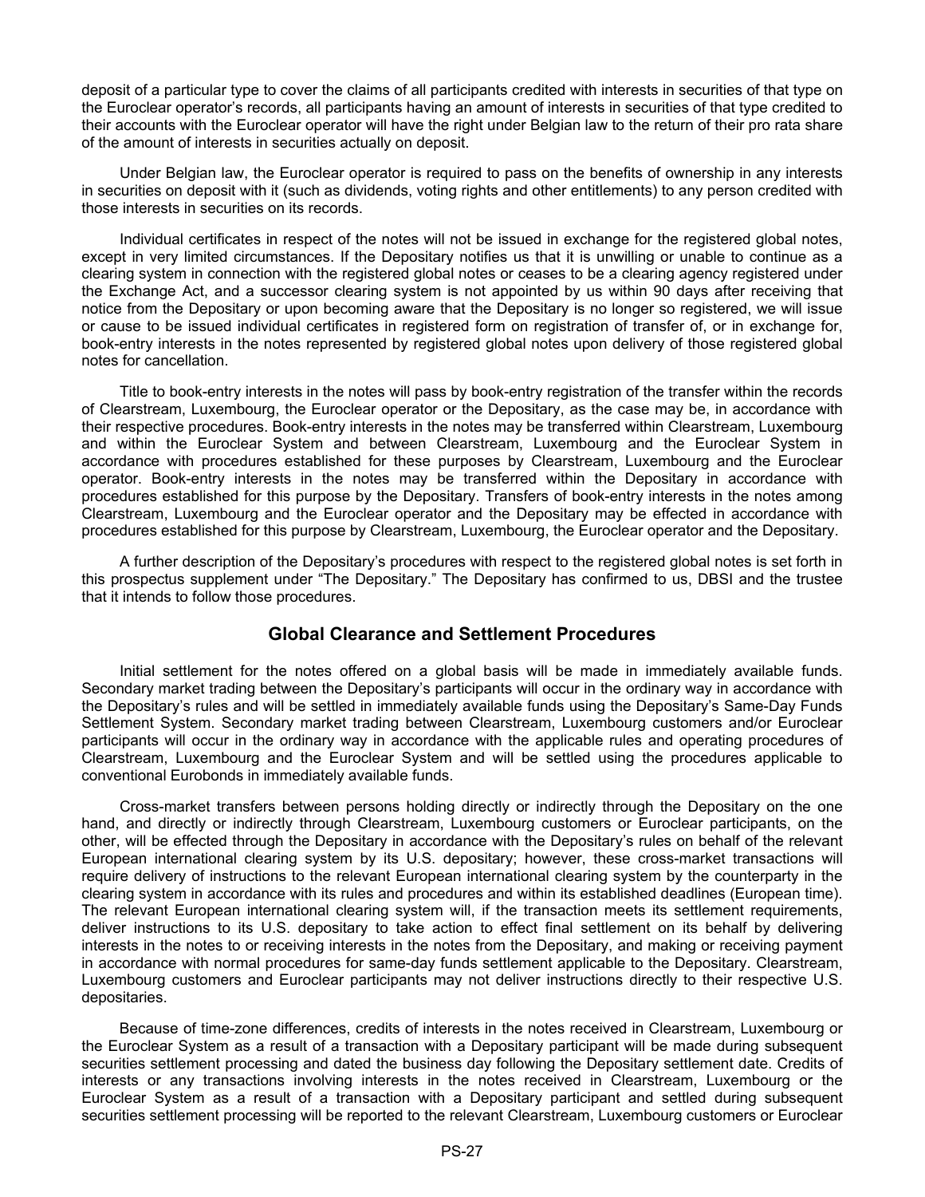deposit of a particular type to cover the claims of all participants credited with interests in securities of that type on the Euroclear operator's records, all participants having an amount of interests in securities of that type credited to their accounts with the Euroclear operator will have the right under Belgian law to the return of their pro rata share of the amount of interests in securities actually on deposit.

Under Belgian law, the Euroclear operator is required to pass on the benefits of ownership in any interests in securities on deposit with it (such as dividends, voting rights and other entitlements) to any person credited with those interests in securities on its records.

Individual certificates in respect of the notes will not be issued in exchange for the registered global notes, except in very limited circumstances. If the Depositary notifies us that it is unwilling or unable to continue as a clearing system in connection with the registered global notes or ceases to be a clearing agency registered under the Exchange Act, and a successor clearing system is not appointed by us within 90 days after receiving that notice from the Depositary or upon becoming aware that the Depositary is no longer so registered, we will issue or cause to be issued individual certificates in registered form on registration of transfer of, or in exchange for, book-entry interests in the notes represented by registered global notes upon delivery of those registered global notes for cancellation.

Title to book-entry interests in the notes will pass by book-entry registration of the transfer within the records of Clearstream, Luxembourg, the Euroclear operator or the Depositary, as the case may be, in accordance with their respective procedures. Book-entry interests in the notes may be transferred within Clearstream, Luxembourg and within the Euroclear System and between Clearstream, Luxembourg and the Euroclear System in accordance with procedures established for these purposes by Clearstream, Luxembourg and the Euroclear operator. Book-entry interests in the notes may be transferred within the Depositary in accordance with procedures established for this purpose by the Depositary. Transfers of book-entry interests in the notes among Clearstream, Luxembourg and the Euroclear operator and the Depositary may be effected in accordance with procedures established for this purpose by Clearstream, Luxembourg, the Euroclear operator and the Depositary.

A further description of the Depositary's procedures with respect to the registered global notes is set forth in this prospectus supplement under "The Depositary." The Depositary has confirmed to us, DBSI and the trustee that it intends to follow those procedures.

## **Global Clearance and Settlement Procedures**

Initial settlement for the notes offered on a global basis will be made in immediately available funds. Secondary market trading between the Depositary's participants will occur in the ordinary way in accordance with the Depositary's rules and will be settled in immediately available funds using the Depositary's Same-Day Funds Settlement System. Secondary market trading between Clearstream, Luxembourg customers and/or Euroclear participants will occur in the ordinary way in accordance with the applicable rules and operating procedures of Clearstream, Luxembourg and the Euroclear System and will be settled using the procedures applicable to conventional Eurobonds in immediately available funds.

Cross-market transfers between persons holding directly or indirectly through the Depositary on the one hand, and directly or indirectly through Clearstream, Luxembourg customers or Euroclear participants, on the other, will be effected through the Depositary in accordance with the Depositary's rules on behalf of the relevant European international clearing system by its U.S. depositary; however, these cross-market transactions will require delivery of instructions to the relevant European international clearing system by the counterparty in the clearing system in accordance with its rules and procedures and within its established deadlines (European time). The relevant European international clearing system will, if the transaction meets its settlement requirements, deliver instructions to its U.S. depositary to take action to effect final settlement on its behalf by delivering interests in the notes to or receiving interests in the notes from the Depositary, and making or receiving payment in accordance with normal procedures for same-day funds settlement applicable to the Depositary. Clearstream, Luxembourg customers and Euroclear participants may not deliver instructions directly to their respective U.S. depositaries.

Because of time-zone differences, credits of interests in the notes received in Clearstream, Luxembourg or the Euroclear System as a result of a transaction with a Depositary participant will be made during subsequent securities settlement processing and dated the business day following the Depositary settlement date. Credits of interests or any transactions involving interests in the notes received in Clearstream, Luxembourg or the Euroclear System as a result of a transaction with a Depositary participant and settled during subsequent securities settlement processing will be reported to the relevant Clearstream, Luxembourg customers or Euroclear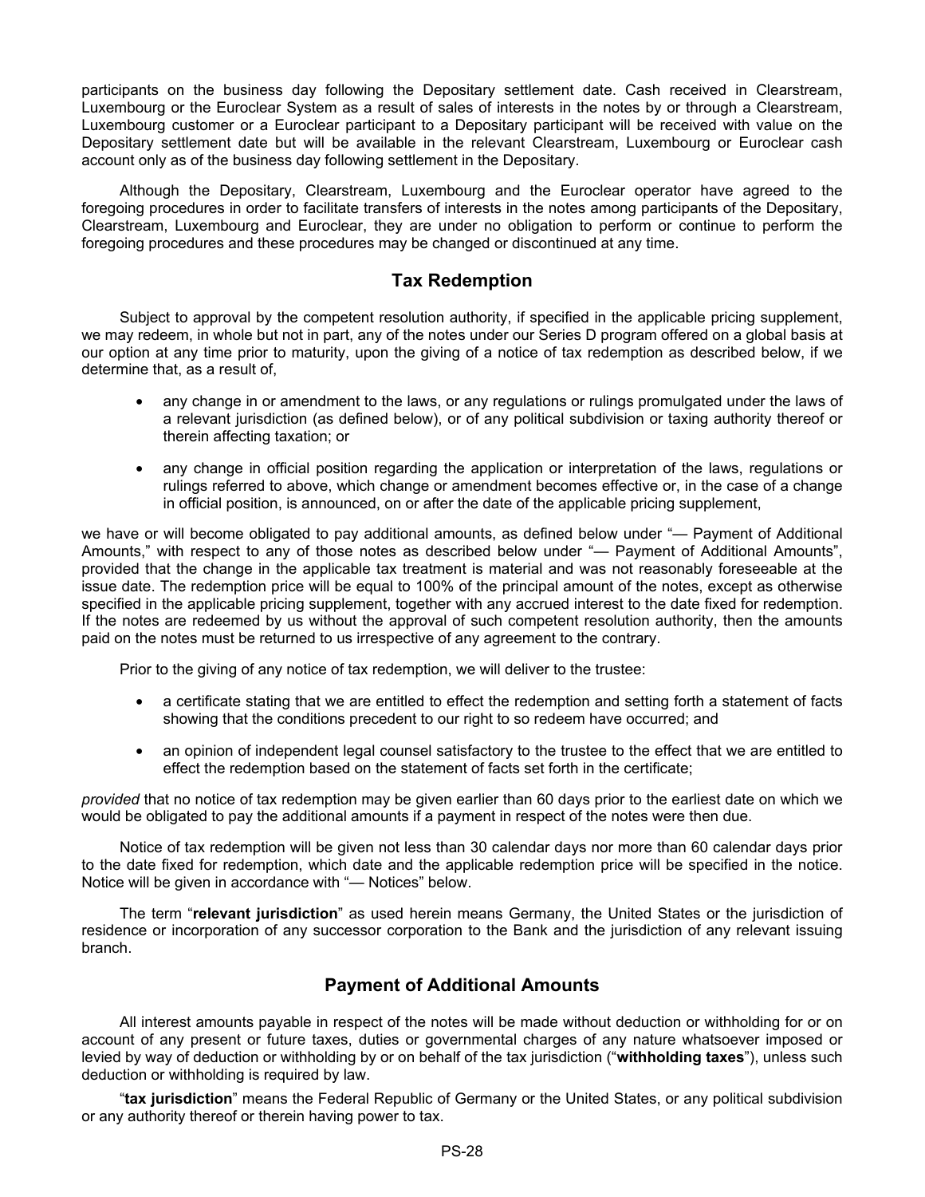participants on the business day following the Depositary settlement date. Cash received in Clearstream, Luxembourg or the Euroclear System as a result of sales of interests in the notes by or through a Clearstream, Luxembourg customer or a Euroclear participant to a Depositary participant will be received with value on the Depositary settlement date but will be available in the relevant Clearstream, Luxembourg or Euroclear cash account only as of the business day following settlement in the Depositary.

Although the Depositary, Clearstream, Luxembourg and the Euroclear operator have agreed to the foregoing procedures in order to facilitate transfers of interests in the notes among participants of the Depositary, Clearstream, Luxembourg and Euroclear, they are under no obligation to perform or continue to perform the foregoing procedures and these procedures may be changed or discontinued at any time.

## **Tax Redemption**

Subject to approval by the competent resolution authority, if specified in the applicable pricing supplement, we may redeem, in whole but not in part, any of the notes under our Series D program offered on a global basis at our option at any time prior to maturity, upon the giving of a notice of tax redemption as described below, if we determine that, as a result of,

- any change in or amendment to the laws, or any regulations or rulings promulgated under the laws of a relevant jurisdiction (as defined below), or of any political subdivision or taxing authority thereof or therein affecting taxation; or
- any change in official position regarding the application or interpretation of the laws, regulations or rulings referred to above, which change or amendment becomes effective or, in the case of a change in official position, is announced, on or after the date of the applicable pricing supplement,

we have or will become obligated to pay additional amounts, as defined below under "— Payment of Additional Amounts," with respect to any of those notes as described below under "— Payment of Additional Amounts", provided that the change in the applicable tax treatment is material and was not reasonably foreseeable at the issue date. The redemption price will be equal to 100% of the principal amount of the notes, except as otherwise specified in the applicable pricing supplement, together with any accrued interest to the date fixed for redemption. If the notes are redeemed by us without the approval of such competent resolution authority, then the amounts paid on the notes must be returned to us irrespective of any agreement to the contrary.

Prior to the giving of any notice of tax redemption, we will deliver to the trustee:

- a certificate stating that we are entitled to effect the redemption and setting forth a statement of facts showing that the conditions precedent to our right to so redeem have occurred; and
- an opinion of independent legal counsel satisfactory to the trustee to the effect that we are entitled to effect the redemption based on the statement of facts set forth in the certificate;

*provided* that no notice of tax redemption may be given earlier than 60 days prior to the earliest date on which we would be obligated to pay the additional amounts if a payment in respect of the notes were then due.

Notice of tax redemption will be given not less than 30 calendar days nor more than 60 calendar days prior to the date fixed for redemption, which date and the applicable redemption price will be specified in the notice. Notice will be given in accordance with "— Notices" below.

The term "**relevant jurisdiction**" as used herein means Germany, the United States or the jurisdiction of residence or incorporation of any successor corporation to the Bank and the jurisdiction of any relevant issuing branch.

## **Payment of Additional Amounts**

All interest amounts payable in respect of the notes will be made without deduction or withholding for or on account of any present or future taxes, duties or governmental charges of any nature whatsoever imposed or levied by way of deduction or withholding by or on behalf of the tax jurisdiction ("**withholding taxes**"), unless such deduction or withholding is required by law.

"**tax jurisdiction**" means the Federal Republic of Germany or the United States, or any political subdivision or any authority thereof or therein having power to tax.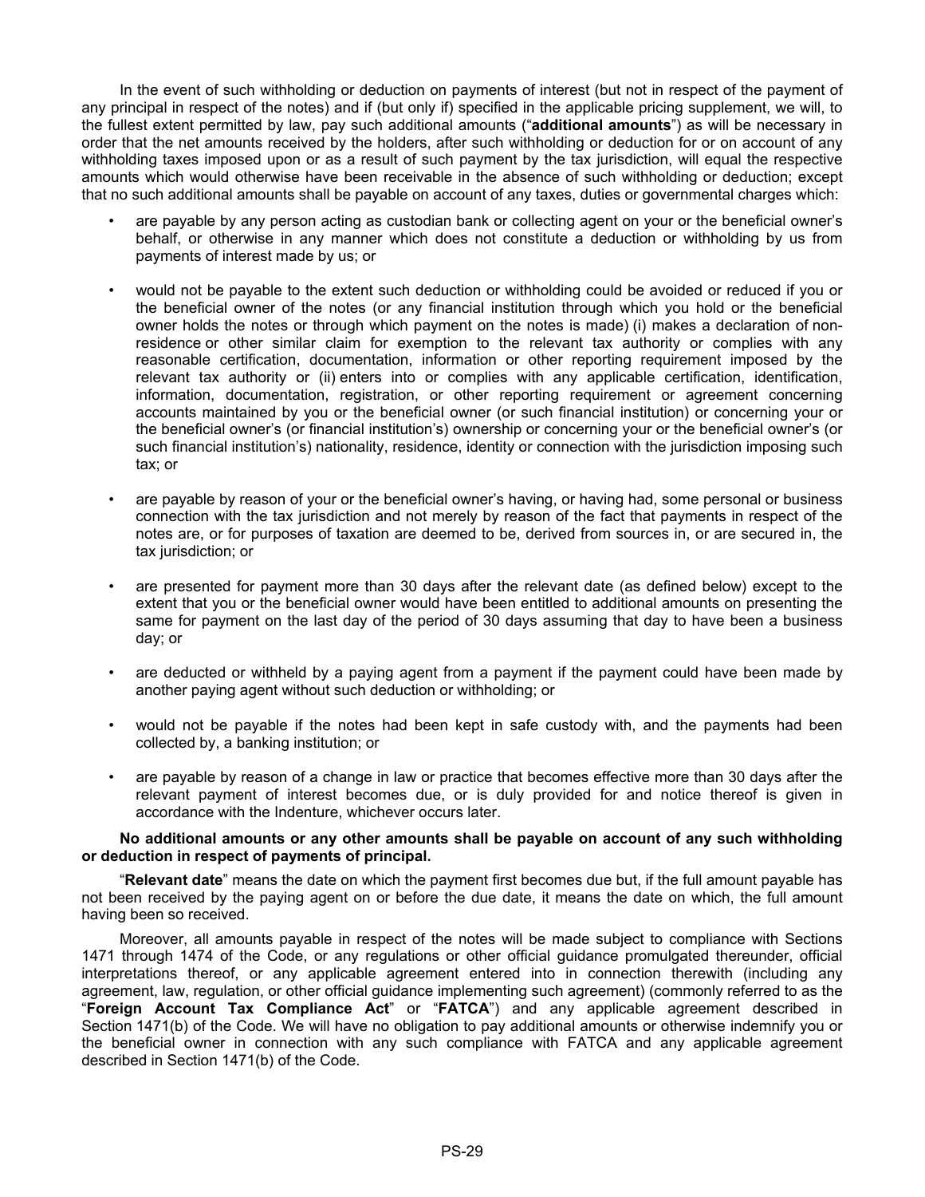In the event of such withholding or deduction on payments of interest (but not in respect of the payment of any principal in respect of the notes) and if (but only if) specified in the applicable pricing supplement, we will, to the fullest extent permitted by law, pay such additional amounts ("**additional amounts**") as will be necessary in order that the net amounts received by the holders, after such withholding or deduction for or on account of any withholding taxes imposed upon or as a result of such payment by the tax jurisdiction, will equal the respective amounts which would otherwise have been receivable in the absence of such withholding or deduction; except that no such additional amounts shall be payable on account of any taxes, duties or governmental charges which:

- are payable by any person acting as custodian bank or collecting agent on your or the beneficial owner's behalf, or otherwise in any manner which does not constitute a deduction or withholding by us from payments of interest made by us; or
- would not be payable to the extent such deduction or withholding could be avoided or reduced if you or the beneficial owner of the notes (or any financial institution through which you hold or the beneficial owner holds the notes or through which payment on the notes is made) (i) makes a declaration of nonresidence or other similar claim for exemption to the relevant tax authority or complies with any reasonable certification, documentation, information or other reporting requirement imposed by the relevant tax authority or (ii) enters into or complies with any applicable certification, identification, information, documentation, registration, or other reporting requirement or agreement concerning accounts maintained by you or the beneficial owner (or such financial institution) or concerning your or the beneficial owner's (or financial institution's) ownership or concerning your or the beneficial owner's (or such financial institution's) nationality, residence, identity or connection with the jurisdiction imposing such tax; or
- are payable by reason of your or the beneficial owner's having, or having had, some personal or business connection with the tax jurisdiction and not merely by reason of the fact that payments in respect of the notes are, or for purposes of taxation are deemed to be, derived from sources in, or are secured in, the tax jurisdiction; or
- are presented for payment more than 30 days after the relevant date (as defined below) except to the extent that you or the beneficial owner would have been entitled to additional amounts on presenting the same for payment on the last day of the period of 30 days assuming that day to have been a business day; or
- are deducted or withheld by a paying agent from a payment if the payment could have been made by another paying agent without such deduction or withholding; or
- would not be payable if the notes had been kept in safe custody with, and the payments had been collected by, a banking institution; or
- are payable by reason of a change in law or practice that becomes effective more than 30 days after the relevant payment of interest becomes due, or is duly provided for and notice thereof is given in accordance with the Indenture, whichever occurs later.

#### **No additional amounts or any other amounts shall be payable on account of any such withholding or deduction in respect of payments of principal.**

"**Relevant date**" means the date on which the payment first becomes due but, if the full amount payable has not been received by the paying agent on or before the due date, it means the date on which, the full amount having been so received.

Moreover, all amounts payable in respect of the notes will be made subject to compliance with Sections 1471 through 1474 of the Code, or any regulations or other official guidance promulgated thereunder, official interpretations thereof, or any applicable agreement entered into in connection therewith (including any agreement, law, regulation, or other official guidance implementing such agreement) (commonly referred to as the "**Foreign Account Tax Compliance Act**" or "**FATCA**") and any applicable agreement described in Section 1471(b) of the Code. We will have no obligation to pay additional amounts or otherwise indemnify you or the beneficial owner in connection with any such compliance with FATCA and any applicable agreement described in Section 1471(b) of the Code.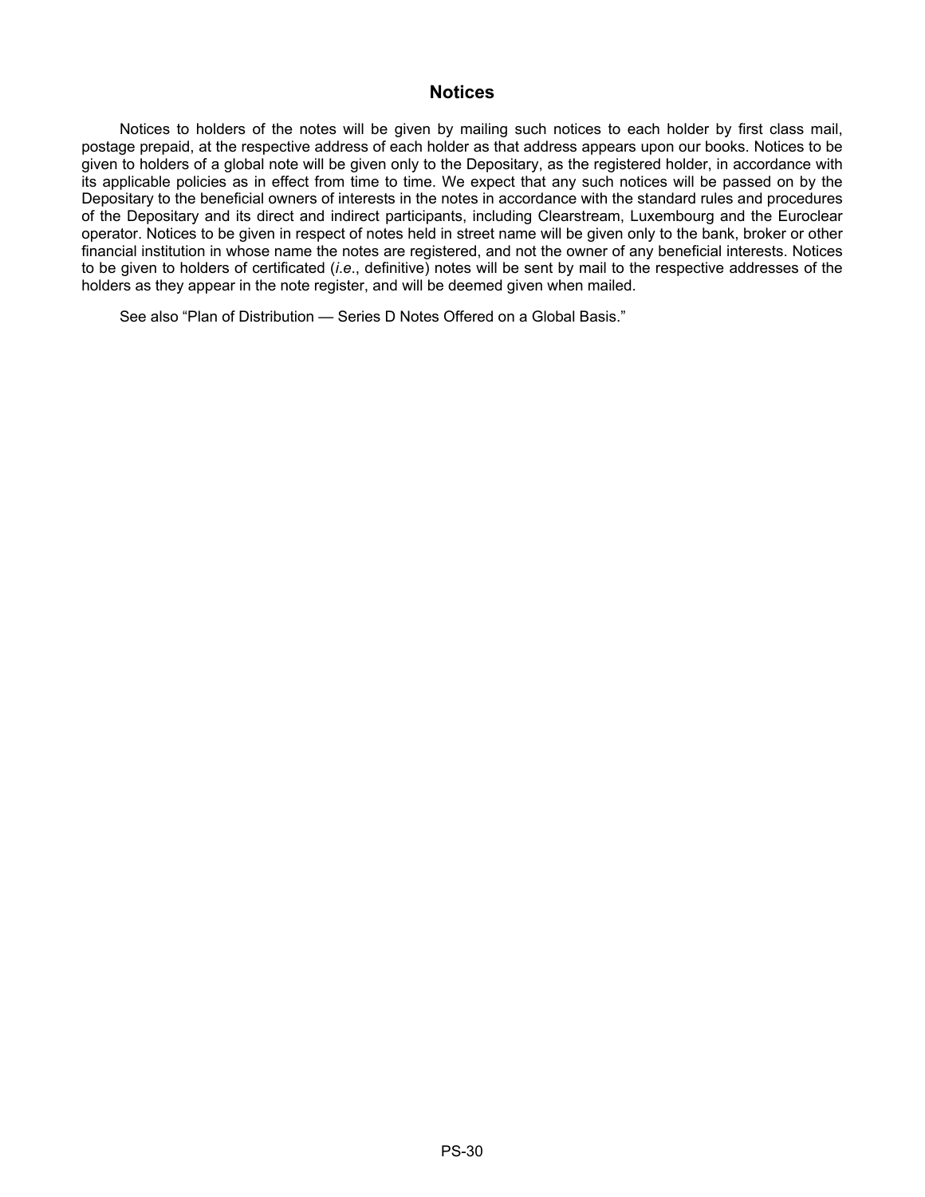#### **Notices**

Notices to holders of the notes will be given by mailing such notices to each holder by first class mail, postage prepaid, at the respective address of each holder as that address appears upon our books. Notices to be given to holders of a global note will be given only to the Depositary, as the registered holder, in accordance with its applicable policies as in effect from time to time. We expect that any such notices will be passed on by the Depositary to the beneficial owners of interests in the notes in accordance with the standard rules and procedures of the Depositary and its direct and indirect participants, including Clearstream, Luxembourg and the Euroclear operator. Notices to be given in respect of notes held in street name will be given only to the bank, broker or other financial institution in whose name the notes are registered, and not the owner of any beneficial interests. Notices to be given to holders of certificated (*i*.*e*., definitive) notes will be sent by mail to the respective addresses of the holders as they appear in the note register, and will be deemed given when mailed.

See also "Plan of Distribution — Series D Notes Offered on a Global Basis."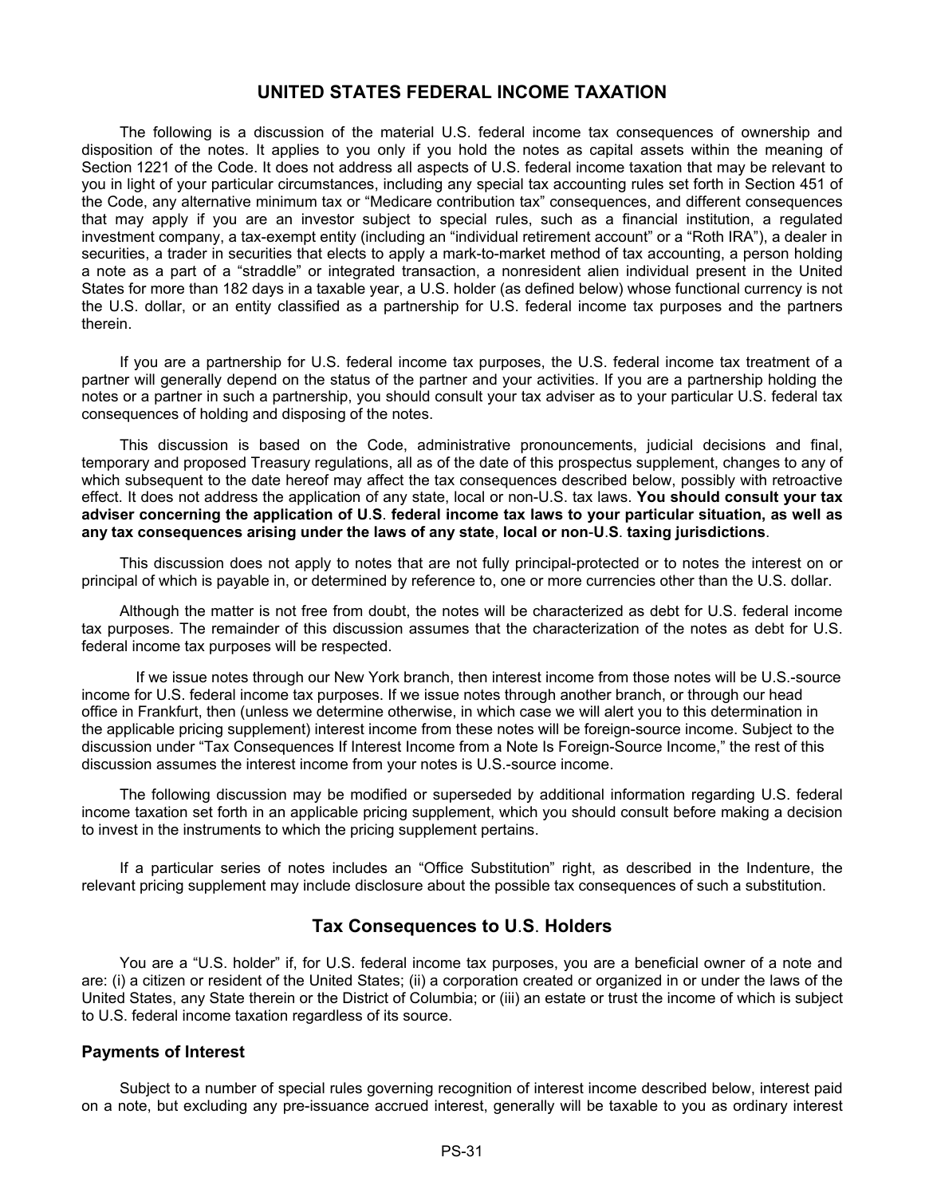#### **UNITED STATES FEDERAL INCOME TAXATION**

The following is a discussion of the material U.S. federal income tax consequences of ownership and disposition of the notes. It applies to you only if you hold the notes as capital assets within the meaning of Section 1221 of the Code. It does not address all aspects of U.S. federal income taxation that may be relevant to you in light of your particular circumstances, including any special tax accounting rules set forth in Section 451 of the Code, any alternative minimum tax or "Medicare contribution tax" consequences, and different consequences that may apply if you are an investor subject to special rules, such as a financial institution, a regulated investment company, a tax-exempt entity (including an "individual retirement account" or a "Roth IRA"), a dealer in securities, a trader in securities that elects to apply a mark-to-market method of tax accounting, a person holding a note as a part of a "straddle" or integrated transaction, a nonresident alien individual present in the United States for more than 182 days in a taxable year, a U.S. holder (as defined below) whose functional currency is not the U.S. dollar, or an entity classified as a partnership for U.S. federal income tax purposes and the partners therein.

If you are a partnership for U.S. federal income tax purposes, the U.S. federal income tax treatment of a partner will generally depend on the status of the partner and your activities. If you are a partnership holding the notes or a partner in such a partnership, you should consult your tax adviser as to your particular U.S. federal tax consequences of holding and disposing of the notes.

This discussion is based on the Code, administrative pronouncements, judicial decisions and final, temporary and proposed Treasury regulations, all as of the date of this prospectus supplement, changes to any of which subsequent to the date hereof may affect the tax consequences described below, possibly with retroactive effect. It does not address the application of any state, local or non-U.S. tax laws. **You should consult your tax adviser concerning the application of U**.**S**. **federal income tax laws to your particular situation, as well as any tax consequences arising under the laws of any state**, **local or non**-**U**.**S**. **taxing jurisdictions**.

This discussion does not apply to notes that are not fully principal-protected or to notes the interest on or principal of which is payable in, or determined by reference to, one or more currencies other than the U.S. dollar.

Although the matter is not free from doubt, the notes will be characterized as debt for U.S. federal income tax purposes. The remainder of this discussion assumes that the characterization of the notes as debt for U.S. federal income tax purposes will be respected.

 If we issue notes through our New York branch, then interest income from those notes will be U.S.-source income for U.S. federal income tax purposes. If we issue notes through another branch, or through our head office in Frankfurt, then (unless we determine otherwise, in which case we will alert you to this determination in the applicable pricing supplement) interest income from these notes will be foreign-source income. Subject to the discussion under "Tax Consequences If Interest Income from a Note Is Foreign-Source Income," the rest of this discussion assumes the interest income from your notes is U.S.-source income.

The following discussion may be modified or superseded by additional information regarding U.S. federal income taxation set forth in an applicable pricing supplement, which you should consult before making a decision to invest in the instruments to which the pricing supplement pertains.

If a particular series of notes includes an "Office Substitution" right, as described in the Indenture, the relevant pricing supplement may include disclosure about the possible tax consequences of such a substitution.

## **Tax Consequences to U**.**S**. **Holders**

You are a "U.S. holder" if, for U.S. federal income tax purposes, you are a beneficial owner of a note and are: (i) a citizen or resident of the United States; (ii) a corporation created or organized in or under the laws of the United States, any State therein or the District of Columbia; or (iii) an estate or trust the income of which is subject to U.S. federal income taxation regardless of its source.

#### **Payments of Interest**

Subject to a number of special rules governing recognition of interest income described below, interest paid on a note, but excluding any pre-issuance accrued interest, generally will be taxable to you as ordinary interest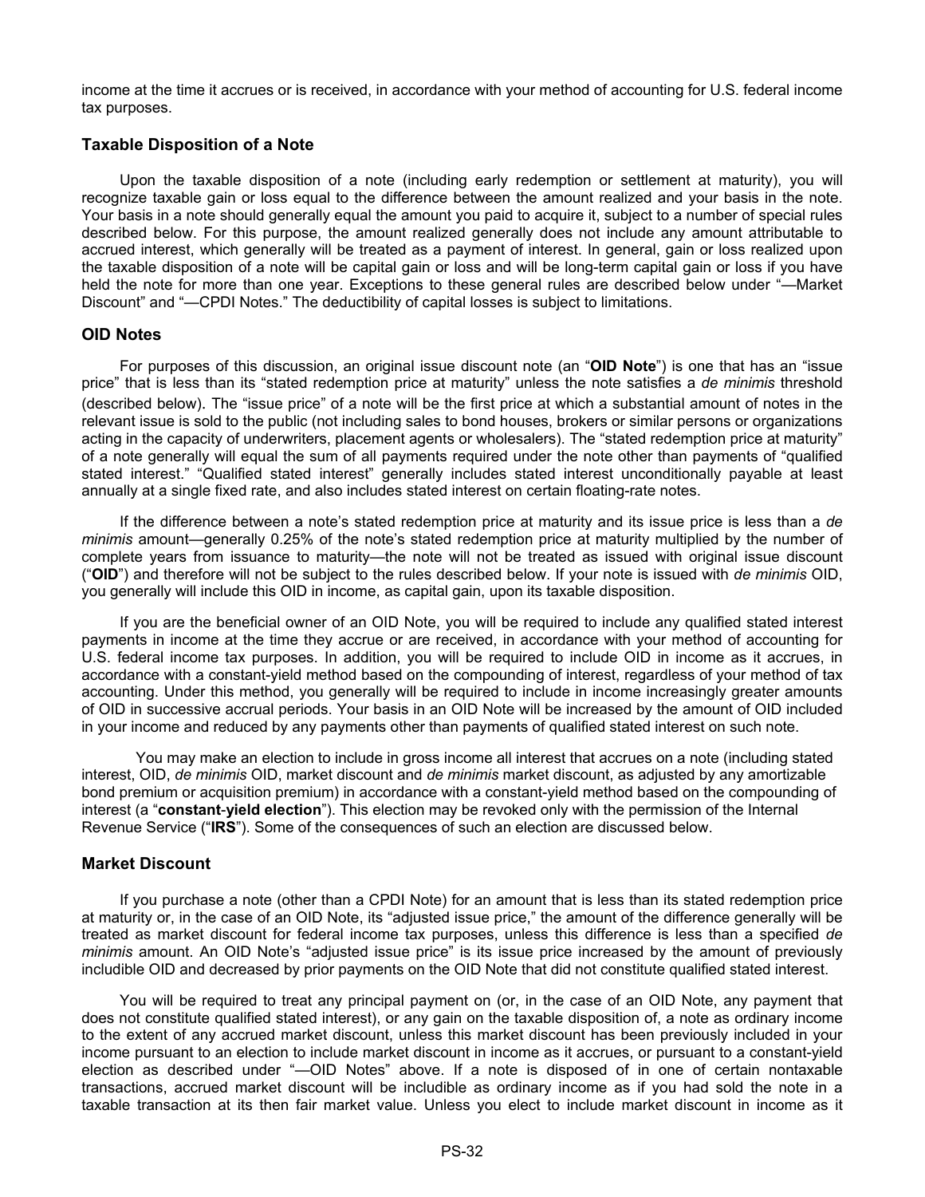income at the time it accrues or is received, in accordance with your method of accounting for U.S. federal income tax purposes.

#### **Taxable Disposition of a Note**

Upon the taxable disposition of a note (including early redemption or settlement at maturity), you will recognize taxable gain or loss equal to the difference between the amount realized and your basis in the note. Your basis in a note should generally equal the amount you paid to acquire it, subject to a number of special rules described below. For this purpose, the amount realized generally does not include any amount attributable to accrued interest, which generally will be treated as a payment of interest. In general, gain or loss realized upon the taxable disposition of a note will be capital gain or loss and will be long-term capital gain or loss if you have held the note for more than one year. Exceptions to these general rules are described below under "—Market Discount" and "—CPDI Notes." The deductibility of capital losses is subject to limitations.

#### **OID Notes**

For purposes of this discussion, an original issue discount note (an "**OID Note**") is one that has an "issue price" that is less than its "stated redemption price at maturity" unless the note satisfies a *de minimis* threshold (described below). The "issue price" of a note will be the first price at which a substantial amount of notes in the relevant issue is sold to the public (not including sales to bond houses, brokers or similar persons or organizations acting in the capacity of underwriters, placement agents or wholesalers). The "stated redemption price at maturity" of a note generally will equal the sum of all payments required under the note other than payments of "qualified stated interest." "Qualified stated interest" generally includes stated interest unconditionally payable at least annually at a single fixed rate, and also includes stated interest on certain floating-rate notes.

If the difference between a note's stated redemption price at maturity and its issue price is less than a *de minimis* amount—generally 0.25% of the note's stated redemption price at maturity multiplied by the number of complete years from issuance to maturity—the note will not be treated as issued with original issue discount ("**OID**") and therefore will not be subject to the rules described below. If your note is issued with *de minimis* OID, you generally will include this OID in income, as capital gain, upon its taxable disposition.

If you are the beneficial owner of an OID Note, you will be required to include any qualified stated interest payments in income at the time they accrue or are received, in accordance with your method of accounting for U.S. federal income tax purposes. In addition, you will be required to include OID in income as it accrues, in accordance with a constant-yield method based on the compounding of interest, regardless of your method of tax accounting. Under this method, you generally will be required to include in income increasingly greater amounts of OID in successive accrual periods. Your basis in an OID Note will be increased by the amount of OID included in your income and reduced by any payments other than payments of qualified stated interest on such note.

 You may make an election to include in gross income all interest that accrues on a note (including stated interest, OID, *de minimis* OID, market discount and *de minimis* market discount, as adjusted by any amortizable bond premium or acquisition premium) in accordance with a constant-yield method based on the compounding of interest (a "**constant**-**yield election**"). This election may be revoked only with the permission of the Internal Revenue Service ("**IRS**"). Some of the consequences of such an election are discussed below.

#### **Market Discount**

If you purchase a note (other than a CPDI Note) for an amount that is less than its stated redemption price at maturity or, in the case of an OID Note, its "adjusted issue price," the amount of the difference generally will be treated as market discount for federal income tax purposes, unless this difference is less than a specified *de minimis* amount. An OID Note's "adjusted issue price" is its issue price increased by the amount of previously includible OID and decreased by prior payments on the OID Note that did not constitute qualified stated interest.

You will be required to treat any principal payment on (or, in the case of an OID Note, any payment that does not constitute qualified stated interest), or any gain on the taxable disposition of, a note as ordinary income to the extent of any accrued market discount, unless this market discount has been previously included in your income pursuant to an election to include market discount in income as it accrues, or pursuant to a constant-yield election as described under "—OID Notes" above. If a note is disposed of in one of certain nontaxable transactions, accrued market discount will be includible as ordinary income as if you had sold the note in a taxable transaction at its then fair market value. Unless you elect to include market discount in income as it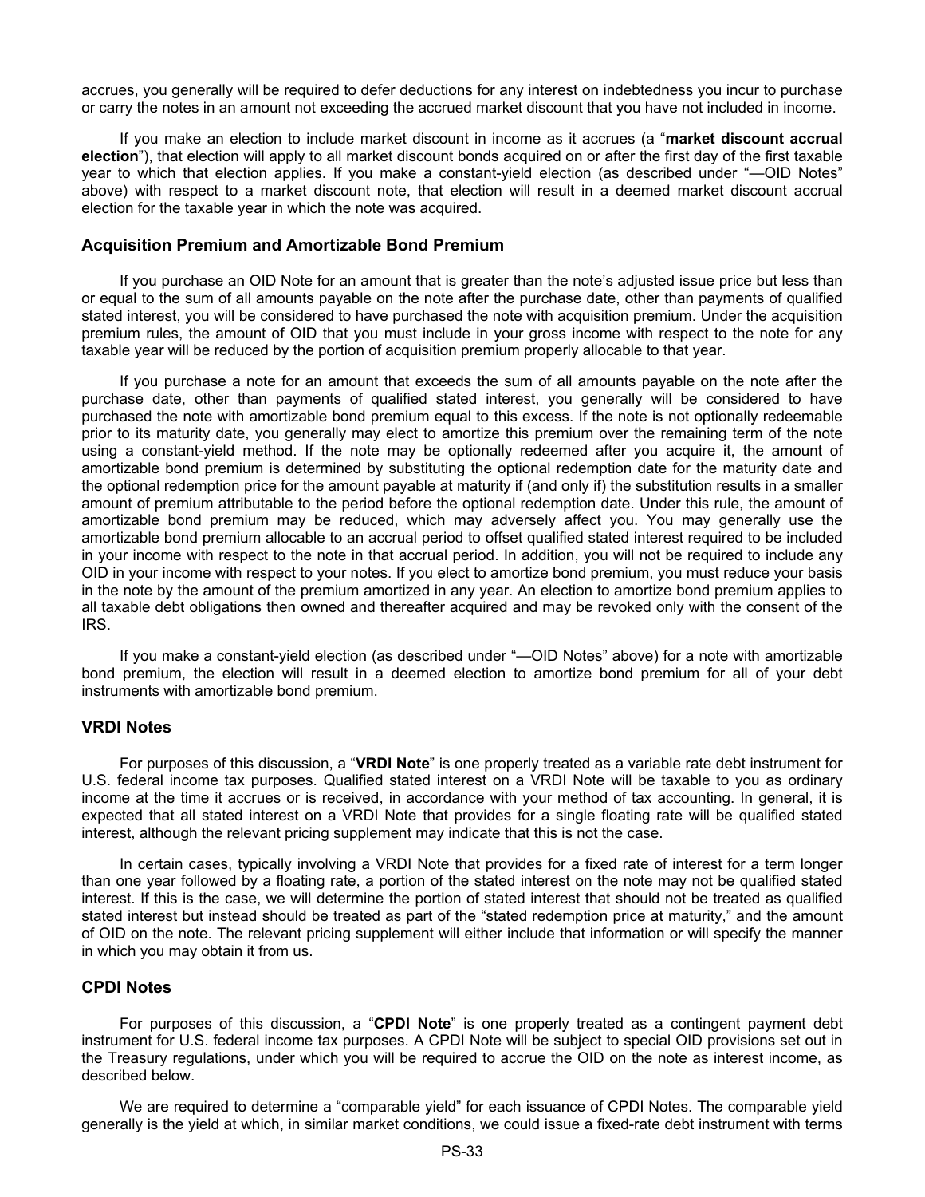accrues, you generally will be required to defer deductions for any interest on indebtedness you incur to purchase or carry the notes in an amount not exceeding the accrued market discount that you have not included in income.

If you make an election to include market discount in income as it accrues (a "**market discount accrual election**"), that election will apply to all market discount bonds acquired on or after the first day of the first taxable year to which that election applies. If you make a constant-yield election (as described under "—OID Notes" above) with respect to a market discount note, that election will result in a deemed market discount accrual election for the taxable year in which the note was acquired.

#### **Acquisition Premium and Amortizable Bond Premium**

If you purchase an OID Note for an amount that is greater than the note's adjusted issue price but less than or equal to the sum of all amounts payable on the note after the purchase date, other than payments of qualified stated interest, you will be considered to have purchased the note with acquisition premium. Under the acquisition premium rules, the amount of OID that you must include in your gross income with respect to the note for any taxable year will be reduced by the portion of acquisition premium properly allocable to that year.

If you purchase a note for an amount that exceeds the sum of all amounts payable on the note after the purchase date, other than payments of qualified stated interest, you generally will be considered to have purchased the note with amortizable bond premium equal to this excess. If the note is not optionally redeemable prior to its maturity date, you generally may elect to amortize this premium over the remaining term of the note using a constant-yield method. If the note may be optionally redeemed after you acquire it, the amount of amortizable bond premium is determined by substituting the optional redemption date for the maturity date and the optional redemption price for the amount payable at maturity if (and only if) the substitution results in a smaller amount of premium attributable to the period before the optional redemption date. Under this rule, the amount of amortizable bond premium may be reduced, which may adversely affect you. You may generally use the amortizable bond premium allocable to an accrual period to offset qualified stated interest required to be included in your income with respect to the note in that accrual period. In addition, you will not be required to include any OID in your income with respect to your notes. If you elect to amortize bond premium, you must reduce your basis in the note by the amount of the premium amortized in any year. An election to amortize bond premium applies to all taxable debt obligations then owned and thereafter acquired and may be revoked only with the consent of the IRS.

If you make a constant-yield election (as described under "—OID Notes" above) for a note with amortizable bond premium, the election will result in a deemed election to amortize bond premium for all of your debt instruments with amortizable bond premium.

#### **VRDI Notes**

For purposes of this discussion, a "**VRDI Note**" is one properly treated as a variable rate debt instrument for U.S. federal income tax purposes. Qualified stated interest on a VRDI Note will be taxable to you as ordinary income at the time it accrues or is received, in accordance with your method of tax accounting. In general, it is expected that all stated interest on a VRDI Note that provides for a single floating rate will be qualified stated interest, although the relevant pricing supplement may indicate that this is not the case.

In certain cases, typically involving a VRDI Note that provides for a fixed rate of interest for a term longer than one year followed by a floating rate, a portion of the stated interest on the note may not be qualified stated interest. If this is the case, we will determine the portion of stated interest that should not be treated as qualified stated interest but instead should be treated as part of the "stated redemption price at maturity," and the amount of OID on the note. The relevant pricing supplement will either include that information or will specify the manner in which you may obtain it from us.

#### **CPDI Notes**

For purposes of this discussion, a "**CPDI Note**" is one properly treated as a contingent payment debt instrument for U.S. federal income tax purposes. A CPDI Note will be subject to special OID provisions set out in the Treasury regulations, under which you will be required to accrue the OID on the note as interest income, as described below.

We are required to determine a "comparable yield" for each issuance of CPDI Notes. The comparable yield generally is the yield at which, in similar market conditions, we could issue a fixed-rate debt instrument with terms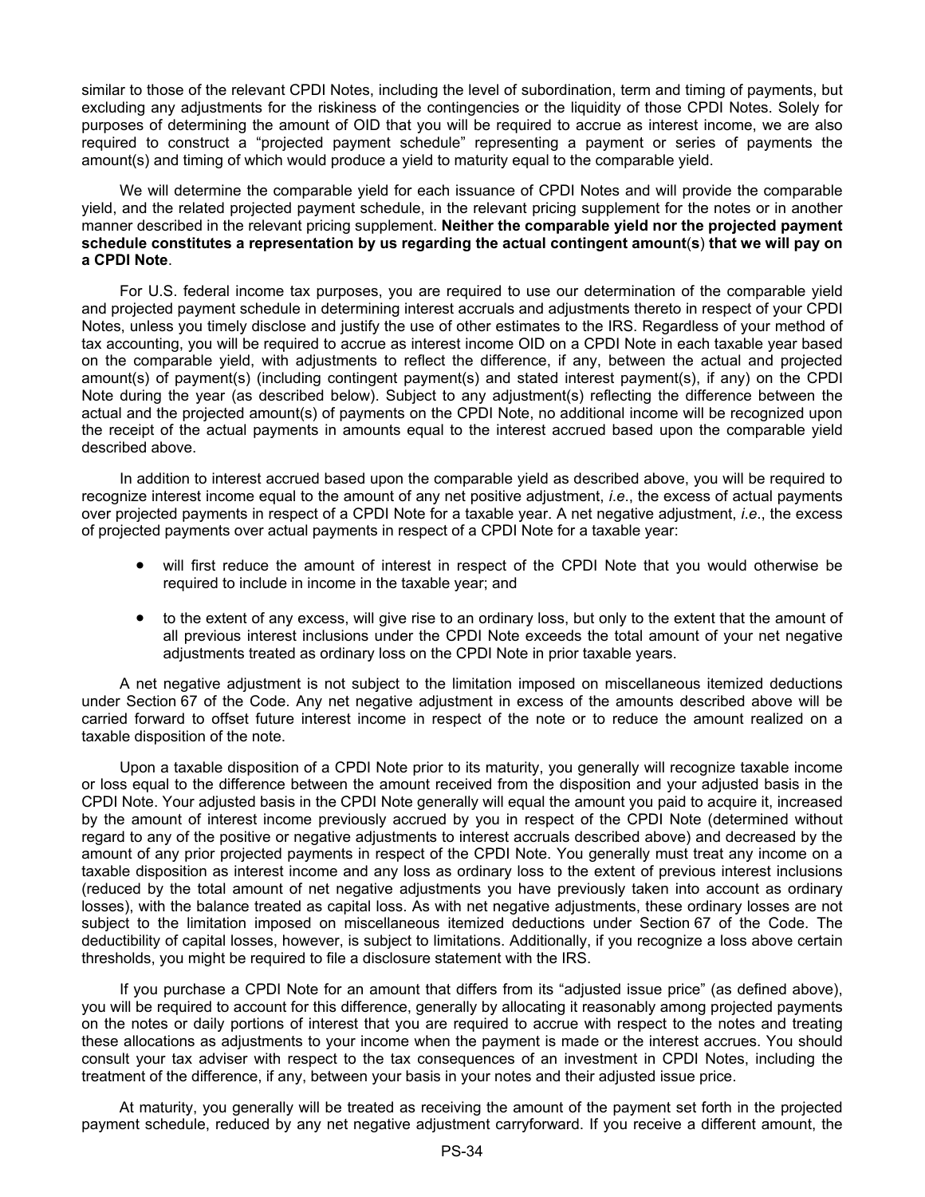similar to those of the relevant CPDI Notes, including the level of subordination, term and timing of payments, but excluding any adjustments for the riskiness of the contingencies or the liquidity of those CPDI Notes. Solely for purposes of determining the amount of OID that you will be required to accrue as interest income, we are also required to construct a "projected payment schedule" representing a payment or series of payments the amount(s) and timing of which would produce a yield to maturity equal to the comparable yield.

We will determine the comparable yield for each issuance of CPDI Notes and will provide the comparable yield, and the related projected payment schedule, in the relevant pricing supplement for the notes or in another manner described in the relevant pricing supplement. **Neither the comparable yield nor the projected payment schedule constitutes a representation by us regarding the actual contingent amount**(**s**) **that we will pay on a CPDI Note**.

For U.S. federal income tax purposes, you are required to use our determination of the comparable yield and projected payment schedule in determining interest accruals and adjustments thereto in respect of your CPDI Notes, unless you timely disclose and justify the use of other estimates to the IRS. Regardless of your method of tax accounting, you will be required to accrue as interest income OID on a CPDI Note in each taxable year based on the comparable yield, with adjustments to reflect the difference, if any, between the actual and projected amount(s) of payment(s) (including contingent payment(s) and stated interest payment(s), if any) on the CPDI Note during the year (as described below). Subject to any adjustment(s) reflecting the difference between the actual and the projected amount(s) of payments on the CPDI Note, no additional income will be recognized upon the receipt of the actual payments in amounts equal to the interest accrued based upon the comparable yield described above.

In addition to interest accrued based upon the comparable yield as described above, you will be required to recognize interest income equal to the amount of any net positive adjustment, *i*.*e*., the excess of actual payments over projected payments in respect of a CPDI Note for a taxable year. A net negative adjustment, *i*.*e*., the excess of projected payments over actual payments in respect of a CPDI Note for a taxable year:

- will first reduce the amount of interest in respect of the CPDI Note that you would otherwise be required to include in income in the taxable year; and
- to the extent of any excess, will give rise to an ordinary loss, but only to the extent that the amount of all previous interest inclusions under the CPDI Note exceeds the total amount of your net negative adjustments treated as ordinary loss on the CPDI Note in prior taxable years.

A net negative adjustment is not subject to the limitation imposed on miscellaneous itemized deductions under Section 67 of the Code. Any net negative adjustment in excess of the amounts described above will be carried forward to offset future interest income in respect of the note or to reduce the amount realized on a taxable disposition of the note.

Upon a taxable disposition of a CPDI Note prior to its maturity, you generally will recognize taxable income or loss equal to the difference between the amount received from the disposition and your adjusted basis in the CPDI Note. Your adjusted basis in the CPDI Note generally will equal the amount you paid to acquire it, increased by the amount of interest income previously accrued by you in respect of the CPDI Note (determined without regard to any of the positive or negative adjustments to interest accruals described above) and decreased by the amount of any prior projected payments in respect of the CPDI Note. You generally must treat any income on a taxable disposition as interest income and any loss as ordinary loss to the extent of previous interest inclusions (reduced by the total amount of net negative adjustments you have previously taken into account as ordinary losses), with the balance treated as capital loss. As with net negative adjustments, these ordinary losses are not subject to the limitation imposed on miscellaneous itemized deductions under Section 67 of the Code. The deductibility of capital losses, however, is subject to limitations. Additionally, if you recognize a loss above certain thresholds, you might be required to file a disclosure statement with the IRS.

If you purchase a CPDI Note for an amount that differs from its "adjusted issue price" (as defined above), you will be required to account for this difference, generally by allocating it reasonably among projected payments on the notes or daily portions of interest that you are required to accrue with respect to the notes and treating these allocations as adjustments to your income when the payment is made or the interest accrues. You should consult your tax adviser with respect to the tax consequences of an investment in CPDI Notes, including the treatment of the difference, if any, between your basis in your notes and their adjusted issue price.

At maturity, you generally will be treated as receiving the amount of the payment set forth in the projected payment schedule, reduced by any net negative adjustment carryforward. If you receive a different amount, the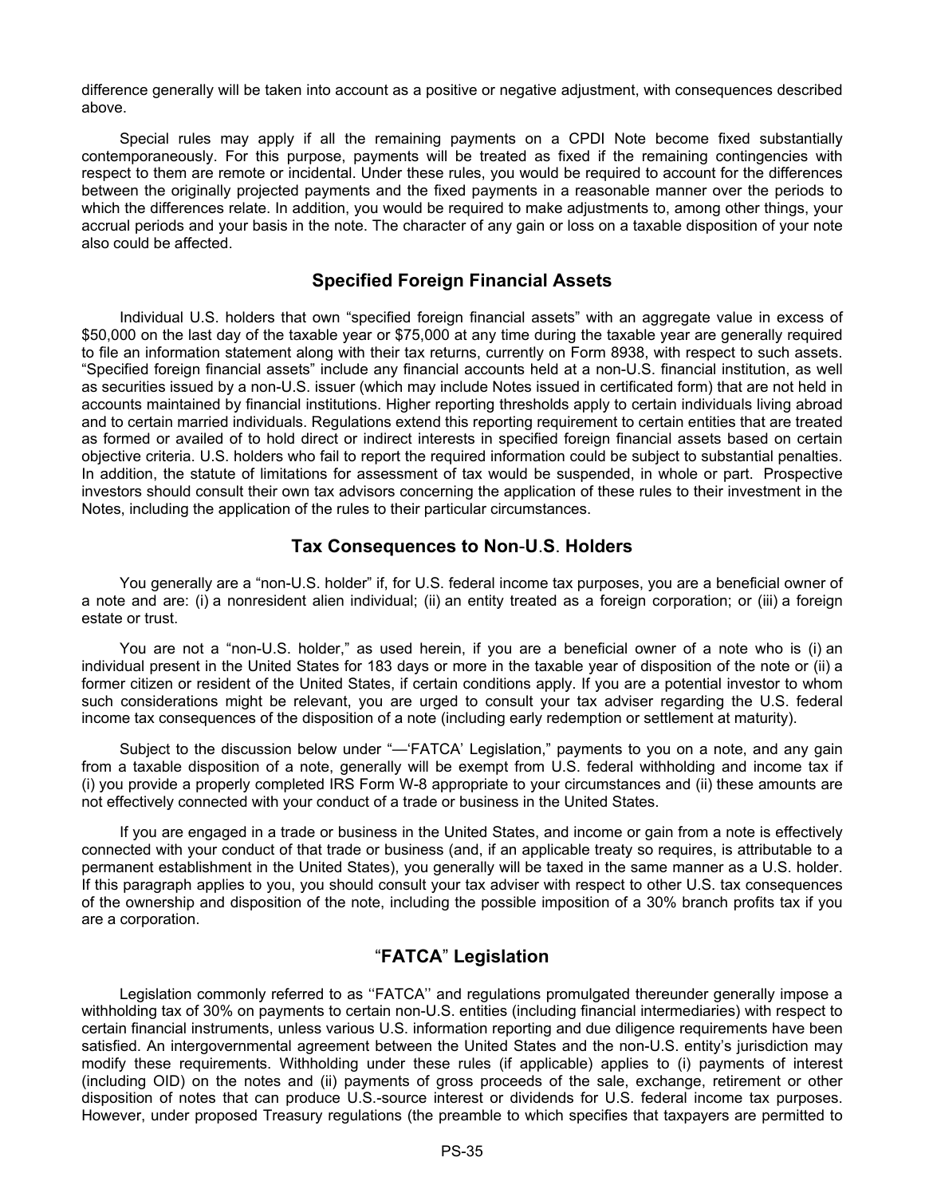difference generally will be taken into account as a positive or negative adjustment, with consequences described above.

Special rules may apply if all the remaining payments on a CPDI Note become fixed substantially contemporaneously. For this purpose, payments will be treated as fixed if the remaining contingencies with respect to them are remote or incidental. Under these rules, you would be required to account for the differences between the originally projected payments and the fixed payments in a reasonable manner over the periods to which the differences relate. In addition, you would be required to make adjustments to, among other things, your accrual periods and your basis in the note. The character of any gain or loss on a taxable disposition of your note also could be affected.

## **Specified Foreign Financial Assets**

Individual U.S. holders that own "specified foreign financial assets" with an aggregate value in excess of \$50,000 on the last day of the taxable year or \$75,000 at any time during the taxable year are generally required to file an information statement along with their tax returns, currently on Form 8938, with respect to such assets. "Specified foreign financial assets" include any financial accounts held at a non-U.S. financial institution, as well as securities issued by a non-U.S. issuer (which may include Notes issued in certificated form) that are not held in accounts maintained by financial institutions. Higher reporting thresholds apply to certain individuals living abroad and to certain married individuals. Regulations extend this reporting requirement to certain entities that are treated as formed or availed of to hold direct or indirect interests in specified foreign financial assets based on certain objective criteria. U.S. holders who fail to report the required information could be subject to substantial penalties. In addition, the statute of limitations for assessment of tax would be suspended, in whole or part. Prospective investors should consult their own tax advisors concerning the application of these rules to their investment in the Notes, including the application of the rules to their particular circumstances.

### **Tax Consequences to Non**-**U**.**S**. **Holders**

You generally are a "non-U.S. holder" if, for U.S. federal income tax purposes, you are a beneficial owner of a note and are: (i) a nonresident alien individual; (ii) an entity treated as a foreign corporation; or (iii) a foreign estate or trust.

You are not a "non-U.S. holder," as used herein, if you are a beneficial owner of a note who is (i) an individual present in the United States for 183 days or more in the taxable year of disposition of the note or (ii) a former citizen or resident of the United States, if certain conditions apply. If you are a potential investor to whom such considerations might be relevant, you are urged to consult your tax adviser regarding the U.S. federal income tax consequences of the disposition of a note (including early redemption or settlement at maturity).

Subject to the discussion below under "—'FATCA' Legislation," payments to you on a note, and any gain from a taxable disposition of a note, generally will be exempt from U.S. federal withholding and income tax if (i) you provide a properly completed IRS Form W-8 appropriate to your circumstances and (ii) these amounts are not effectively connected with your conduct of a trade or business in the United States.

If you are engaged in a trade or business in the United States, and income or gain from a note is effectively connected with your conduct of that trade or business (and, if an applicable treaty so requires, is attributable to a permanent establishment in the United States), you generally will be taxed in the same manner as a U.S. holder. If this paragraph applies to you, you should consult your tax adviser with respect to other U.S. tax consequences of the ownership and disposition of the note, including the possible imposition of a 30% branch profits tax if you are a corporation.

## "**FATCA**" **Legislation**

Legislation commonly referred to as ''FATCA'' and regulations promulgated thereunder generally impose a withholding tax of 30% on payments to certain non-U.S. entities (including financial intermediaries) with respect to certain financial instruments, unless various U.S. information reporting and due diligence requirements have been satisfied. An intergovernmental agreement between the United States and the non-U.S. entity's jurisdiction may modify these requirements. Withholding under these rules (if applicable) applies to (i) payments of interest (including OID) on the notes and (ii) payments of gross proceeds of the sale, exchange, retirement or other disposition of notes that can produce U.S.-source interest or dividends for U.S. federal income tax purposes. However, under proposed Treasury regulations (the preamble to which specifies that taxpayers are permitted to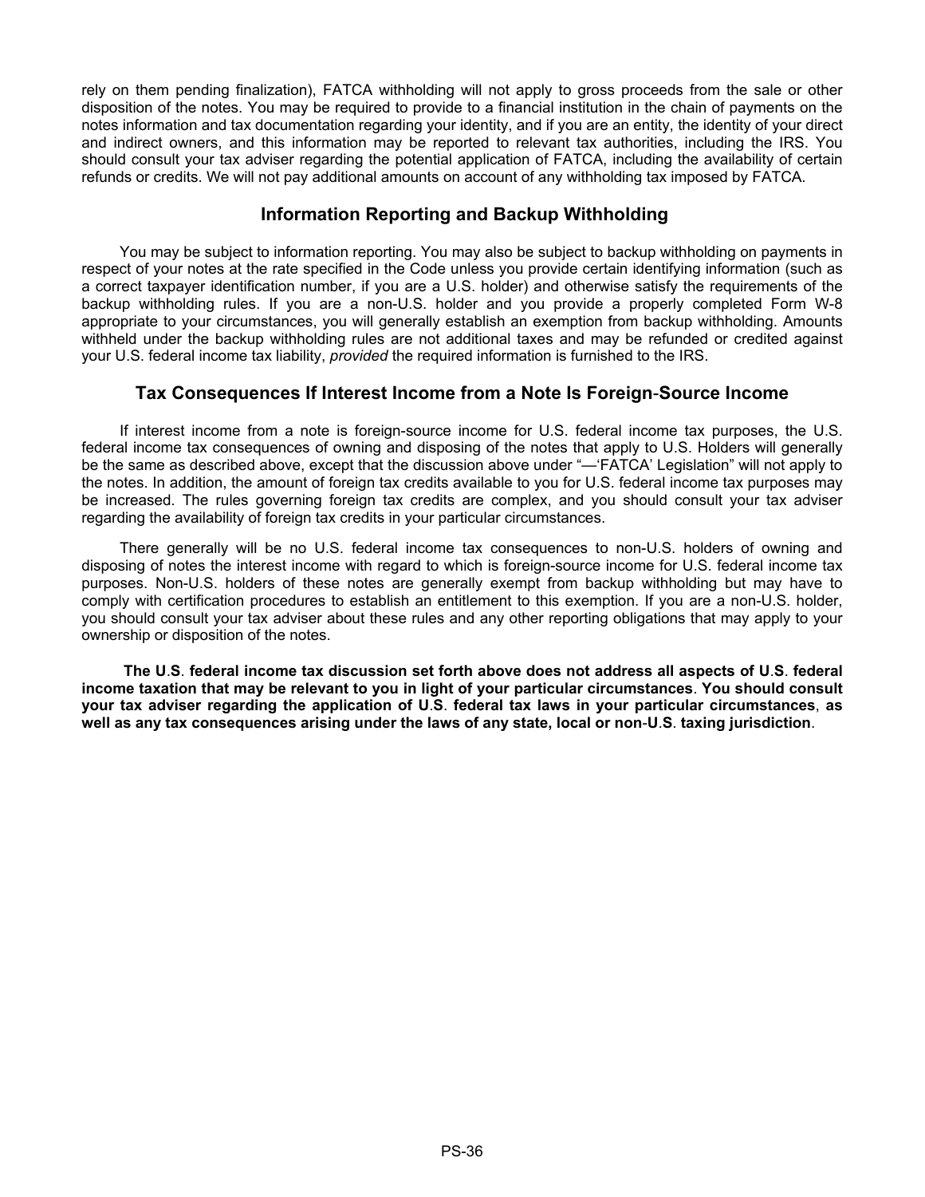rely on them pending finalization), FATCA withholding will not apply to gross proceeds from the sale or other disposition of the notes. You may be required to provide to a financial institution in the chain of payments on the notes information and tax documentation regarding your identity, and if you are an entity, the identity of your direct and indirect owners, and this information may be reported to relevant tax authorities, including the IRS. You should consult your tax adviser regarding the potential application of FATCA, including the availability of certain refunds or credits. We will not pay additional amounts on account of any withholding tax imposed by FATCA.

## **Information Reporting and Backup Withholding**

You may be subject to information reporting. You may also be subject to backup withholding on payments in respect of your notes at the rate specified in the Code unless you provide certain identifying information (such as a correct taxpayer identification number, if you are a U.S. holder) and otherwise satisfy the requirements of the backup withholding rules. If you are a non-U.S. holder and you provide a properly completed Form W-8 appropriate to your circumstances, you will generally establish an exemption from backup withholding. Amounts withheld under the backup withholding rules are not additional taxes and may be refunded or credited against your U.S. federal income tax liability, *provided* the required information is furnished to the IRS.

## **Tax Consequences If Interest Income from a Note Is Foreign**-**Source Income**

If interest income from a note is foreign-source income for U.S. federal income tax purposes, the U.S. federal income tax consequences of owning and disposing of the notes that apply to U.S. Holders will generally be the same as described above, except that the discussion above under "—'FATCA' Legislation" will not apply to the notes. In addition, the amount of foreign tax credits available to you for U.S. federal income tax purposes may be increased. The rules governing foreign tax credits are complex, and you should consult your tax adviser regarding the availability of foreign tax credits in your particular circumstances.

There generally will be no U.S. federal income tax consequences to non-U.S. holders of owning and disposing of notes the interest income with regard to which is foreign-source income for U.S. federal income tax purposes. Non-U.S. holders of these notes are generally exempt from backup withholding but may have to comply with certification procedures to establish an entitlement to this exemption. If you are a non-U.S. holder, you should consult your tax adviser about these rules and any other reporting obligations that may apply to your ownership or disposition of the notes.

 **The U**.**S**. **federal income tax discussion set forth above does not address all aspects of U**.**S**. **federal income taxation that may be relevant to you in light of your particular circumstances**. **You should consult your tax adviser regarding the application of U**.**S**. **federal tax laws in your particular circumstances**, **as well as any tax consequences arising under the laws of any state, local or non**-**U**.**S**. **taxing jurisdiction**.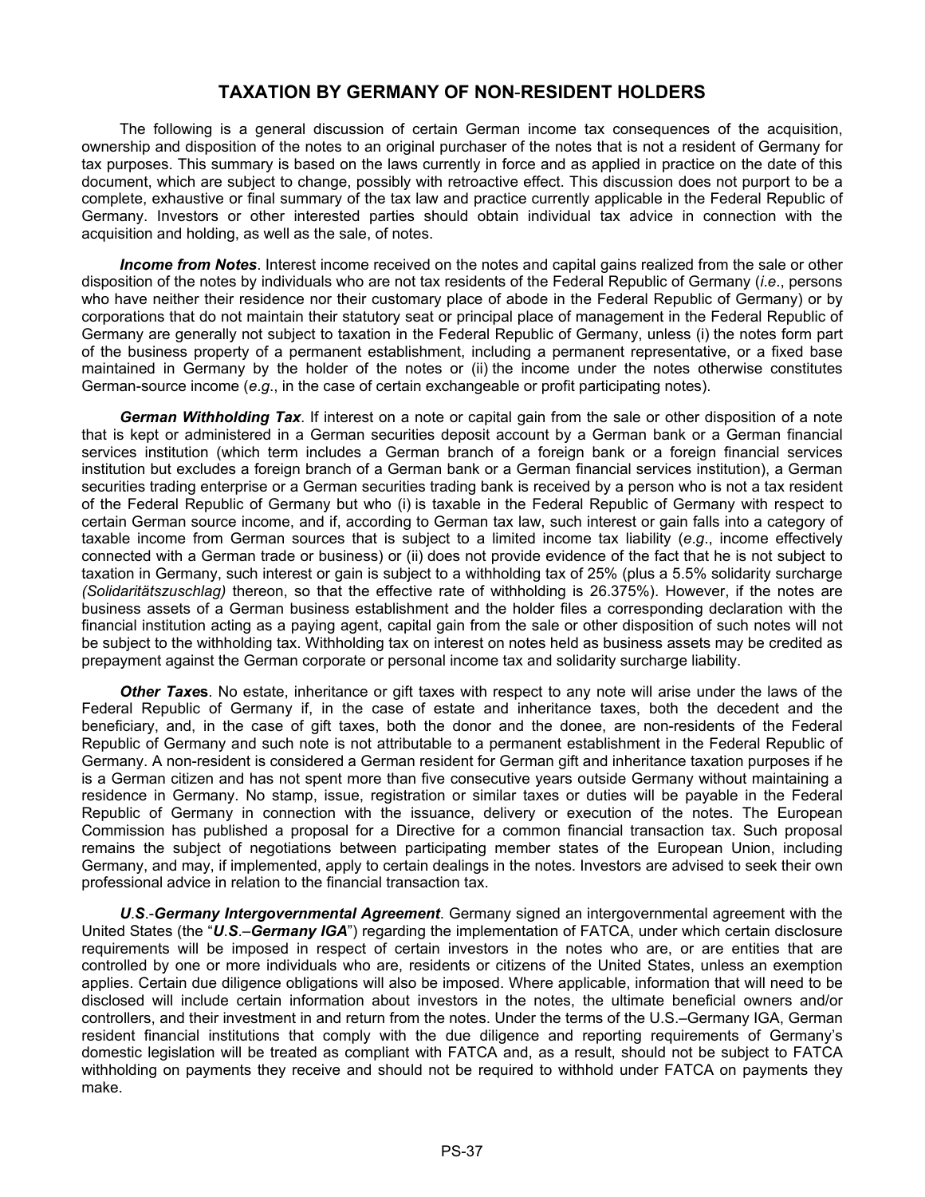## **TAXATION BY GERMANY OF NON**-**RESIDENT HOLDERS**

The following is a general discussion of certain German income tax consequences of the acquisition, ownership and disposition of the notes to an original purchaser of the notes that is not a resident of Germany for tax purposes. This summary is based on the laws currently in force and as applied in practice on the date of this document, which are subject to change, possibly with retroactive effect. This discussion does not purport to be a complete, exhaustive or final summary of the tax law and practice currently applicable in the Federal Republic of Germany. Investors or other interested parties should obtain individual tax advice in connection with the acquisition and holding, as well as the sale, of notes.

*Income from Notes*. Interest income received on the notes and capital gains realized from the sale or other disposition of the notes by individuals who are not tax residents of the Federal Republic of Germany (*i*.*e*., persons who have neither their residence nor their customary place of abode in the Federal Republic of Germany) or by corporations that do not maintain their statutory seat or principal place of management in the Federal Republic of Germany are generally not subject to taxation in the Federal Republic of Germany, unless (i) the notes form part of the business property of a permanent establishment, including a permanent representative, or a fixed base maintained in Germany by the holder of the notes or (ii) the income under the notes otherwise constitutes German-source income (*e*.*g*., in the case of certain exchangeable or profit participating notes).

*German Withholding Tax*. If interest on a note or capital gain from the sale or other disposition of a note that is kept or administered in a German securities deposit account by a German bank or a German financial services institution (which term includes a German branch of a foreign bank or a foreign financial services institution but excludes a foreign branch of a German bank or a German financial services institution), a German securities trading enterprise or a German securities trading bank is received by a person who is not a tax resident of the Federal Republic of Germany but who (i) is taxable in the Federal Republic of Germany with respect to certain German source income, and if, according to German tax law, such interest or gain falls into a category of taxable income from German sources that is subject to a limited income tax liability (*e*.*g*., income effectively connected with a German trade or business) or (ii) does not provide evidence of the fact that he is not subject to taxation in Germany, such interest or gain is subject to a withholding tax of 25% (plus a 5.5% solidarity surcharge *(Solidaritätszuschlag)* thereon, so that the effective rate of withholding is 26.375%). However, if the notes are business assets of a German business establishment and the holder files a corresponding declaration with the financial institution acting as a paying agent, capital gain from the sale or other disposition of such notes will not be subject to the withholding tax. Withholding tax on interest on notes held as business assets may be credited as prepayment against the German corporate or personal income tax and solidarity surcharge liability.

*Other Taxe***s**. No estate, inheritance or gift taxes with respect to any note will arise under the laws of the Federal Republic of Germany if, in the case of estate and inheritance taxes, both the decedent and the beneficiary, and, in the case of gift taxes, both the donor and the donee, are non-residents of the Federal Republic of Germany and such note is not attributable to a permanent establishment in the Federal Republic of Germany. A non-resident is considered a German resident for German gift and inheritance taxation purposes if he is a German citizen and has not spent more than five consecutive years outside Germany without maintaining a residence in Germany. No stamp, issue, registration or similar taxes or duties will be payable in the Federal Republic of Germany in connection with the issuance, delivery or execution of the notes. The European Commission has published a proposal for a Directive for a common financial transaction tax. Such proposal remains the subject of negotiations between participating member states of the European Union, including Germany, and may, if implemented, apply to certain dealings in the notes. Investors are advised to seek their own professional advice in relation to the financial transaction tax.

*U*.*S*.-*Germany Intergovernmental Agreement*. Germany signed an intergovernmental agreement with the United States (the "*U*.*S*.–*Germany IGA*") regarding the implementation of FATCA, under which certain disclosure requirements will be imposed in respect of certain investors in the notes who are, or are entities that are controlled by one or more individuals who are, residents or citizens of the United States, unless an exemption applies. Certain due diligence obligations will also be imposed. Where applicable, information that will need to be disclosed will include certain information about investors in the notes, the ultimate beneficial owners and/or controllers, and their investment in and return from the notes. Under the terms of the U.S.–Germany IGA, German resident financial institutions that comply with the due diligence and reporting requirements of Germany's domestic legislation will be treated as compliant with FATCA and, as a result, should not be subject to FATCA withholding on payments they receive and should not be required to withhold under FATCA on payments they make.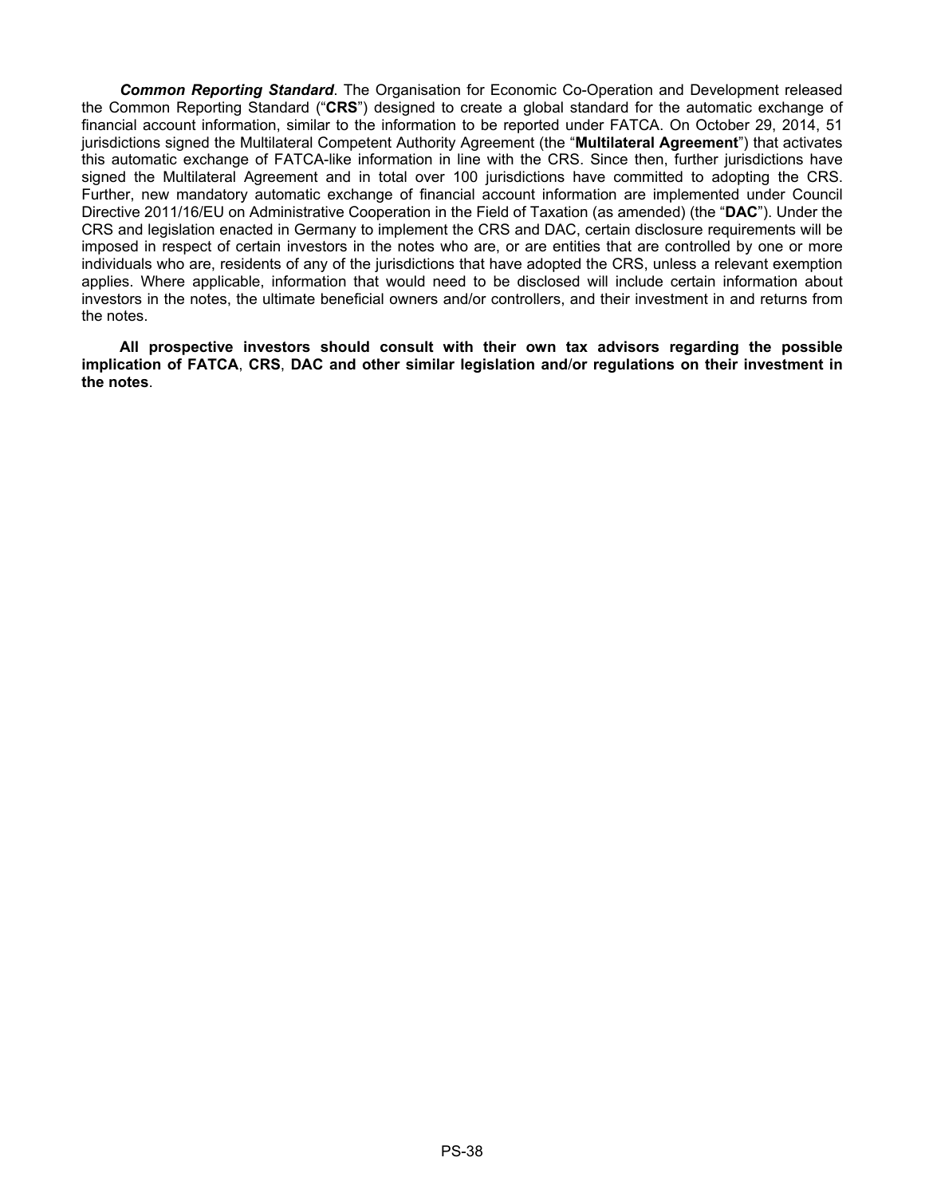*Common Reporting Standard*. The Organisation for Economic Co-Operation and Development released the Common Reporting Standard ("**CRS**") designed to create a global standard for the automatic exchange of financial account information, similar to the information to be reported under FATCA. On October 29, 2014, 51 jurisdictions signed the Multilateral Competent Authority Agreement (the "**Multilateral Agreement**") that activates this automatic exchange of FATCA-like information in line with the CRS. Since then, further jurisdictions have signed the Multilateral Agreement and in total over 100 jurisdictions have committed to adopting the CRS. Further, new mandatory automatic exchange of financial account information are implemented under Council Directive 2011/16/EU on Administrative Cooperation in the Field of Taxation (as amended) (the "**DAC**"). Under the CRS and legislation enacted in Germany to implement the CRS and DAC, certain disclosure requirements will be imposed in respect of certain investors in the notes who are, or are entities that are controlled by one or more individuals who are, residents of any of the jurisdictions that have adopted the CRS, unless a relevant exemption applies. Where applicable, information that would need to be disclosed will include certain information about investors in the notes, the ultimate beneficial owners and/or controllers, and their investment in and returns from the notes.

**All prospective investors should consult with their own tax advisors regarding the possible implication of FATCA**, **CRS**, **DAC and other similar legislation and**/**or regulations on their investment in the notes**.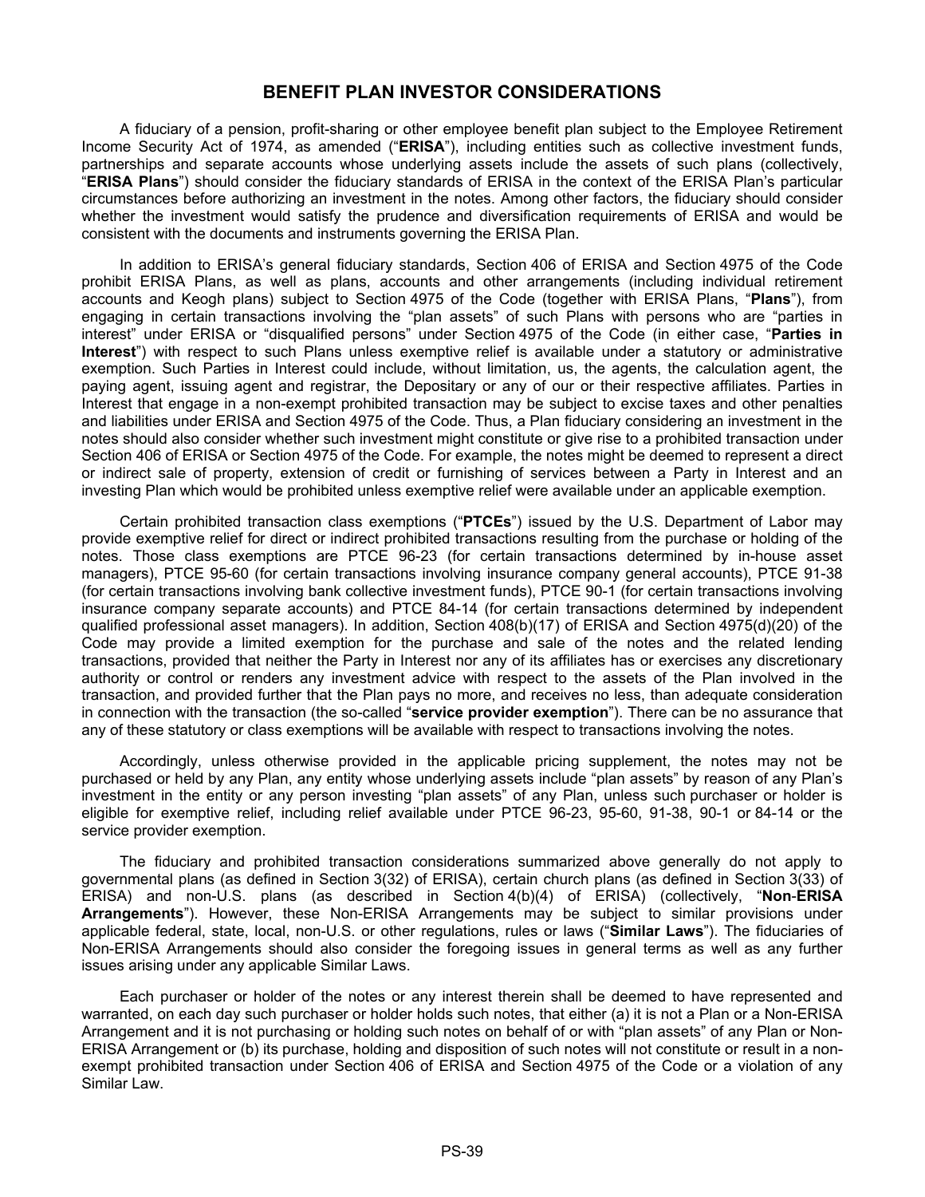#### **BENEFIT PLAN INVESTOR CONSIDERATIONS**

A fiduciary of a pension, profit-sharing or other employee benefit plan subject to the Employee Retirement Income Security Act of 1974, as amended ("**ERISA**"), including entities such as collective investment funds, partnerships and separate accounts whose underlying assets include the assets of such plans (collectively, "**ERISA Plans**") should consider the fiduciary standards of ERISA in the context of the ERISA Plan's particular circumstances before authorizing an investment in the notes. Among other factors, the fiduciary should consider whether the investment would satisfy the prudence and diversification requirements of ERISA and would be consistent with the documents and instruments governing the ERISA Plan.

In addition to ERISA's general fiduciary standards, Section 406 of ERISA and Section 4975 of the Code prohibit ERISA Plans, as well as plans, accounts and other arrangements (including individual retirement accounts and Keogh plans) subject to Section 4975 of the Code (together with ERISA Plans, "**Plans**"), from engaging in certain transactions involving the "plan assets" of such Plans with persons who are "parties in interest" under ERISA or "disqualified persons" under Section 4975 of the Code (in either case, "**Parties in Interest**") with respect to such Plans unless exemptive relief is available under a statutory or administrative exemption. Such Parties in Interest could include, without limitation, us, the agents, the calculation agent, the paying agent, issuing agent and registrar, the Depositary or any of our or their respective affiliates. Parties in Interest that engage in a non-exempt prohibited transaction may be subject to excise taxes and other penalties and liabilities under ERISA and Section 4975 of the Code. Thus, a Plan fiduciary considering an investment in the notes should also consider whether such investment might constitute or give rise to a prohibited transaction under Section 406 of ERISA or Section 4975 of the Code. For example, the notes might be deemed to represent a direct or indirect sale of property, extension of credit or furnishing of services between a Party in Interest and an investing Plan which would be prohibited unless exemptive relief were available under an applicable exemption.

Certain prohibited transaction class exemptions ("**PTCEs**") issued by the U.S. Department of Labor may provide exemptive relief for direct or indirect prohibited transactions resulting from the purchase or holding of the notes. Those class exemptions are PTCE 96-23 (for certain transactions determined by in-house asset managers), PTCE 95-60 (for certain transactions involving insurance company general accounts), PTCE 91-38 (for certain transactions involving bank collective investment funds), PTCE 90-1 (for certain transactions involving insurance company separate accounts) and PTCE 84-14 (for certain transactions determined by independent qualified professional asset managers). In addition, Section 408(b)(17) of ERISA and Section 4975(d)(20) of the Code may provide a limited exemption for the purchase and sale of the notes and the related lending transactions, provided that neither the Party in Interest nor any of its affiliates has or exercises any discretionary authority or control or renders any investment advice with respect to the assets of the Plan involved in the transaction, and provided further that the Plan pays no more, and receives no less, than adequate consideration in connection with the transaction (the so-called "**service provider exemption**"). There can be no assurance that any of these statutory or class exemptions will be available with respect to transactions involving the notes.

Accordingly, unless otherwise provided in the applicable pricing supplement, the notes may not be purchased or held by any Plan, any entity whose underlying assets include "plan assets" by reason of any Plan's investment in the entity or any person investing "plan assets" of any Plan, unless such purchaser or holder is eligible for exemptive relief, including relief available under PTCE 96-23, 95-60, 91-38, 90-1 or 84-14 or the service provider exemption.

The fiduciary and prohibited transaction considerations summarized above generally do not apply to governmental plans (as defined in Section 3(32) of ERISA), certain church plans (as defined in Section 3(33) of ERISA) and non-U.S. plans (as described in Section 4(b)(4) of ERISA) (collectively, "**Non**-**ERISA Arrangements**"). However, these Non-ERISA Arrangements may be subject to similar provisions under applicable federal, state, local, non-U.S. or other regulations, rules or laws ("**Similar Laws**"). The fiduciaries of Non-ERISA Arrangements should also consider the foregoing issues in general terms as well as any further issues arising under any applicable Similar Laws.

Each purchaser or holder of the notes or any interest therein shall be deemed to have represented and warranted, on each day such purchaser or holder holds such notes, that either (a) it is not a Plan or a Non-ERISA Arrangement and it is not purchasing or holding such notes on behalf of or with "plan assets" of any Plan or Non-ERISA Arrangement or (b) its purchase, holding and disposition of such notes will not constitute or result in a nonexempt prohibited transaction under Section 406 of ERISA and Section 4975 of the Code or a violation of any Similar Law.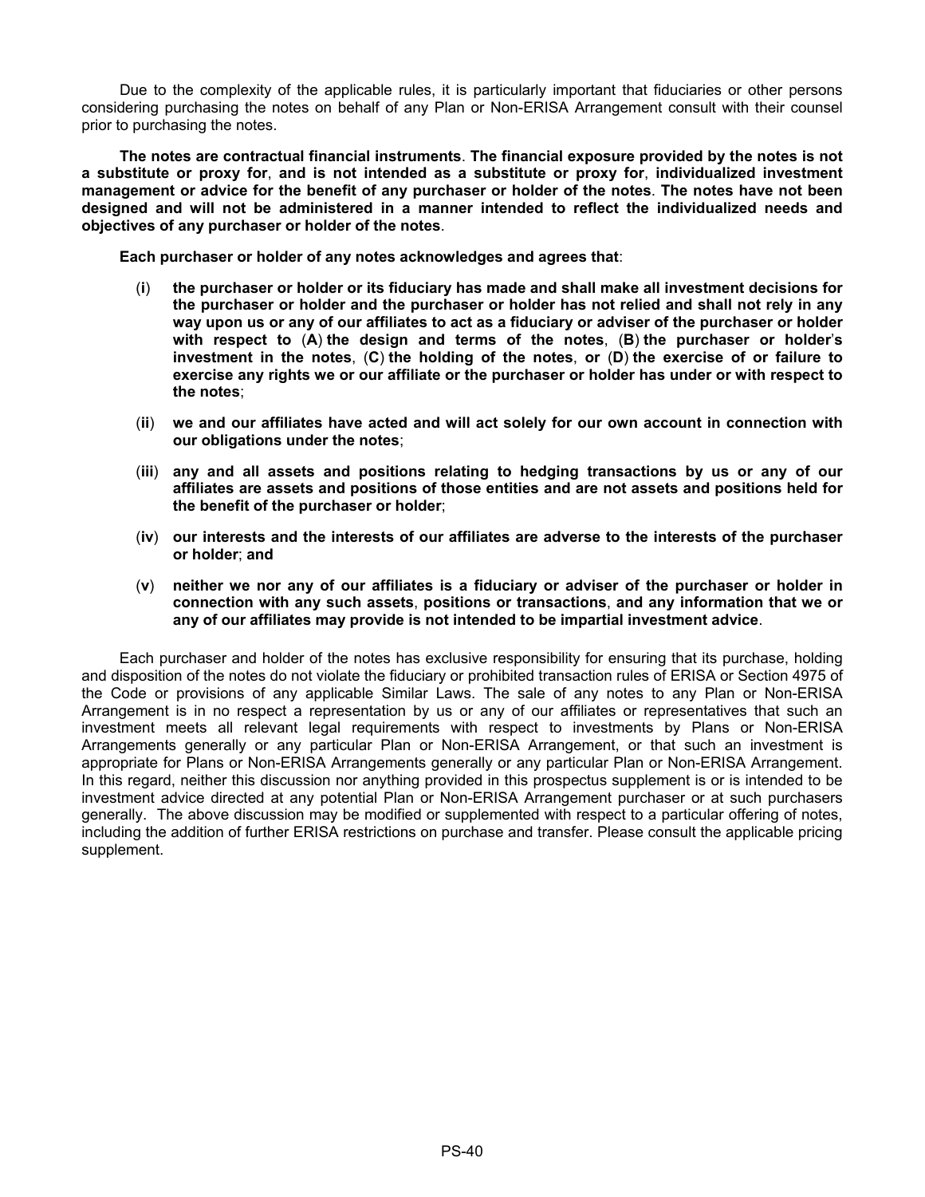Due to the complexity of the applicable rules, it is particularly important that fiduciaries or other persons considering purchasing the notes on behalf of any Plan or Non-ERISA Arrangement consult with their counsel prior to purchasing the notes.

**The notes are contractual financial instruments**. **The financial exposure provided by the notes is not a substitute or proxy for**, **and is not intended as a substitute or proxy for**, **individualized investment management or advice for the benefit of any purchaser or holder of the notes**. **The notes have not been designed and will not be administered in a manner intended to reflect the individualized needs and objectives of any purchaser or holder of the notes**.

**Each purchaser or holder of any notes acknowledges and agrees that**:

- (**i**) **the purchaser or holder or its fiduciary has made and shall make all investment decisions for the purchaser or holder and the purchaser or holder has not relied and shall not rely in any way upon us or any of our affiliates to act as a fiduciary or adviser of the purchaser or holder with respect to** (**A**) **the design and terms of the notes**, (**B**) **the purchaser or holder**'**s investment in the notes**, (**C**) **the holding of the notes**, **or** (**D**) **the exercise of or failure to exercise any rights we or our affiliate or the purchaser or holder has under or with respect to the notes**;
- (**ii**) **we and our affiliates have acted and will act solely for our own account in connection with our obligations under the notes**;
- (**iii**) **any and all assets and positions relating to hedging transactions by us or any of our affiliates are assets and positions of those entities and are not assets and positions held for the benefit of the purchaser or holder**;
- (**iv**) **our interests and the interests of our affiliates are adverse to the interests of the purchaser or holder**; **and**
- (**v**) **neither we nor any of our affiliates is a fiduciary or adviser of the purchaser or holder in connection with any such assets**, **positions or transactions**, **and any information that we or any of our affiliates may provide is not intended to be impartial investment advice**.

Each purchaser and holder of the notes has exclusive responsibility for ensuring that its purchase, holding and disposition of the notes do not violate the fiduciary or prohibited transaction rules of ERISA or Section 4975 of the Code or provisions of any applicable Similar Laws. The sale of any notes to any Plan or Non-ERISA Arrangement is in no respect a representation by us or any of our affiliates or representatives that such an investment meets all relevant legal requirements with respect to investments by Plans or Non-ERISA Arrangements generally or any particular Plan or Non-ERISA Arrangement, or that such an investment is appropriate for Plans or Non-ERISA Arrangements generally or any particular Plan or Non-ERISA Arrangement. In this regard, neither this discussion nor anything provided in this prospectus supplement is or is intended to be investment advice directed at any potential Plan or Non-ERISA Arrangement purchaser or at such purchasers generally. The above discussion may be modified or supplemented with respect to a particular offering of notes, including the addition of further ERISA restrictions on purchase and transfer. Please consult the applicable pricing supplement.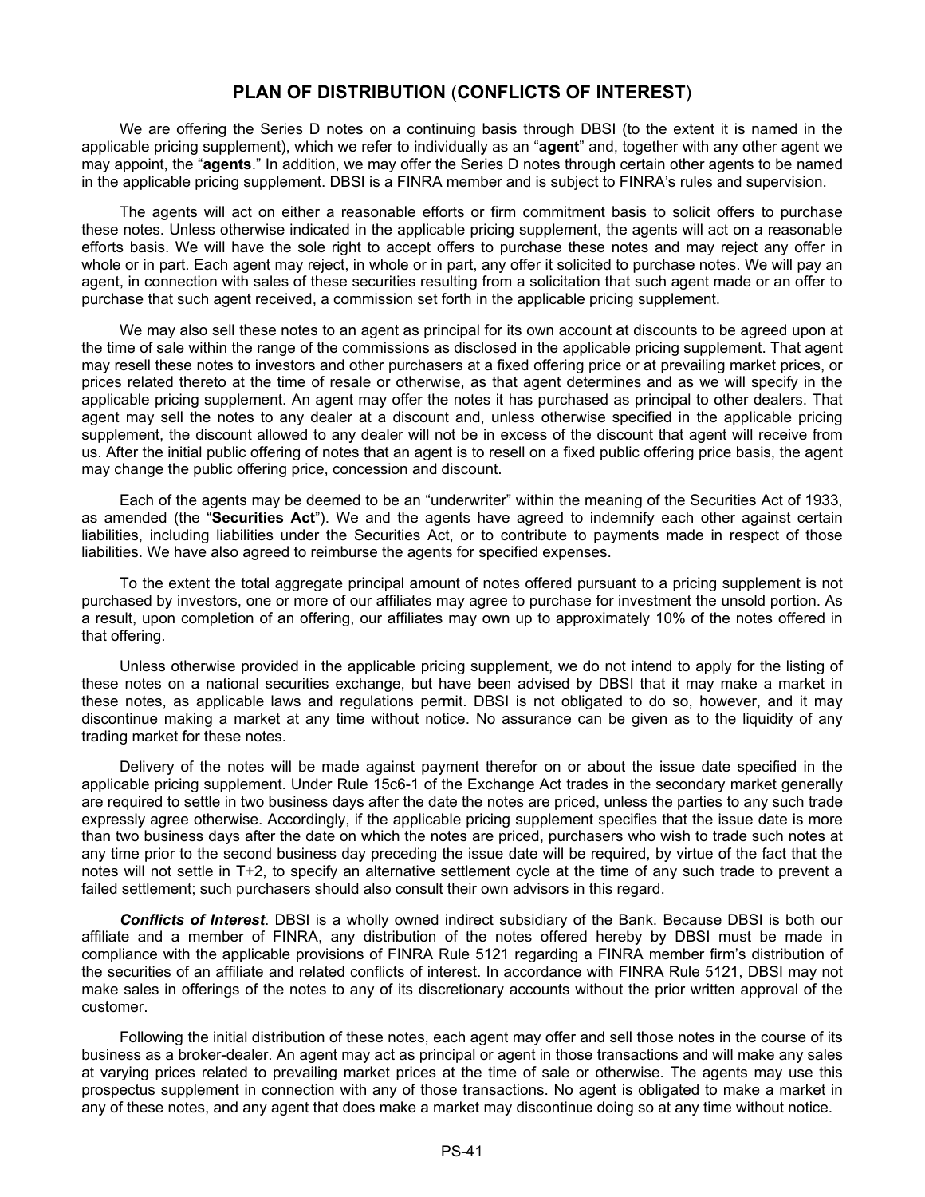## **PLAN OF DISTRIBUTION** (**CONFLICTS OF INTEREST**)

We are offering the Series D notes on a continuing basis through DBSI (to the extent it is named in the applicable pricing supplement), which we refer to individually as an "**agent**" and, together with any other agent we may appoint, the "**agents**." In addition, we may offer the Series D notes through certain other agents to be named in the applicable pricing supplement. DBSI is a FINRA member and is subject to FINRA's rules and supervision.

The agents will act on either a reasonable efforts or firm commitment basis to solicit offers to purchase these notes. Unless otherwise indicated in the applicable pricing supplement, the agents will act on a reasonable efforts basis. We will have the sole right to accept offers to purchase these notes and may reject any offer in whole or in part. Each agent may reject, in whole or in part, any offer it solicited to purchase notes. We will pay an agent, in connection with sales of these securities resulting from a solicitation that such agent made or an offer to purchase that such agent received, a commission set forth in the applicable pricing supplement.

We may also sell these notes to an agent as principal for its own account at discounts to be agreed upon at the time of sale within the range of the commissions as disclosed in the applicable pricing supplement. That agent may resell these notes to investors and other purchasers at a fixed offering price or at prevailing market prices, or prices related thereto at the time of resale or otherwise, as that agent determines and as we will specify in the applicable pricing supplement. An agent may offer the notes it has purchased as principal to other dealers. That agent may sell the notes to any dealer at a discount and, unless otherwise specified in the applicable pricing supplement, the discount allowed to any dealer will not be in excess of the discount that agent will receive from us. After the initial public offering of notes that an agent is to resell on a fixed public offering price basis, the agent may change the public offering price, concession and discount.

Each of the agents may be deemed to be an "underwriter" within the meaning of the Securities Act of 1933, as amended (the "**Securities Act**"). We and the agents have agreed to indemnify each other against certain liabilities, including liabilities under the Securities Act, or to contribute to payments made in respect of those liabilities. We have also agreed to reimburse the agents for specified expenses.

To the extent the total aggregate principal amount of notes offered pursuant to a pricing supplement is not purchased by investors, one or more of our affiliates may agree to purchase for investment the unsold portion. As a result, upon completion of an offering, our affiliates may own up to approximately 10% of the notes offered in that offering.

Unless otherwise provided in the applicable pricing supplement, we do not intend to apply for the listing of these notes on a national securities exchange, but have been advised by DBSI that it may make a market in these notes, as applicable laws and regulations permit. DBSI is not obligated to do so, however, and it may discontinue making a market at any time without notice. No assurance can be given as to the liquidity of any trading market for these notes.

Delivery of the notes will be made against payment therefor on or about the issue date specified in the applicable pricing supplement. Under Rule 15c6-1 of the Exchange Act trades in the secondary market generally are required to settle in two business days after the date the notes are priced, unless the parties to any such trade expressly agree otherwise. Accordingly, if the applicable pricing supplement specifies that the issue date is more than two business days after the date on which the notes are priced, purchasers who wish to trade such notes at any time prior to the second business day preceding the issue date will be required, by virtue of the fact that the notes will not settle in T+2, to specify an alternative settlement cycle at the time of any such trade to prevent a failed settlement; such purchasers should also consult their own advisors in this regard.

*Conflicts of Interest*. DBSI is a wholly owned indirect subsidiary of the Bank. Because DBSI is both our affiliate and a member of FINRA, any distribution of the notes offered hereby by DBSI must be made in compliance with the applicable provisions of FINRA Rule 5121 regarding a FINRA member firm's distribution of the securities of an affiliate and related conflicts of interest. In accordance with FINRA Rule 5121, DBSI may not make sales in offerings of the notes to any of its discretionary accounts without the prior written approval of the customer.

Following the initial distribution of these notes, each agent may offer and sell those notes in the course of its business as a broker-dealer. An agent may act as principal or agent in those transactions and will make any sales at varying prices related to prevailing market prices at the time of sale or otherwise. The agents may use this prospectus supplement in connection with any of those transactions. No agent is obligated to make a market in any of these notes, and any agent that does make a market may discontinue doing so at any time without notice.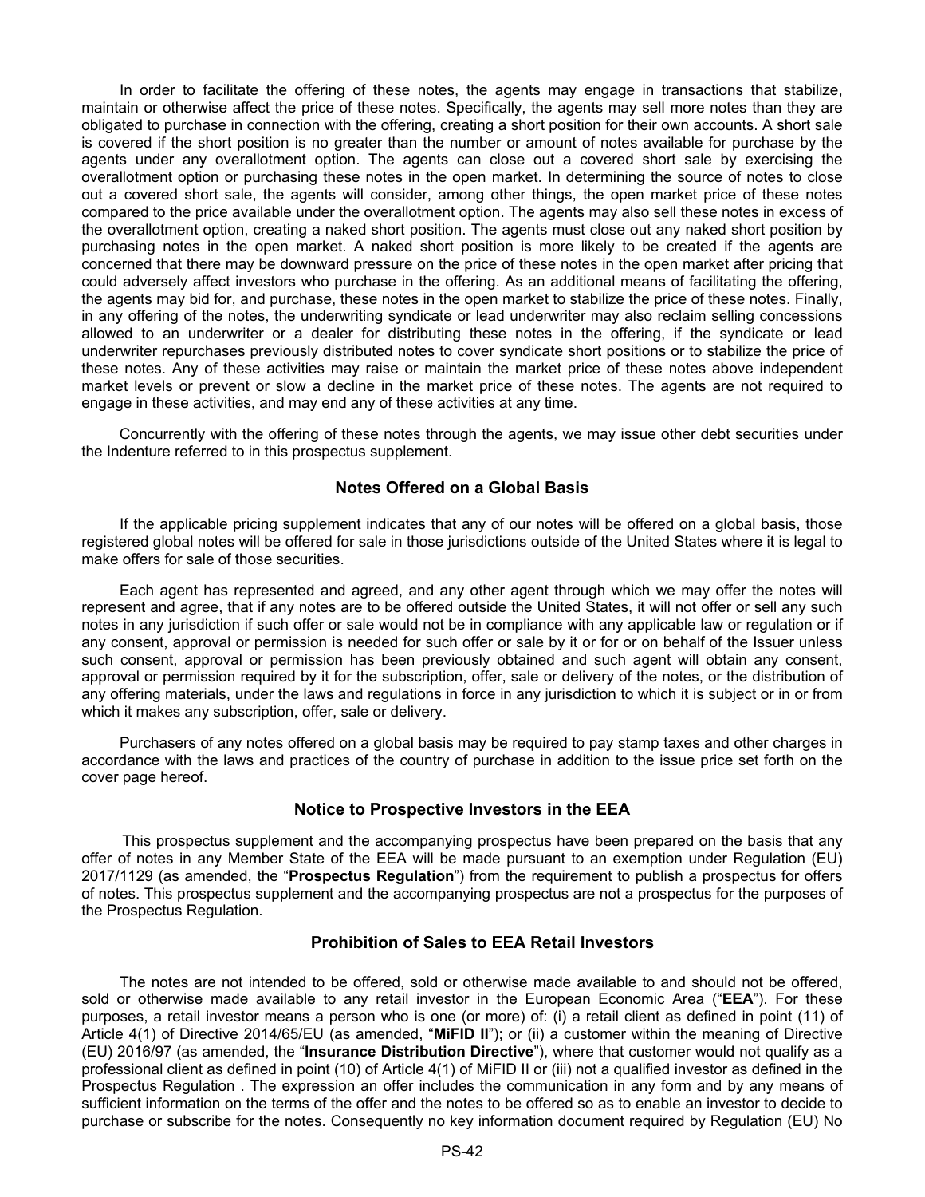In order to facilitate the offering of these notes, the agents may engage in transactions that stabilize, maintain or otherwise affect the price of these notes. Specifically, the agents may sell more notes than they are obligated to purchase in connection with the offering, creating a short position for their own accounts. A short sale is covered if the short position is no greater than the number or amount of notes available for purchase by the agents under any overallotment option. The agents can close out a covered short sale by exercising the overallotment option or purchasing these notes in the open market. In determining the source of notes to close out a covered short sale, the agents will consider, among other things, the open market price of these notes compared to the price available under the overallotment option. The agents may also sell these notes in excess of the overallotment option, creating a naked short position. The agents must close out any naked short position by purchasing notes in the open market. A naked short position is more likely to be created if the agents are concerned that there may be downward pressure on the price of these notes in the open market after pricing that could adversely affect investors who purchase in the offering. As an additional means of facilitating the offering, the agents may bid for, and purchase, these notes in the open market to stabilize the price of these notes. Finally, in any offering of the notes, the underwriting syndicate or lead underwriter may also reclaim selling concessions allowed to an underwriter or a dealer for distributing these notes in the offering, if the syndicate or lead underwriter repurchases previously distributed notes to cover syndicate short positions or to stabilize the price of these notes. Any of these activities may raise or maintain the market price of these notes above independent market levels or prevent or slow a decline in the market price of these notes. The agents are not required to engage in these activities, and may end any of these activities at any time.

Concurrently with the offering of these notes through the agents, we may issue other debt securities under the Indenture referred to in this prospectus supplement.

#### **Notes Offered on a Global Basis**

If the applicable pricing supplement indicates that any of our notes will be offered on a global basis, those registered global notes will be offered for sale in those jurisdictions outside of the United States where it is legal to make offers for sale of those securities.

Each agent has represented and agreed, and any other agent through which we may offer the notes will represent and agree, that if any notes are to be offered outside the United States, it will not offer or sell any such notes in any jurisdiction if such offer or sale would not be in compliance with any applicable law or regulation or if any consent, approval or permission is needed for such offer or sale by it or for or on behalf of the Issuer unless such consent, approval or permission has been previously obtained and such agent will obtain any consent, approval or permission required by it for the subscription, offer, sale or delivery of the notes, or the distribution of any offering materials, under the laws and regulations in force in any jurisdiction to which it is subject or in or from which it makes any subscription, offer, sale or delivery.

Purchasers of any notes offered on a global basis may be required to pay stamp taxes and other charges in accordance with the laws and practices of the country of purchase in addition to the issue price set forth on the cover page hereof.

#### **Notice to Prospective Investors in the EEA**

This prospectus supplement and the accompanying prospectus have been prepared on the basis that any offer of notes in any Member State of the EEA will be made pursuant to an exemption under Regulation (EU) 2017/1129 (as amended, the "**Prospectus Regulation**") from the requirement to publish a prospectus for offers of notes. This prospectus supplement and the accompanying prospectus are not a prospectus for the purposes of the Prospectus Regulation.

#### **Prohibition of Sales to EEA Retail Investors**

The notes are not intended to be offered, sold or otherwise made available to and should not be offered, sold or otherwise made available to any retail investor in the European Economic Area ("**EEA**"). For these purposes, a retail investor means a person who is one (or more) of: (i) a retail client as defined in point (11) of Article 4(1) of Directive 2014/65/EU (as amended, "**MiFID II**"); or (ii) a customer within the meaning of Directive (EU) 2016/97 (as amended, the "**Insurance Distribution Directive**"), where that customer would not qualify as a professional client as defined in point (10) of Article 4(1) of MiFID II or (iii) not a qualified investor as defined in the Prospectus Regulation . The expression an offer includes the communication in any form and by any means of sufficient information on the terms of the offer and the notes to be offered so as to enable an investor to decide to purchase or subscribe for the notes. Consequently no key information document required by Regulation (EU) No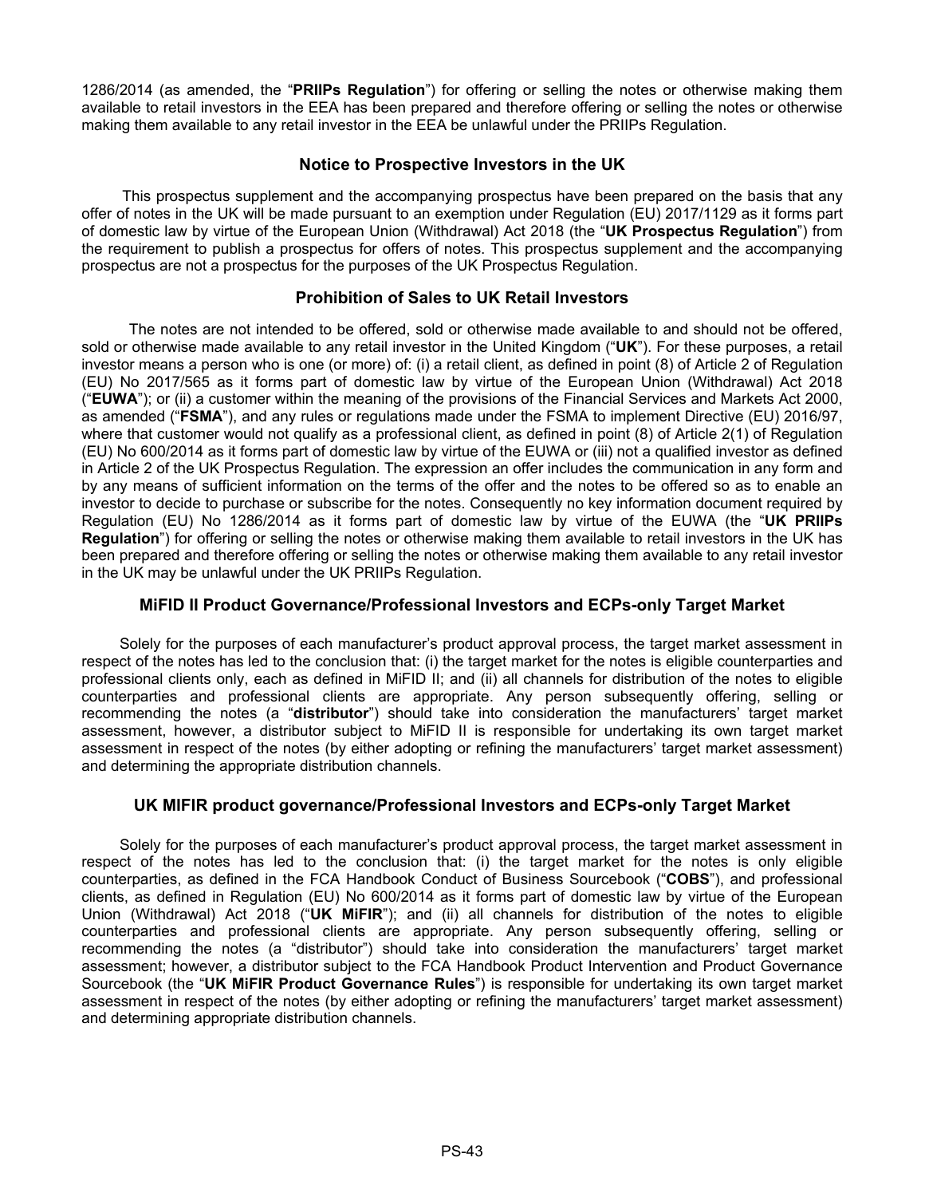1286/2014 (as amended, the "**PRIIPs Regulation**") for offering or selling the notes or otherwise making them available to retail investors in the EEA has been prepared and therefore offering or selling the notes or otherwise making them available to any retail investor in the EEA be unlawful under the PRIIPs Regulation.

#### **Notice to Prospective Investors in the UK**

This prospectus supplement and the accompanying prospectus have been prepared on the basis that any offer of notes in the UK will be made pursuant to an exemption under Regulation (EU) 2017/1129 as it forms part of domestic law by virtue of the European Union (Withdrawal) Act 2018 (the "**UK Prospectus Regulation**") from the requirement to publish a prospectus for offers of notes. This prospectus supplement and the accompanying prospectus are not a prospectus for the purposes of the UK Prospectus Regulation.

#### **Prohibition of Sales to UK Retail Investors**

The notes are not intended to be offered, sold or otherwise made available to and should not be offered, sold or otherwise made available to any retail investor in the United Kingdom ("**UK**"). For these purposes, a retail investor means a person who is one (or more) of: (i) a retail client, as defined in point (8) of Article 2 of Regulation (EU) No 2017/565 as it forms part of domestic law by virtue of the European Union (Withdrawal) Act 2018 ("**EUWA**"); or (ii) a customer within the meaning of the provisions of the Financial Services and Markets Act 2000, as amended ("**FSMA**"), and any rules or regulations made under the FSMA to implement Directive (EU) 2016/97, where that customer would not qualify as a professional client, as defined in point (8) of Article 2(1) of Regulation (EU) No 600/2014 as it forms part of domestic law by virtue of the EUWA or (iii) not a qualified investor as defined in Article 2 of the UK Prospectus Regulation. The expression an offer includes the communication in any form and by any means of sufficient information on the terms of the offer and the notes to be offered so as to enable an investor to decide to purchase or subscribe for the notes. Consequently no key information document required by Regulation (EU) No 1286/2014 as it forms part of domestic law by virtue of the EUWA (the "**UK PRIIPs Regulation**") for offering or selling the notes or otherwise making them available to retail investors in the UK has been prepared and therefore offering or selling the notes or otherwise making them available to any retail investor in the UK may be unlawful under the UK PRIIPs Regulation.

## **MiFID II Product Governance/Professional Investors and ECPs-only Target Market**

Solely for the purposes of each manufacturer's product approval process, the target market assessment in respect of the notes has led to the conclusion that: (i) the target market for the notes is eligible counterparties and professional clients only, each as defined in MiFID II; and (ii) all channels for distribution of the notes to eligible counterparties and professional clients are appropriate. Any person subsequently offering, selling or recommending the notes (a "**distributor**") should take into consideration the manufacturers' target market assessment, however, a distributor subject to MiFID II is responsible for undertaking its own target market assessment in respect of the notes (by either adopting or refining the manufacturers' target market assessment) and determining the appropriate distribution channels.

#### **UK MIFIR product governance/Professional Investors and ECPs-only Target Market**

Solely for the purposes of each manufacturer's product approval process, the target market assessment in respect of the notes has led to the conclusion that: (i) the target market for the notes is only eligible counterparties, as defined in the FCA Handbook Conduct of Business Sourcebook ("**COBS**"), and professional clients, as defined in Regulation (EU) No 600/2014 as it forms part of domestic law by virtue of the European Union (Withdrawal) Act 2018 ("**UK MiFIR**"); and (ii) all channels for distribution of the notes to eligible counterparties and professional clients are appropriate. Any person subsequently offering, selling or recommending the notes (a "distributor") should take into consideration the manufacturers' target market assessment; however, a distributor subject to the FCA Handbook Product Intervention and Product Governance Sourcebook (the "**UK MiFIR Product Governance Rules**") is responsible for undertaking its own target market assessment in respect of the notes (by either adopting or refining the manufacturers' target market assessment) and determining appropriate distribution channels.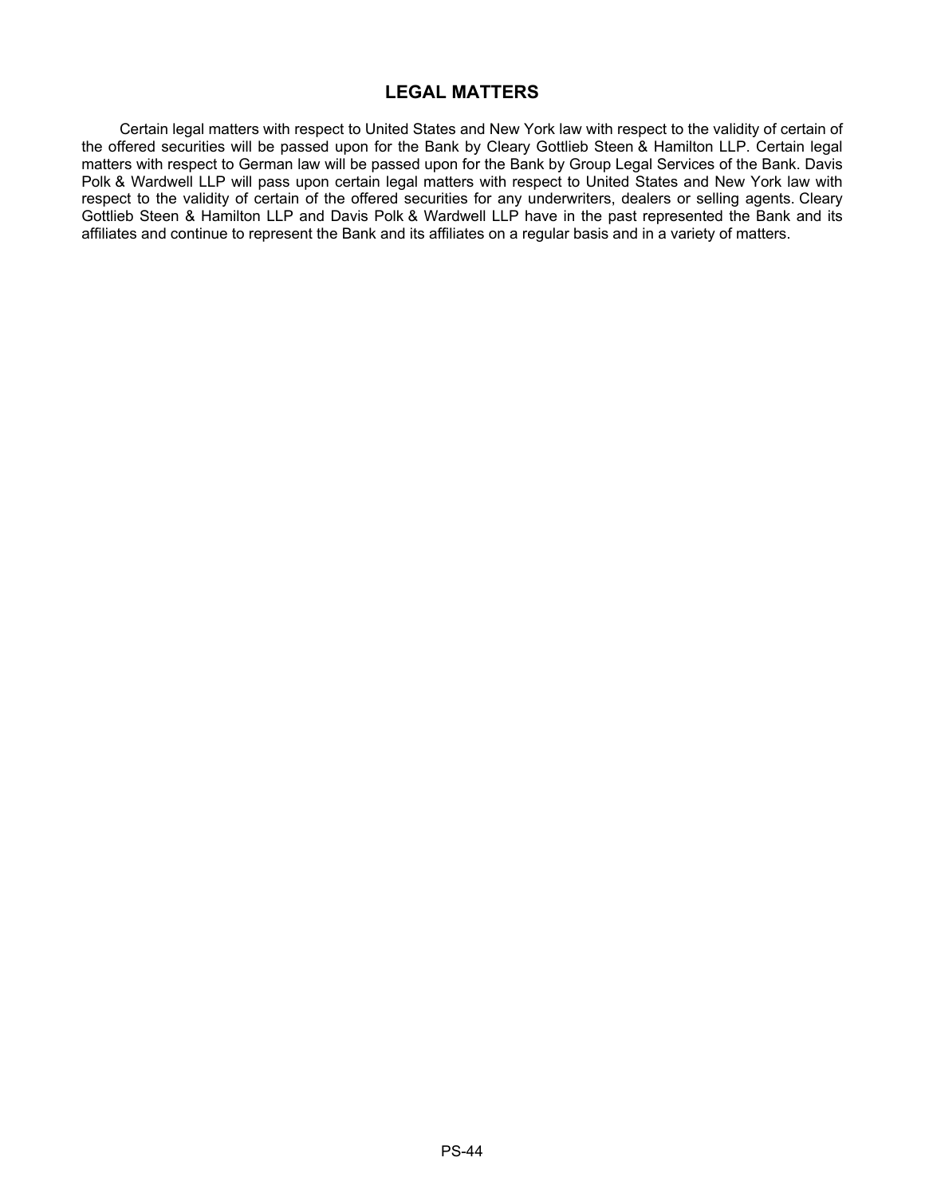## **LEGAL MATTERS**

Certain legal matters with respect to United States and New York law with respect to the validity of certain of the offered securities will be passed upon for the Bank by Cleary Gottlieb Steen & Hamilton LLP. Certain legal matters with respect to German law will be passed upon for the Bank by Group Legal Services of the Bank. Davis Polk & Wardwell LLP will pass upon certain legal matters with respect to United States and New York law with respect to the validity of certain of the offered securities for any underwriters, dealers or selling agents. Cleary Gottlieb Steen & Hamilton LLP and Davis Polk & Wardwell LLP have in the past represented the Bank and its affiliates and continue to represent the Bank and its affiliates on a regular basis and in a variety of matters.